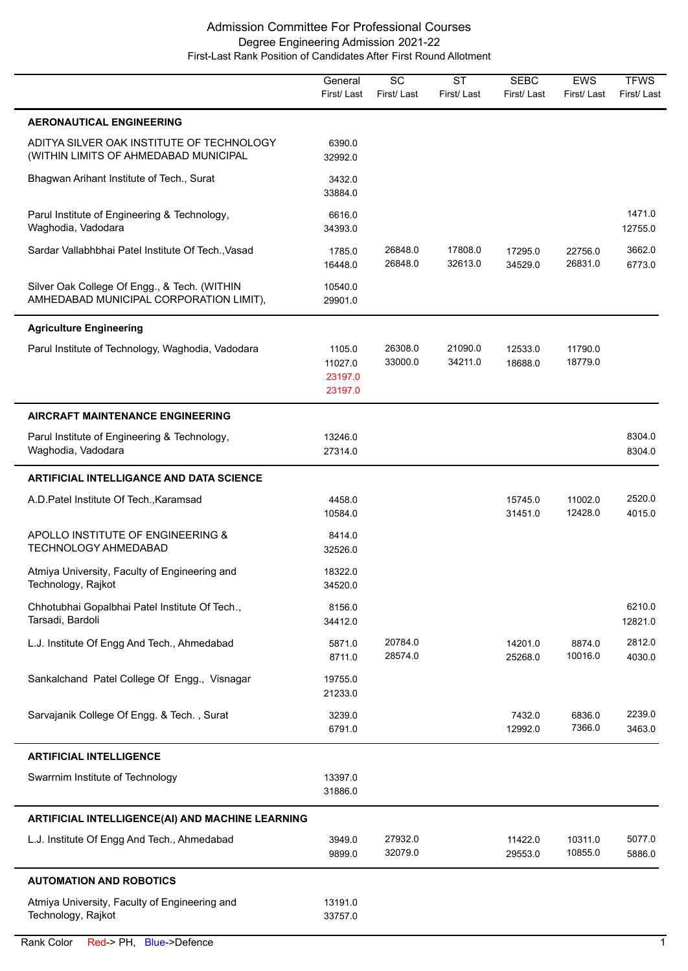|                                                                                         | General<br>First/Last                   | $\overline{SC}$<br>First/Last | $\overline{\text{ST}}$<br>First/Last | <b>SEBC</b><br>First/Last | <b>EWS</b><br>First/Last | <b>TFWS</b><br>First/Last |
|-----------------------------------------------------------------------------------------|-----------------------------------------|-------------------------------|--------------------------------------|---------------------------|--------------------------|---------------------------|
| <b>AERONAUTICAL ENGINEERING</b>                                                         |                                         |                               |                                      |                           |                          |                           |
| ADITYA SILVER OAK INSTITUTE OF TECHNOLOGY<br>(WITHIN LIMITS OF AHMEDABAD MUNICIPAL      | 6390.0<br>32992.0                       |                               |                                      |                           |                          |                           |
| Bhagwan Arihant Institute of Tech., Surat                                               | 3432.0<br>33884.0                       |                               |                                      |                           |                          |                           |
| Parul Institute of Engineering & Technology,<br>Waghodia, Vadodara                      | 6616.0<br>34393.0                       |                               |                                      |                           |                          | 1471.0<br>12755.0         |
| Sardar Vallabhbhai Patel Institute Of Tech., Vasad                                      | 1785.0<br>16448.0                       | 26848.0<br>26848.0            | 17808.0<br>32613.0                   | 17295.0<br>34529.0        | 22756.0<br>26831.0       | 3662.0<br>6773.0          |
| Silver Oak College Of Engg., & Tech. (WITHIN<br>AMHEDABAD MUNICIPAL CORPORATION LIMIT), | 10540.0<br>29901.0                      |                               |                                      |                           |                          |                           |
| <b>Agriculture Engineering</b>                                                          |                                         |                               |                                      |                           |                          |                           |
| Parul Institute of Technology, Waghodia, Vadodara                                       | 1105.0<br>11027.0<br>23197.0<br>23197.0 | 26308.0<br>33000.0            | 21090.0<br>34211.0                   | 12533.0<br>18688.0        | 11790.0<br>18779.0       |                           |
| <b>AIRCRAFT MAINTENANCE ENGINEERING</b>                                                 |                                         |                               |                                      |                           |                          |                           |
| Parul Institute of Engineering & Technology,<br>Waghodia, Vadodara                      | 13246.0<br>27314.0                      |                               |                                      |                           |                          | 8304.0<br>8304.0          |
| <b>ARTIFICIAL INTELLIGANCE AND DATA SCIENCE</b>                                         |                                         |                               |                                      |                           |                          |                           |
| A.D. Patel Institute Of Tech., Karamsad                                                 | 4458.0<br>10584.0                       |                               |                                      | 15745.0<br>31451.0        | 11002.0<br>12428.0       | 2520.0<br>4015.0          |
| APOLLO INSTITUTE OF ENGINEERING &<br><b>TECHNOLOGY AHMEDABAD</b>                        | 8414.0<br>32526.0                       |                               |                                      |                           |                          |                           |
| Atmiya University, Faculty of Engineering and<br>Technology, Rajkot                     | 18322.0<br>34520.0                      |                               |                                      |                           |                          |                           |
| Chhotubhai Gopalbhai Patel Institute Of Tech.,<br>Tarsadi, Bardoli                      | 8156.0<br>34412.0                       |                               |                                      |                           |                          | 6210.0<br>12821.0         |
| L.J. Institute Of Engg And Tech., Ahmedabad                                             | 5871.0<br>8711.0                        | 20784.0<br>28574.0            |                                      | 14201.0<br>25268.0        | 8874.0<br>10016.0        | 2812.0<br>4030.0          |
| Sankalchand Patel College Of Engg., Visnagar                                            | 19755.0<br>21233.0                      |                               |                                      |                           |                          |                           |
| Sarvajanik College Of Engg. & Tech., Surat                                              | 3239.0<br>6791.0                        |                               |                                      | 7432.0<br>12992.0         | 6836.0<br>7366.0         | 2239.0<br>3463.0          |
| <b>ARTIFICIAL INTELLIGENCE</b>                                                          |                                         |                               |                                      |                           |                          |                           |
| Swarrnim Institute of Technology                                                        | 13397.0<br>31886.0                      |                               |                                      |                           |                          |                           |
| ARTIFICIAL INTELLIGENCE(AI) AND MACHINE LEARNING                                        |                                         |                               |                                      |                           |                          |                           |
| L.J. Institute Of Engg And Tech., Ahmedabad                                             | 3949.0<br>9899.0                        | 27932.0<br>32079.0            |                                      | 11422.0<br>29553.0        | 10311.0<br>10855.0       | 5077.0<br>5886.0          |
| <b>AUTOMATION AND ROBOTICS</b>                                                          |                                         |                               |                                      |                           |                          |                           |
| Atmiya University, Faculty of Engineering and<br>Technology, Rajkot                     | 13191.0<br>33757.0                      |                               |                                      |                           |                          |                           |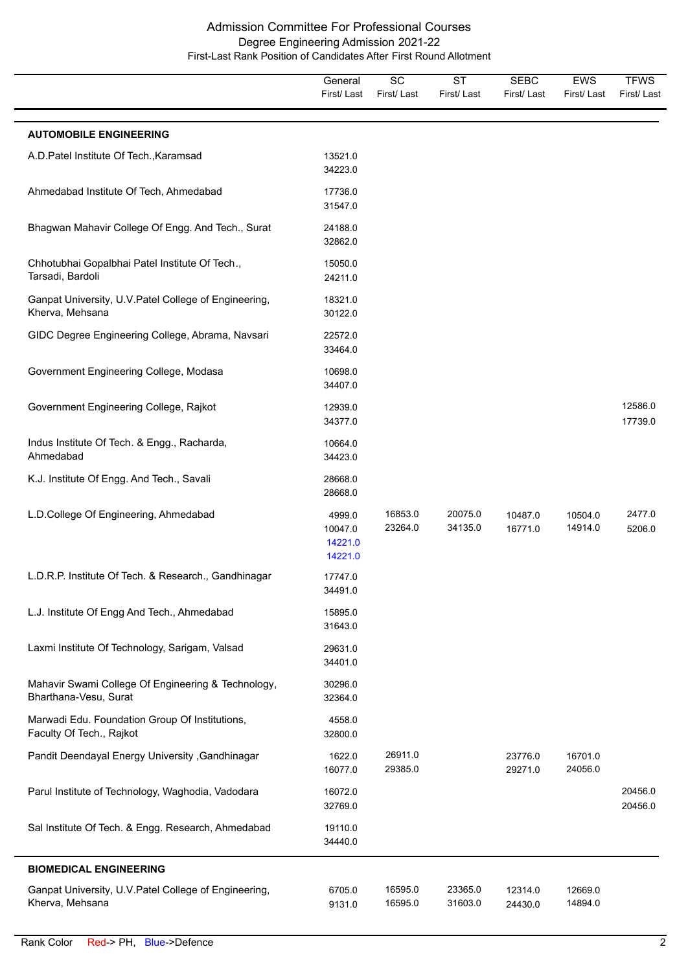|                                                                             | General<br>First/Last                   | $\overline{SC}$<br>First/Last | <b>ST</b><br>First/Last | <b>SEBC</b><br>First/Last | <b>EWS</b><br>First/Last | <b>TFWS</b><br>First/Last |
|-----------------------------------------------------------------------------|-----------------------------------------|-------------------------------|-------------------------|---------------------------|--------------------------|---------------------------|
| <b>AUTOMOBILE ENGINEERING</b>                                               |                                         |                               |                         |                           |                          |                           |
| A.D.Patel Institute Of Tech., Karamsad                                      | 13521.0<br>34223.0                      |                               |                         |                           |                          |                           |
| Ahmedabad Institute Of Tech, Ahmedabad                                      | 17736.0<br>31547.0                      |                               |                         |                           |                          |                           |
| Bhagwan Mahavir College Of Engg. And Tech., Surat                           | 24188.0<br>32862.0                      |                               |                         |                           |                          |                           |
| Chhotubhai Gopalbhai Patel Institute Of Tech.,<br>Tarsadi, Bardoli          | 15050.0<br>24211.0                      |                               |                         |                           |                          |                           |
| Ganpat University, U.V. Patel College of Engineering,<br>Kherva, Mehsana    | 18321.0<br>30122.0                      |                               |                         |                           |                          |                           |
| GIDC Degree Engineering College, Abrama, Navsari                            | 22572.0<br>33464.0                      |                               |                         |                           |                          |                           |
| Government Engineering College, Modasa                                      | 10698.0<br>34407.0                      |                               |                         |                           |                          |                           |
| Government Engineering College, Rajkot                                      | 12939.0<br>34377.0                      |                               |                         |                           |                          | 12586.0<br>17739.0        |
| Indus Institute Of Tech. & Engg., Racharda,<br>Ahmedabad                    | 10664.0<br>34423.0                      |                               |                         |                           |                          |                           |
| K.J. Institute Of Engg. And Tech., Savali                                   | 28668.0<br>28668.0                      |                               |                         |                           |                          |                           |
| L.D.College Of Engineering, Ahmedabad                                       | 4999.0<br>10047.0<br>14221.0<br>14221.0 | 16853.0<br>23264.0            | 20075.0<br>34135.0      | 10487.0<br>16771.0        | 10504.0<br>14914.0       | 2477.0<br>5206.0          |
| L.D.R.P. Institute Of Tech. & Research., Gandhinagar                        | 17747.0<br>34491.0                      |                               |                         |                           |                          |                           |
| L.J. Institute Of Engg And Tech., Ahmedabad                                 | 15895.0<br>31643.0                      |                               |                         |                           |                          |                           |
| Laxmi Institute Of Technology, Sarigam, Valsad                              | 29631.0<br>34401.0                      |                               |                         |                           |                          |                           |
| Mahavir Swami College Of Engineering & Technology,<br>Bharthana-Vesu, Surat | 30296.0<br>32364.0                      |                               |                         |                           |                          |                           |
| Marwadi Edu. Foundation Group Of Institutions,<br>Faculty Of Tech., Rajkot  | 4558.0<br>32800.0                       |                               |                         |                           |                          |                           |
| Pandit Deendayal Energy University , Gandhinagar                            | 1622.0<br>16077.0                       | 26911.0<br>29385.0            |                         | 23776.0<br>29271.0        | 16701.0<br>24056.0       |                           |
| Parul Institute of Technology, Waghodia, Vadodara                           | 16072.0<br>32769.0                      |                               |                         |                           |                          | 20456.0<br>20456.0        |
| Sal Institute Of Tech. & Engg. Research, Ahmedabad                          | 19110.0<br>34440.0                      |                               |                         |                           |                          |                           |
| <b>BIOMEDICAL ENGINEERING</b>                                               |                                         |                               |                         |                           |                          |                           |
| Ganpat University, U.V. Patel College of Engineering,<br>Kherva, Mehsana    | 6705.0<br>9131.0                        | 16595.0<br>16595.0            | 23365.0<br>31603.0      | 12314.0<br>24430.0        | 12669.0<br>14894.0       |                           |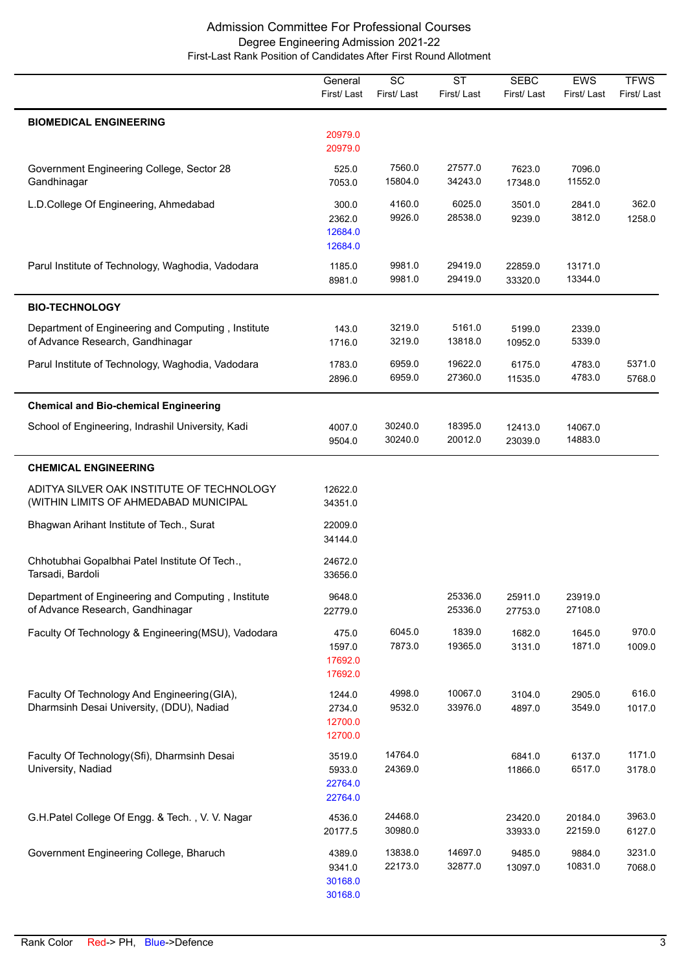|                                                                                           | General<br>First/Last                  | $\overline{SC}$<br>First/Last | $\overline{\text{ST}}$<br>First/Last | <b>SEBC</b><br>First/Last | <b>EWS</b><br>First/Last | <b>TFWS</b><br>First/Last |
|-------------------------------------------------------------------------------------------|----------------------------------------|-------------------------------|--------------------------------------|---------------------------|--------------------------|---------------------------|
| <b>BIOMEDICAL ENGINEERING</b>                                                             | 20979.0<br>20979.0                     |                               |                                      |                           |                          |                           |
| Government Engineering College, Sector 28<br>Gandhinagar                                  | 525.0<br>7053.0                        | 7560.0<br>15804.0             | 27577.0<br>34243.0                   | 7623.0<br>17348.0         | 7096.0<br>11552.0        |                           |
| L.D.College Of Engineering, Ahmedabad                                                     | 300.0<br>2362.0<br>12684.0<br>12684.0  | 4160.0<br>9926.0              | 6025.0<br>28538.0                    | 3501.0<br>9239.0          | 2841.0<br>3812.0         | 362.0<br>1258.0           |
| Parul Institute of Technology, Waghodia, Vadodara                                         | 1185.0<br>8981.0                       | 9981.0<br>9981.0              | 29419.0<br>29419.0                   | 22859.0<br>33320.0        | 13171.0<br>13344.0       |                           |
| <b>BIO-TECHNOLOGY</b>                                                                     |                                        |                               |                                      |                           |                          |                           |
| Department of Engineering and Computing, Institute<br>of Advance Research, Gandhinagar    | 143.0<br>1716.0                        | 3219.0<br>3219.0              | 5161.0<br>13818.0                    | 5199.0<br>10952.0         | 2339.0<br>5339.0         |                           |
| Parul Institute of Technology, Waghodia, Vadodara                                         | 1783.0<br>2896.0                       | 6959.0<br>6959.0              | 19622.0<br>27360.0                   | 6175.0<br>11535.0         | 4783.0<br>4783.0         | 5371.0<br>5768.0          |
| <b>Chemical and Bio-chemical Engineering</b>                                              |                                        |                               |                                      |                           |                          |                           |
| School of Engineering, Indrashil University, Kadi                                         | 4007.0<br>9504.0                       | 30240.0<br>30240.0            | 18395.0<br>20012.0                   | 12413.0<br>23039.0        | 14067.0<br>14883.0       |                           |
| <b>CHEMICAL ENGINEERING</b>                                                               |                                        |                               |                                      |                           |                          |                           |
| ADITYA SILVER OAK INSTITUTE OF TECHNOLOGY<br>(WITHIN LIMITS OF AHMEDABAD MUNICIPAL        | 12622.0<br>34351.0                     |                               |                                      |                           |                          |                           |
| Bhagwan Arihant Institute of Tech., Surat                                                 | 22009.0<br>34144.0                     |                               |                                      |                           |                          |                           |
| Chhotubhai Gopalbhai Patel Institute Of Tech.,<br>Tarsadi, Bardoli                        | 24672.0<br>33656.0                     |                               |                                      |                           |                          |                           |
| Department of Engineering and Computing, Institute<br>of Advance Research, Gandhinagar    | 9648.0<br>22779.0                      |                               | 25336.0<br>25336.0                   | 25911.0<br>27753.0        | 23919.0<br>27108.0       |                           |
| Faculty Of Technology & Engineering(MSU), Vadodara                                        | 475.0<br>1597.0<br>17692.0<br>17692.0  | 6045.0<br>7873.0              | 1839.0<br>19365.0                    | 1682.0<br>3131.0          | 1645.0<br>1871.0         | 970.0<br>1009.0           |
| Faculty Of Technology And Engineering (GIA),<br>Dharmsinh Desai University, (DDU), Nadiad | 1244.0<br>2734.0<br>12700.0<br>12700.0 | 4998.0<br>9532.0              | 10067.0<br>33976.0                   | 3104.0<br>4897.0          | 2905.0<br>3549.0         | 616.0<br>1017.0           |
| Faculty Of Technology(Sfi), Dharmsinh Desai<br>University, Nadiad                         | 3519.0<br>5933.0<br>22764.0<br>22764.0 | 14764.0<br>24369.0            |                                      | 6841.0<br>11866.0         | 6137.0<br>6517.0         | 1171.0<br>3178.0          |
| G.H.Patel College Of Engg. & Tech., V. V. Nagar                                           | 4536.0<br>20177.5                      | 24468.0<br>30980.0            |                                      | 23420.0<br>33933.0        | 20184.0<br>22159.0       | 3963.0<br>6127.0          |
| Government Engineering College, Bharuch                                                   | 4389.0<br>9341.0<br>30168.0<br>30168.0 | 13838.0<br>22173.0            | 14697.0<br>32877.0                   | 9485.0<br>13097.0         | 9884.0<br>10831.0        | 3231.0<br>7068.0          |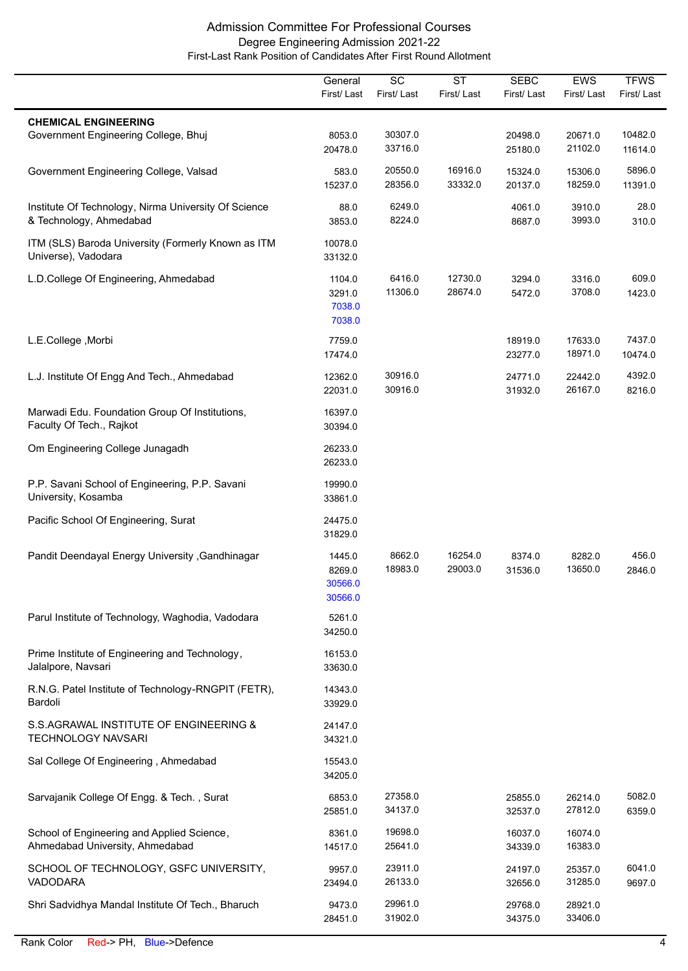|                                                                                 | General<br>First/Last                  | $\overline{SC}$<br>First/Last | <b>ST</b><br>First/Last | <b>SEBC</b><br>First/Last | <b>EWS</b><br>First/Last | <b>TFWS</b><br>First/Last |
|---------------------------------------------------------------------------------|----------------------------------------|-------------------------------|-------------------------|---------------------------|--------------------------|---------------------------|
| <b>CHEMICAL ENGINEERING</b>                                                     |                                        |                               |                         |                           |                          |                           |
| Government Engineering College, Bhuj                                            | 8053.0<br>20478.0                      | 30307.0<br>33716.0            |                         | 20498.0<br>25180.0        | 20671.0<br>21102.0       | 10482.0<br>11614.0        |
| Government Engineering College, Valsad                                          | 583.0<br>15237.0                       | 20550.0<br>28356.0            | 16916.0<br>33332.0      | 15324.0<br>20137.0        | 15306.0<br>18259.0       | 5896.0<br>11391.0         |
| Institute Of Technology, Nirma University Of Science<br>& Technology, Ahmedabad | 88.0<br>3853.0                         | 6249.0<br>8224.0              |                         | 4061.0<br>8687.0          | 3910.0<br>3993.0         | 28.0<br>310.0             |
| ITM (SLS) Baroda University (Formerly Known as ITM<br>Universe), Vadodara       | 10078.0<br>33132.0                     |                               |                         |                           |                          |                           |
| L.D.College Of Engineering, Ahmedabad                                           | 1104.0<br>3291.0<br>7038.0<br>7038.0   | 6416.0<br>11306.0             | 12730.0<br>28674.0      | 3294.0<br>5472.0          | 3316.0<br>3708.0         | 609.0<br>1423.0           |
| L.E.College, Morbi                                                              | 7759.0<br>17474.0                      |                               |                         | 18919.0<br>23277.0        | 17633.0<br>18971.0       | 7437.0<br>10474.0         |
| L.J. Institute Of Engg And Tech., Ahmedabad                                     | 12362.0<br>22031.0                     | 30916.0<br>30916.0            |                         | 24771.0<br>31932.0        | 22442.0<br>26167.0       | 4392.0<br>8216.0          |
| Marwadi Edu. Foundation Group Of Institutions,<br>Faculty Of Tech., Rajkot      | 16397.0<br>30394.0                     |                               |                         |                           |                          |                           |
| Om Engineering College Junagadh                                                 | 26233.0<br>26233.0                     |                               |                         |                           |                          |                           |
| P.P. Savani School of Engineering, P.P. Savani<br>University, Kosamba           | 19990.0<br>33861.0                     |                               |                         |                           |                          |                           |
| Pacific School Of Engineering, Surat                                            | 24475.0<br>31829.0                     |                               |                         |                           |                          |                           |
| Pandit Deendayal Energy University , Gandhinagar                                | 1445.0<br>8269.0<br>30566.0<br>30566.0 | 8662.0<br>18983.0             | 16254.0<br>29003.0      | 8374.0<br>31536.0         | 8282.0<br>13650.0        | 456.0<br>2846.0           |
| Parul Institute of Technology, Waghodia, Vadodara                               | 5261.0<br>34250.0                      |                               |                         |                           |                          |                           |
| Prime Institute of Engineering and Technology,<br>Jalalpore, Navsari            | 16153.0<br>33630.0                     |                               |                         |                           |                          |                           |
| R.N.G. Patel Institute of Technology-RNGPIT (FETR),<br>Bardoli                  | 14343.0<br>33929.0                     |                               |                         |                           |                          |                           |
| S.S.AGRAWAL INSTITUTE OF ENGINEERING &<br><b>TECHNOLOGY NAVSARI</b>             | 24147.0<br>34321.0                     |                               |                         |                           |                          |                           |
| Sal College Of Engineering, Ahmedabad                                           | 15543.0<br>34205.0                     |                               |                         |                           |                          |                           |
| Sarvajanik College Of Engg. & Tech., Surat                                      | 6853.0<br>25851.0                      | 27358.0<br>34137.0            |                         | 25855.0<br>32537.0        | 26214.0<br>27812.0       | 5082.0<br>6359.0          |
| School of Engineering and Applied Science,<br>Ahmedabad University, Ahmedabad   | 8361.0<br>14517.0                      | 19698.0<br>25641.0            |                         | 16037.0<br>34339.0        | 16074.0<br>16383.0       |                           |
| SCHOOL OF TECHNOLOGY, GSFC UNIVERSITY,<br><b>VADODARA</b>                       | 9957.0<br>23494.0                      | 23911.0<br>26133.0            |                         | 24197.0<br>32656.0        | 25357.0<br>31285.0       | 6041.0<br>9697.0          |
| Shri Sadvidhya Mandal Institute Of Tech., Bharuch                               | 9473.0<br>28451.0                      | 29961.0<br>31902.0            |                         | 29768.0<br>34375.0        | 28921.0<br>33406.0       |                           |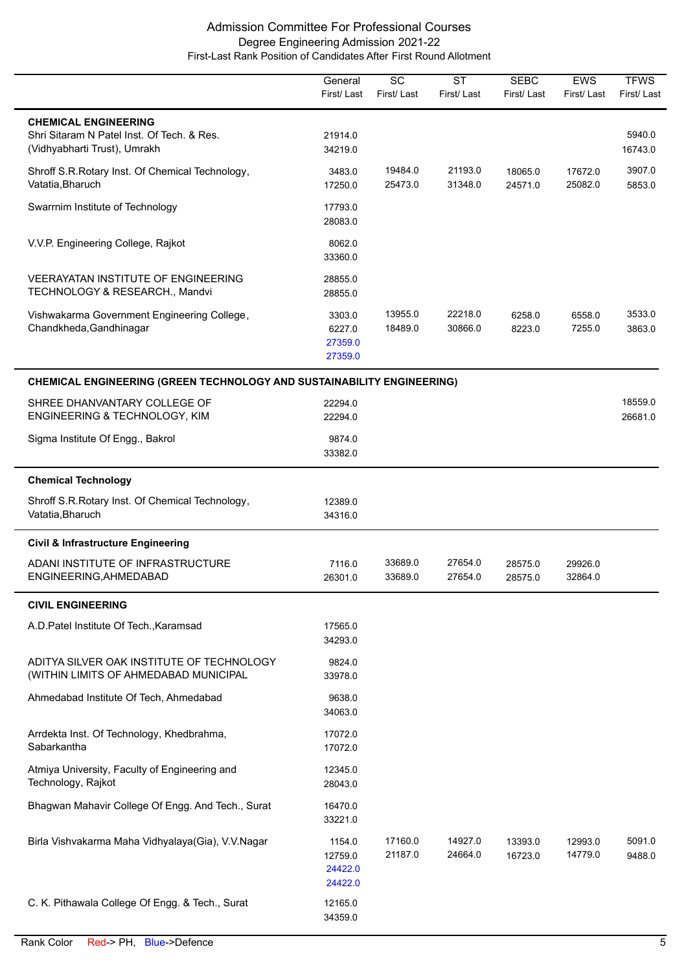|                                                                                                           | General<br>First/Last                   | SC<br>First/Last   | <b>ST</b><br>First/Last | <b>SEBC</b><br>First/ Last | <b>EWS</b><br>First/Last | <b>TFWS</b><br>First/Last |
|-----------------------------------------------------------------------------------------------------------|-----------------------------------------|--------------------|-------------------------|----------------------------|--------------------------|---------------------------|
| <b>CHEMICAL ENGINEERING</b><br>Shri Sitaram N Patel Inst. Of Tech. & Res.<br>(Vidhyabharti Trust), Umrakh | 21914.0<br>34219.0                      |                    |                         |                            |                          | 5940.0<br>16743.0         |
| Shroff S.R.Rotary Inst. Of Chemical Technology,<br>Vatatia, Bharuch                                       | 3483.0<br>17250.0                       | 19484.0<br>25473.0 | 21193.0<br>31348.0      | 18065.0<br>24571.0         | 17672.0<br>25082.0       | 3907.0<br>5853.0          |
| Swarrnim Institute of Technology                                                                          | 17793.0<br>28083.0                      |                    |                         |                            |                          |                           |
| V.V.P. Engineering College, Rajkot                                                                        | 8062.0<br>33360.0                       |                    |                         |                            |                          |                           |
| <b>VEERAYATAN INSTITUTE OF ENGINEERING</b><br>TECHNOLOGY & RESEARCH., Mandvi                              | 28855.0<br>28855.0                      |                    |                         |                            |                          |                           |
| Vishwakarma Government Engineering College,<br>Chandkheda, Gandhinagar                                    | 3303.0<br>6227.0<br>27359.0<br>27359.0  | 13955.0<br>18489.0 | 22218.0<br>30866.0      | 6258.0<br>8223.0           | 6558.0<br>7255.0         | 3533.0<br>3863.0          |
| <b>CHEMICAL ENGINEERING (GREEN TECHNOLOGY AND SUSTAINABILITY ENGINEERING)</b>                             |                                         |                    |                         |                            |                          |                           |
| SHREE DHANVANTARY COLLEGE OF<br>ENGINEERING & TECHNOLOGY, KIM                                             | 22294.0<br>22294.0                      |                    |                         |                            |                          | 18559.0<br>26681.0        |
| Sigma Institute Of Engg., Bakrol                                                                          | 9874.0<br>33382.0                       |                    |                         |                            |                          |                           |
| <b>Chemical Technology</b>                                                                                |                                         |                    |                         |                            |                          |                           |
| Shroff S.R.Rotary Inst. Of Chemical Technology,<br>Vatatia, Bharuch                                       | 12389.0<br>34316.0                      |                    |                         |                            |                          |                           |
| <b>Civil &amp; Infrastructure Engineering</b>                                                             |                                         |                    |                         |                            |                          |                           |
| ADANI INSTITUTE OF INFRASTRUCTURE<br>ENGINEERING, AHMEDABAD                                               | 7116.0<br>26301.0                       | 33689.0<br>33689.0 | 27654.0<br>27654.0      | 28575.0<br>28575.0         | 29926.0<br>32864.0       |                           |
| <b>CIVIL ENGINEERING</b>                                                                                  |                                         |                    |                         |                            |                          |                           |
| A.D. Patel Institute Of Tech., Karamsad                                                                   | 17565.0<br>34293.0                      |                    |                         |                            |                          |                           |
| ADITYA SILVER OAK INSTITUTE OF TECHNOLOGY<br>(WITHIN LIMITS OF AHMEDABAD MUNICIPAL                        | 9824.0<br>33978.0                       |                    |                         |                            |                          |                           |
| Ahmedabad Institute Of Tech, Ahmedabad                                                                    | 9638.0<br>34063.0                       |                    |                         |                            |                          |                           |
| Arrdekta Inst. Of Technology, Khedbrahma,<br>Sabarkantha                                                  | 17072.0<br>17072.0                      |                    |                         |                            |                          |                           |
| Atmiya University, Faculty of Engineering and<br>Technology, Rajkot                                       | 12345.0<br>28043.0                      |                    |                         |                            |                          |                           |
| Bhagwan Mahavir College Of Engg. And Tech., Surat                                                         | 16470.0<br>33221.0                      |                    |                         |                            |                          |                           |
| Birla Vishvakarma Maha Vidhyalaya(Gia), V.V.Nagar                                                         | 1154.0<br>12759.0<br>24422.0<br>24422.0 | 17160.0<br>21187.0 | 14927.0<br>24664.0      | 13393.0<br>16723.0         | 12993.0<br>14779.0       | 5091.0<br>9488.0          |
| C. K. Pithawala College Of Engg. & Tech., Surat                                                           | 12165.0<br>34359.0                      |                    |                         |                            |                          |                           |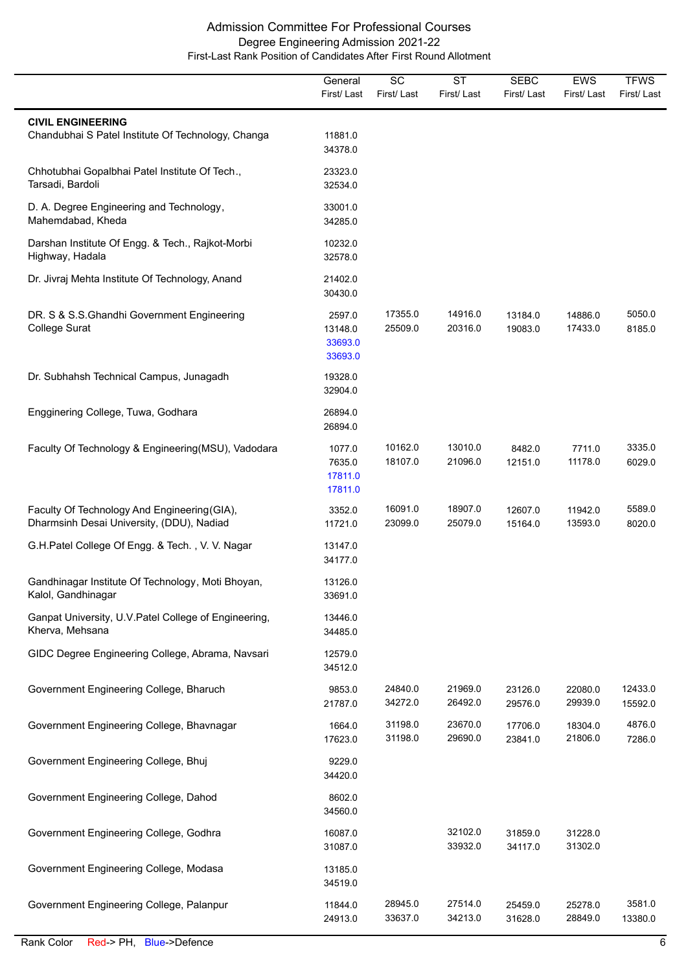|                                                                                           | General<br>First/Last                   | $\overline{SC}$<br>First/Last | $\overline{\text{ST}}$<br>First/Last | <b>SEBC</b><br>First/Last | <b>EWS</b><br>First/Last | <b>TFWS</b><br>First/Last |
|-------------------------------------------------------------------------------------------|-----------------------------------------|-------------------------------|--------------------------------------|---------------------------|--------------------------|---------------------------|
| <b>CIVIL ENGINEERING</b><br>Chandubhai S Patel Institute Of Technology, Changa            | 11881.0<br>34378.0                      |                               |                                      |                           |                          |                           |
| Chhotubhai Gopalbhai Patel Institute Of Tech.,<br>Tarsadi, Bardoli                        | 23323.0<br>32534.0                      |                               |                                      |                           |                          |                           |
| D. A. Degree Engineering and Technology,<br>Mahemdabad, Kheda                             | 33001.0<br>34285.0                      |                               |                                      |                           |                          |                           |
| Darshan Institute Of Engg. & Tech., Rajkot-Morbi<br>Highway, Hadala                       | 10232.0<br>32578.0                      |                               |                                      |                           |                          |                           |
| Dr. Jivraj Mehta Institute Of Technology, Anand                                           | 21402.0<br>30430.0                      |                               |                                      |                           |                          |                           |
| DR. S & S.S. Ghandhi Government Engineering<br>College Surat                              | 2597.0<br>13148.0<br>33693.0<br>33693.0 | 17355.0<br>25509.0            | 14916.0<br>20316.0                   | 13184.0<br>19083.0        | 14886.0<br>17433.0       | 5050.0<br>8185.0          |
| Dr. Subhahsh Technical Campus, Junagadh                                                   | 19328.0<br>32904.0                      |                               |                                      |                           |                          |                           |
| Engginering College, Tuwa, Godhara                                                        | 26894.0<br>26894.0                      |                               |                                      |                           |                          |                           |
| Faculty Of Technology & Engineering(MSU), Vadodara                                        | 1077.0<br>7635.0<br>17811.0<br>17811.0  | 10162.0<br>18107.0            | 13010.0<br>21096.0                   | 8482.0<br>12151.0         | 7711.0<br>11178.0        | 3335.0<br>6029.0          |
| Faculty Of Technology And Engineering (GIA),<br>Dharmsinh Desai University, (DDU), Nadiad | 3352.0<br>11721.0                       | 16091.0<br>23099.0            | 18907.0<br>25079.0                   | 12607.0<br>15164.0        | 11942.0<br>13593.0       | 5589.0<br>8020.0          |
| G.H.Patel College Of Engg. & Tech., V. V. Nagar                                           | 13147.0<br>34177.0                      |                               |                                      |                           |                          |                           |
| Gandhinagar Institute Of Technology, Moti Bhoyan,<br>Kalol, Gandhinagar                   | 13126.0<br>33691.0                      |                               |                                      |                           |                          |                           |
| Ganpat University, U.V. Patel College of Engineering,<br>Kherva, Mehsana                  | 13446.0<br>34485.0                      |                               |                                      |                           |                          |                           |
| GIDC Degree Engineering College, Abrama, Navsari                                          | 12579.0<br>34512.0                      |                               |                                      |                           |                          |                           |
| Government Engineering College, Bharuch                                                   | 9853.0<br>21787.0                       | 24840.0<br>34272.0            | 21969.0<br>26492.0                   | 23126.0<br>29576.0        | 22080.0<br>29939.0       | 12433.0<br>15592.0        |
| Government Engineering College, Bhavnagar                                                 | 1664.0<br>17623.0                       | 31198.0<br>31198.0            | 23670.0<br>29690.0                   | 17706.0<br>23841.0        | 18304.0<br>21806.0       | 4876.0<br>7286.0          |
| Government Engineering College, Bhuj                                                      | 9229.0<br>34420.0                       |                               |                                      |                           |                          |                           |
| Government Engineering College, Dahod                                                     | 8602.0<br>34560.0                       |                               |                                      |                           |                          |                           |
| Government Engineering College, Godhra                                                    | 16087.0<br>31087.0                      |                               | 32102.0<br>33932.0                   | 31859.0<br>34117.0        | 31228.0<br>31302.0       |                           |
| Government Engineering College, Modasa                                                    | 13185.0<br>34519.0                      |                               |                                      |                           |                          |                           |
| Government Engineering College, Palanpur                                                  | 11844.0<br>24913.0                      | 28945.0<br>33637.0            | 27514.0<br>34213.0                   | 25459.0<br>31628.0        | 25278.0<br>28849.0       | 3581.0<br>13380.0         |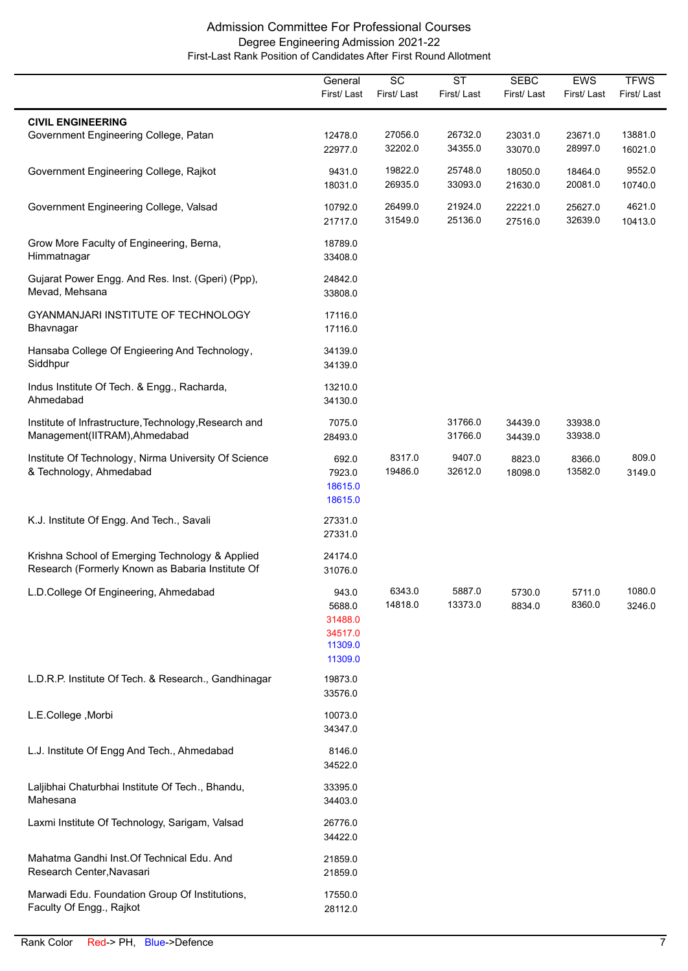|                                                                                                     | General<br>First/Last                                       | $\overline{SC}$<br>First/Last | $\overline{\text{ST}}$<br>First/Last | <b>SEBC</b><br>First/Last | <b>EWS</b><br>First/Last | <b>TFWS</b><br>First/Last |
|-----------------------------------------------------------------------------------------------------|-------------------------------------------------------------|-------------------------------|--------------------------------------|---------------------------|--------------------------|---------------------------|
|                                                                                                     |                                                             |                               |                                      |                           |                          |                           |
| <b>CIVIL ENGINEERING</b><br>Government Engineering College, Patan                                   | 12478.0<br>22977.0                                          | 27056.0<br>32202.0            | 26732.0<br>34355.0                   | 23031.0<br>33070.0        | 23671.0<br>28997.0       | 13881.0<br>16021.0        |
| Government Engineering College, Rajkot                                                              | 9431.0<br>18031.0                                           | 19822.0<br>26935.0            | 25748.0<br>33093.0                   | 18050.0<br>21630.0        | 18464.0<br>20081.0       | 9552.0<br>10740.0         |
| Government Engineering College, Valsad                                                              | 10792.0<br>21717.0                                          | 26499.0<br>31549.0            | 21924.0<br>25136.0                   | 22221.0<br>27516.0        | 25627.0<br>32639.0       | 4621.0<br>10413.0         |
| Grow More Faculty of Engineering, Berna,<br>Himmatnagar                                             | 18789.0<br>33408.0                                          |                               |                                      |                           |                          |                           |
| Gujarat Power Engg. And Res. Inst. (Gperi) (Ppp),<br>Mevad, Mehsana                                 | 24842.0<br>33808.0                                          |                               |                                      |                           |                          |                           |
| GYANMANJARI INSTITUTE OF TECHNOLOGY<br>Bhavnagar                                                    | 17116.0<br>17116.0                                          |                               |                                      |                           |                          |                           |
| Hansaba College Of Engieering And Technology,<br>Siddhpur                                           | 34139.0<br>34139.0                                          |                               |                                      |                           |                          |                           |
| Indus Institute Of Tech. & Engg., Racharda,<br>Ahmedabad                                            | 13210.0<br>34130.0                                          |                               |                                      |                           |                          |                           |
| Institute of Infrastructure, Technology, Research and<br>Management(IITRAM), Ahmedabad              | 7075.0<br>28493.0                                           |                               | 31766.0<br>31766.0                   | 34439.0<br>34439.0        | 33938.0<br>33938.0       |                           |
| Institute Of Technology, Nirma University Of Science<br>& Technology, Ahmedabad                     | 692.0<br>7923.0<br>18615.0<br>18615.0                       | 8317.0<br>19486.0             | 9407.0<br>32612.0                    | 8823.0<br>18098.0         | 8366.0<br>13582.0        | 809.0<br>3149.0           |
| K.J. Institute Of Engg. And Tech., Savali                                                           | 27331.0<br>27331.0                                          |                               |                                      |                           |                          |                           |
| Krishna School of Emerging Technology & Applied<br>Research (Formerly Known as Babaria Institute Of | 24174.0<br>31076.0                                          |                               |                                      |                           |                          |                           |
| L.D.College Of Engineering, Ahmedabad                                                               | 943.0<br>5688.0<br>31488.0<br>34517.0<br>11309.0<br>11309.0 | 6343.0<br>14818.0             | 5887.0<br>13373.0                    | 5730.0<br>8834.0          | 5711.0<br>8360.0         | 1080.0<br>3246.0          |
| L.D.R.P. Institute Of Tech. & Research., Gandhinagar                                                | 19873.0<br>33576.0                                          |                               |                                      |                           |                          |                           |
| L.E.College, Morbi                                                                                  | 10073.0<br>34347.0                                          |                               |                                      |                           |                          |                           |
| L.J. Institute Of Engg And Tech., Ahmedabad                                                         | 8146.0<br>34522.0                                           |                               |                                      |                           |                          |                           |
| Laljibhai Chaturbhai Institute Of Tech., Bhandu,<br>Mahesana                                        | 33395.0<br>34403.0                                          |                               |                                      |                           |                          |                           |
| Laxmi Institute Of Technology, Sarigam, Valsad                                                      | 26776.0<br>34422.0                                          |                               |                                      |                           |                          |                           |
| Mahatma Gandhi Inst. Of Technical Edu. And<br>Research Center, Navasari                             | 21859.0<br>21859.0                                          |                               |                                      |                           |                          |                           |
| Marwadi Edu. Foundation Group Of Institutions,<br>Faculty Of Engg., Rajkot                          | 17550.0<br>28112.0                                          |                               |                                      |                           |                          |                           |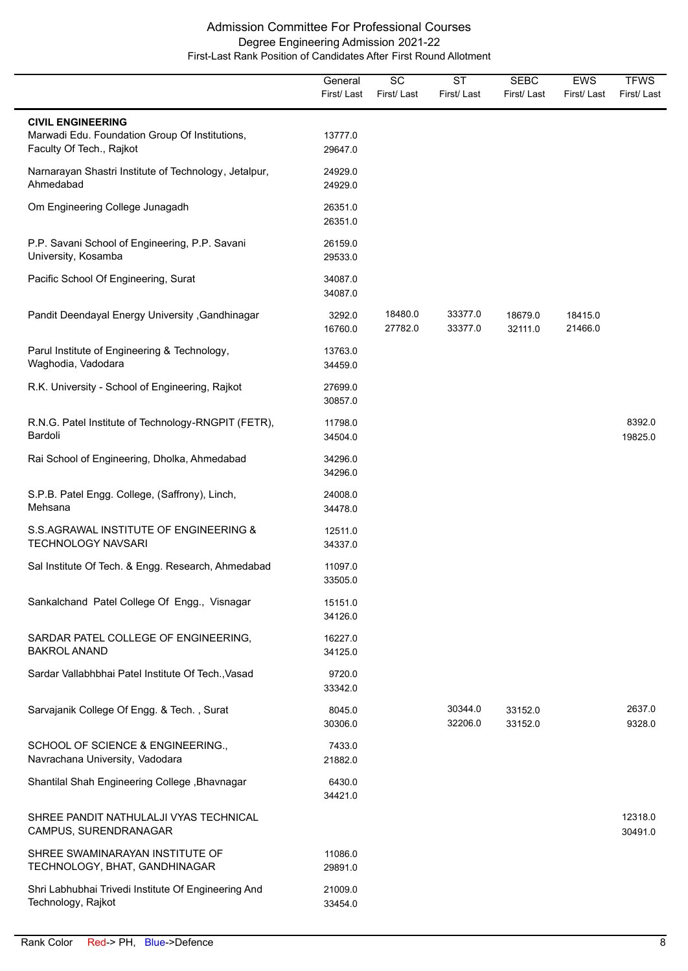|                                                                                                        | General<br>First/Last | SC<br>First/Last   | <b>ST</b><br>First/Last | <b>SEBC</b><br>First/Last | <b>EWS</b><br>First/Last | <b>TFWS</b><br>First/Last |
|--------------------------------------------------------------------------------------------------------|-----------------------|--------------------|-------------------------|---------------------------|--------------------------|---------------------------|
| <b>CIVIL ENGINEERING</b><br>Marwadi Edu. Foundation Group Of Institutions,<br>Faculty Of Tech., Rajkot | 13777.0<br>29647.0    |                    |                         |                           |                          |                           |
| Narnarayan Shastri Institute of Technology, Jetalpur,<br>Ahmedabad                                     | 24929.0<br>24929.0    |                    |                         |                           |                          |                           |
| Om Engineering College Junagadh                                                                        | 26351.0<br>26351.0    |                    |                         |                           |                          |                           |
| P.P. Savani School of Engineering, P.P. Savani<br>University, Kosamba                                  | 26159.0<br>29533.0    |                    |                         |                           |                          |                           |
| Pacific School Of Engineering, Surat                                                                   | 34087.0<br>34087.0    |                    |                         |                           |                          |                           |
| Pandit Deendayal Energy University , Gandhinagar                                                       | 3292.0<br>16760.0     | 18480.0<br>27782.0 | 33377.0<br>33377.0      | 18679.0<br>32111.0        | 18415.0<br>21466.0       |                           |
| Parul Institute of Engineering & Technology,<br>Waghodia, Vadodara                                     | 13763.0<br>34459.0    |                    |                         |                           |                          |                           |
| R.K. University - School of Engineering, Rajkot                                                        | 27699.0<br>30857.0    |                    |                         |                           |                          |                           |
| R.N.G. Patel Institute of Technology-RNGPIT (FETR),<br>Bardoli                                         | 11798.0<br>34504.0    |                    |                         |                           |                          | 8392.0<br>19825.0         |
| Rai School of Engineering, Dholka, Ahmedabad                                                           | 34296.0<br>34296.0    |                    |                         |                           |                          |                           |
| S.P.B. Patel Engg. College, (Saffrony), Linch,<br>Mehsana                                              | 24008.0<br>34478.0    |                    |                         |                           |                          |                           |
| S.S.AGRAWAL INSTITUTE OF ENGINEERING &<br>TECHNOLOGY NAVSARI                                           | 12511.0<br>34337.0    |                    |                         |                           |                          |                           |
| Sal Institute Of Tech. & Engg. Research, Ahmedabad                                                     | 11097.0<br>33505.0    |                    |                         |                           |                          |                           |
| Sankalchand Patel College Of Engg., Visnagar                                                           | 15151.0<br>34126.0    |                    |                         |                           |                          |                           |
| SARDAR PATEL COLLEGE OF ENGINEERING,<br><b>BAKROL ANAND</b>                                            | 16227.0<br>34125.0    |                    |                         |                           |                          |                           |
| Sardar Vallabhbhai Patel Institute Of Tech., Vasad                                                     | 9720.0<br>33342.0     |                    |                         |                           |                          |                           |
| Sarvajanik College Of Engg. & Tech., Surat                                                             | 8045.0<br>30306.0     |                    | 30344.0<br>32206.0      | 33152.0<br>33152.0        |                          | 2637.0<br>9328.0          |
| SCHOOL OF SCIENCE & ENGINEERING.,<br>Navrachana University, Vadodara                                   | 7433.0<br>21882.0     |                    |                         |                           |                          |                           |
| Shantilal Shah Engineering College, Bhavnagar                                                          | 6430.0<br>34421.0     |                    |                         |                           |                          |                           |
| SHREE PANDIT NATHULALJI VYAS TECHNICAL<br>CAMPUS, SURENDRANAGAR                                        |                       |                    |                         |                           |                          | 12318.0<br>30491.0        |
| SHREE SWAMINARAYAN INSTITUTE OF<br>TECHNOLOGY, BHAT, GANDHINAGAR                                       | 11086.0<br>29891.0    |                    |                         |                           |                          |                           |
| Shri Labhubhai Trivedi Institute Of Engineering And<br>Technology, Rajkot                              | 21009.0<br>33454.0    |                    |                         |                           |                          |                           |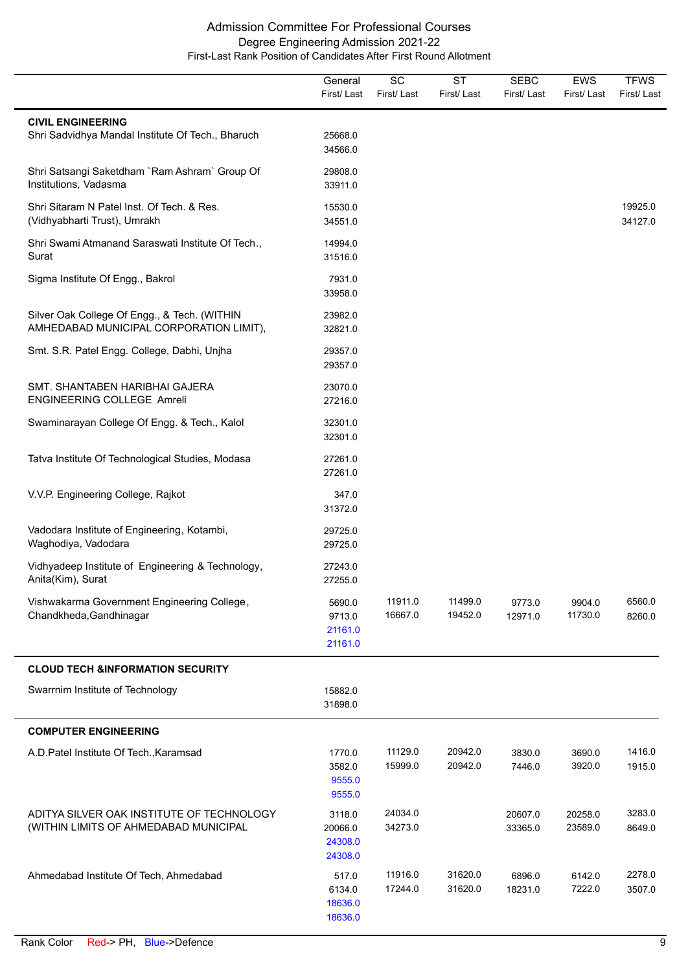|                                                                                         | General<br>First/Last                   | SC<br>First/Last   | <b>ST</b><br>First/Last | <b>SEBC</b><br>First/Last | <b>EWS</b><br>First/Last | <b>TFWS</b><br>First/Last |
|-----------------------------------------------------------------------------------------|-----------------------------------------|--------------------|-------------------------|---------------------------|--------------------------|---------------------------|
| <b>CIVIL ENGINEERING</b><br>Shri Sadvidhya Mandal Institute Of Tech., Bharuch           | 25668.0<br>34566.0                      |                    |                         |                           |                          |                           |
| Shri Satsangi Saketdham `Ram Ashram` Group Of<br>Institutions, Vadasma                  | 29808.0<br>33911.0                      |                    |                         |                           |                          |                           |
| Shri Sitaram N Patel Inst. Of Tech. & Res.<br>(Vidhyabharti Trust), Umrakh              | 15530.0<br>34551.0                      |                    |                         |                           |                          | 19925.0<br>34127.0        |
| Shri Swami Atmanand Saraswati Institute Of Tech.,<br>Surat                              | 14994.0<br>31516.0                      |                    |                         |                           |                          |                           |
| Sigma Institute Of Engg., Bakrol                                                        | 7931.0<br>33958.0                       |                    |                         |                           |                          |                           |
| Silver Oak College Of Engg., & Tech. (WITHIN<br>AMHEDABAD MUNICIPAL CORPORATION LIMIT), | 23982.0<br>32821.0                      |                    |                         |                           |                          |                           |
| Smt. S.R. Patel Engg. College, Dabhi, Unjha                                             | 29357.0<br>29357.0                      |                    |                         |                           |                          |                           |
| SMT. SHANTABEN HARIBHAI GAJERA<br>ENGINEERING COLLEGE Amreli                            | 23070.0<br>27216.0                      |                    |                         |                           |                          |                           |
| Swaminarayan College Of Engg. & Tech., Kalol                                            | 32301.0<br>32301.0                      |                    |                         |                           |                          |                           |
| Tatva Institute Of Technological Studies, Modasa                                        | 27261.0<br>27261.0                      |                    |                         |                           |                          |                           |
| V.V.P. Engineering College, Rajkot                                                      | 347.0<br>31372.0                        |                    |                         |                           |                          |                           |
| Vadodara Institute of Engineering, Kotambi,<br>Waghodiya, Vadodara                      | 29725.0<br>29725.0                      |                    |                         |                           |                          |                           |
| Vidhyadeep Institute of Engineering & Technology,<br>Anita(Kim), Surat                  | 27243.0<br>27255.0                      |                    |                         |                           |                          |                           |
| Vishwakarma Government Engineering College,<br>Chandkheda, Gandhinagar                  | 5690.0<br>9713.0<br>21161.0<br>21161.0  | 11911.0<br>16667.0 | 11499.0<br>19452.0      | 9773.0<br>12971.0         | 9904.0<br>11730.0        | 6560.0<br>8260.0          |
| <b>CLOUD TECH &amp;INFORMATION SECURITY</b>                                             |                                         |                    |                         |                           |                          |                           |
| Swarrnim Institute of Technology                                                        | 15882.0<br>31898.0                      |                    |                         |                           |                          |                           |
| <b>COMPUTER ENGINEERING</b>                                                             |                                         |                    |                         |                           |                          |                           |
| A.D. Patel Institute Of Tech., Karamsad                                                 | 1770.0<br>3582.0<br>9555.0<br>9555.0    | 11129.0<br>15999.0 | 20942.0<br>20942.0      | 3830.0<br>7446.0          | 3690.0<br>3920.0         | 1416.0<br>1915.0          |
| ADITYA SILVER OAK INSTITUTE OF TECHNOLOGY<br>(WITHIN LIMITS OF AHMEDABAD MUNICIPAL      | 3118.0<br>20066.0<br>24308.0<br>24308.0 | 24034.0<br>34273.0 |                         | 20607.0<br>33365.0        | 20258.0<br>23589.0       | 3283.0<br>8649.0          |
| Ahmedabad Institute Of Tech, Ahmedabad                                                  | 517.0<br>6134.0<br>18636.0<br>18636.0   | 11916.0<br>17244.0 | 31620.0<br>31620.0      | 6896.0<br>18231.0         | 6142.0<br>7222.0         | 2278.0<br>3507.0          |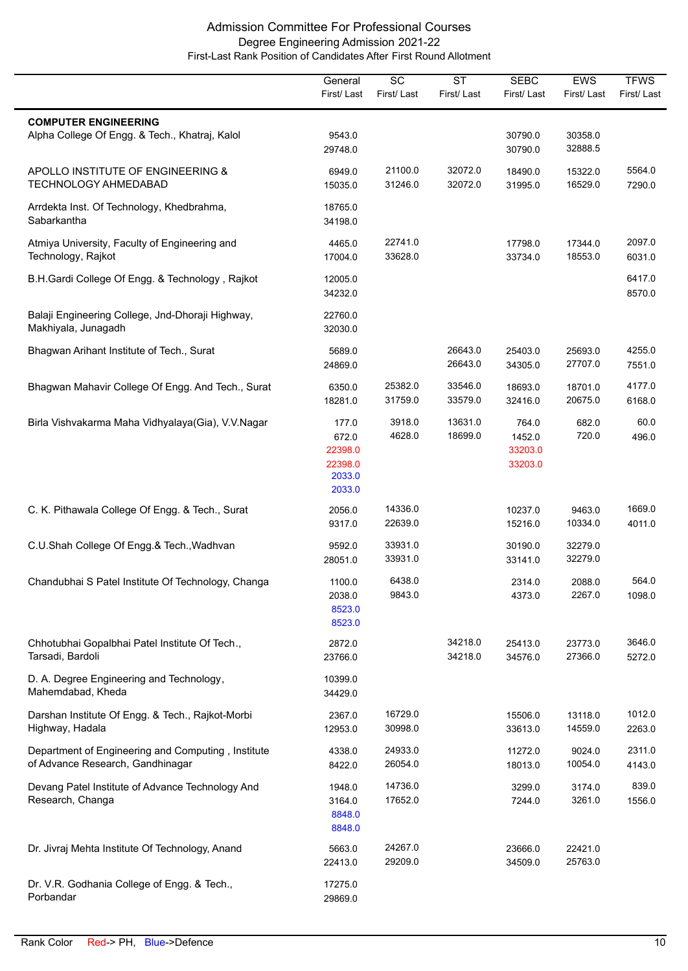|                                                                                        | General<br>First/Last                                    | $\overline{SC}$<br>First/Last | $\overline{\text{ST}}$<br>First/Last | <b>SEBC</b><br>First/ Last            | <b>EWS</b><br>First/Last | <b>TFWS</b><br>First/Last |
|----------------------------------------------------------------------------------------|----------------------------------------------------------|-------------------------------|--------------------------------------|---------------------------------------|--------------------------|---------------------------|
|                                                                                        |                                                          |                               |                                      |                                       |                          |                           |
| <b>COMPUTER ENGINEERING</b><br>Alpha College Of Engg. & Tech., Khatraj, Kalol          | 9543.0<br>29748.0                                        |                               |                                      | 30790.0<br>30790.0                    | 30358.0<br>32888.5       |                           |
| APOLLO INSTITUTE OF ENGINEERING &<br><b>TECHNOLOGY AHMEDABAD</b>                       | 6949.0<br>15035.0                                        | 21100.0<br>31246.0            | 32072.0<br>32072.0                   | 18490.0<br>31995.0                    | 15322.0<br>16529.0       | 5564.0<br>7290.0          |
| Arrdekta Inst. Of Technology, Khedbrahma,<br>Sabarkantha                               | 18765.0<br>34198.0                                       |                               |                                      |                                       |                          |                           |
| Atmiya University, Faculty of Engineering and<br>Technology, Rajkot                    | 4465.0<br>17004.0                                        | 22741.0<br>33628.0            |                                      | 17798.0<br>33734.0                    | 17344.0<br>18553.0       | 2097.0<br>6031.0          |
| B.H.Gardi College Of Engg. & Technology, Rajkot                                        | 12005.0<br>34232.0                                       |                               |                                      |                                       |                          | 6417.0<br>8570.0          |
| Balaji Engineering College, Jnd-Dhoraji Highway,<br>Makhiyala, Junagadh                | 22760.0<br>32030.0                                       |                               |                                      |                                       |                          |                           |
| Bhagwan Arihant Institute of Tech., Surat                                              | 5689.0<br>24869.0                                        |                               | 26643.0<br>26643.0                   | 25403.0<br>34305.0                    | 25693.0<br>27707.0       | 4255.0<br>7551.0          |
| Bhagwan Mahavir College Of Engg. And Tech., Surat                                      | 6350.0<br>18281.0                                        | 25382.0<br>31759.0            | 33546.0<br>33579.0                   | 18693.0<br>32416.0                    | 18701.0<br>20675.0       | 4177.0<br>6168.0          |
| Birla Vishvakarma Maha Vidhyalaya(Gia), V.V.Nagar                                      | 177.0<br>672.0<br>22398.0<br>22398.0<br>2033.0<br>2033.0 | 3918.0<br>4628.0              | 13631.0<br>18699.0                   | 764.0<br>1452.0<br>33203.0<br>33203.0 | 682.0<br>720.0           | 60.0<br>496.0             |
| C. K. Pithawala College Of Engg. & Tech., Surat                                        | 2056.0<br>9317.0                                         | 14336.0<br>22639.0            |                                      | 10237.0<br>15216.0                    | 9463.0<br>10334.0        | 1669.0<br>4011.0          |
| C.U.Shah College Of Engg.& Tech., Wadhvan                                              | 9592.0<br>28051.0                                        | 33931.0<br>33931.0            |                                      | 30190.0<br>33141.0                    | 32279.0<br>32279.0       |                           |
| Chandubhai S Patel Institute Of Technology, Changa                                     | 1100.0<br>2038.0<br>8523.0<br>8523.0                     | 6438.0<br>9843.0              |                                      | 2314.0<br>4373.0                      | 2088.0<br>2267.0         | 564.0<br>1098.0           |
| Chhotubhai Gopalbhai Patel Institute Of Tech.,<br>Tarsadi, Bardoli                     | 2872.0<br>23766.0                                        |                               | 34218.0<br>34218.0                   | 25413.0<br>34576.0                    | 23773.0<br>27366.0       | 3646.0<br>5272.0          |
| D. A. Degree Engineering and Technology,<br>Mahemdabad, Kheda                          | 10399.0<br>34429.0                                       |                               |                                      |                                       |                          |                           |
| Darshan Institute Of Engg. & Tech., Rajkot-Morbi<br>Highway, Hadala                    | 2367.0<br>12953.0                                        | 16729.0<br>30998.0            |                                      | 15506.0<br>33613.0                    | 13118.0<br>14559.0       | 1012.0<br>2263.0          |
| Department of Engineering and Computing, Institute<br>of Advance Research, Gandhinagar | 4338.0<br>8422.0                                         | 24933.0<br>26054.0            |                                      | 11272.0<br>18013.0                    | 9024.0<br>10054.0        | 2311.0<br>4143.0          |
| Devang Patel Institute of Advance Technology And<br>Research, Changa                   | 1948.0<br>3164.0<br>8848.0<br>8848.0                     | 14736.0<br>17652.0            |                                      | 3299.0<br>7244.0                      | 3174.0<br>3261.0         | 839.0<br>1556.0           |
| Dr. Jivraj Mehta Institute Of Technology, Anand                                        | 5663.0<br>22413.0                                        | 24267.0<br>29209.0            |                                      | 23666.0<br>34509.0                    | 22421.0<br>25763.0       |                           |
| Dr. V.R. Godhania College of Engg. & Tech.,<br>Porbandar                               | 17275.0<br>29869.0                                       |                               |                                      |                                       |                          |                           |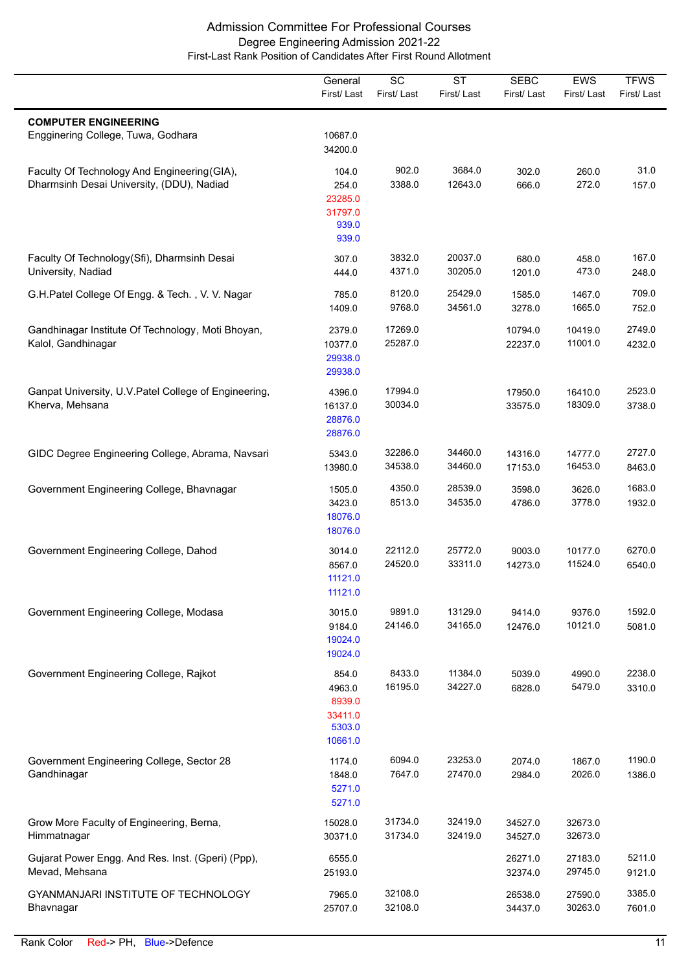|                                                                                           | General<br>First/Last                                     | $\overline{SC}$<br>First/Last | $\overline{\text{ST}}$<br>First/Last | <b>SEBC</b><br>First/Last | <b>EWS</b><br>First/Last | <b>TFWS</b><br>First/Last |
|-------------------------------------------------------------------------------------------|-----------------------------------------------------------|-------------------------------|--------------------------------------|---------------------------|--------------------------|---------------------------|
| <b>COMPUTER ENGINEERING</b><br>Engginering College, Tuwa, Godhara                         | 10687.0<br>34200.0                                        |                               |                                      |                           |                          |                           |
| Faculty Of Technology And Engineering (GIA),<br>Dharmsinh Desai University, (DDU), Nadiad | 104.0<br>254.0<br>23285.0<br>31797.0<br>939.0<br>939.0    | 902.0<br>3388.0               | 3684.0<br>12643.0                    | 302.0<br>666.0            | 260.0<br>272.0           | 31.0<br>157.0             |
| Faculty Of Technology(Sfi), Dharmsinh Desai<br>University, Nadiad                         | 307.0<br>444.0                                            | 3832.0<br>4371.0              | 20037.0<br>30205.0                   | 680.0<br>1201.0           | 458.0<br>473.0           | 167.0<br>248.0            |
| G.H.Patel College Of Engg. & Tech., V. V. Nagar                                           | 785.0<br>1409.0                                           | 8120.0<br>9768.0              | 25429.0<br>34561.0                   | 1585.0<br>3278.0          | 1467.0<br>1665.0         | 709.0<br>752.0            |
| Gandhinagar Institute Of Technology, Moti Bhoyan,<br>Kalol, Gandhinagar                   | 2379.0<br>10377.0<br>29938.0<br>29938.0                   | 17269.0<br>25287.0            |                                      | 10794.0<br>22237.0        | 10419.0<br>11001.0       | 2749.0<br>4232.0          |
| Ganpat University, U.V. Patel College of Engineering,<br>Kherva, Mehsana                  | 4396.0<br>16137.0<br>28876.0<br>28876.0                   | 17994.0<br>30034.0            |                                      | 17950.0<br>33575.0        | 16410.0<br>18309.0       | 2523.0<br>3738.0          |
| GIDC Degree Engineering College, Abrama, Navsari                                          | 5343.0<br>13980.0                                         | 32286.0<br>34538.0            | 34460.0<br>34460.0                   | 14316.0<br>17153.0        | 14777.0<br>16453.0       | 2727.0<br>8463.0          |
| Government Engineering College, Bhavnagar                                                 | 1505.0<br>3423.0<br>18076.0<br>18076.0                    | 4350.0<br>8513.0              | 28539.0<br>34535.0                   | 3598.0<br>4786.0          | 3626.0<br>3778.0         | 1683.0<br>1932.0          |
| Government Engineering College, Dahod                                                     | 3014.0<br>8567.0<br>11121.0<br>11121.0                    | 22112.0<br>24520.0            | 25772.0<br>33311.0                   | 9003.0<br>14273.0         | 10177.0<br>11524.0       | 6270.0<br>6540.0          |
| Government Engineering College, Modasa                                                    | 3015.0<br>9184.0<br>19024.0<br>19024.0                    | 9891.0<br>24146.0             | 13129.0<br>34165.0                   | 9414.0<br>12476.0         | 9376.0<br>10121.0        | 1592.0<br>5081.0          |
| Government Engineering College, Rajkot                                                    | 854.0<br>4963.0<br>8939.0<br>33411.0<br>5303.0<br>10661.0 | 8433.0<br>16195.0             | 11384.0<br>34227.0                   | 5039.0<br>6828.0          | 4990.0<br>5479.0         | 2238.0<br>3310.0          |
| Government Engineering College, Sector 28<br>Gandhinagar                                  | 1174.0<br>1848.0<br>5271.0<br>5271.0                      | 6094.0<br>7647.0              | 23253.0<br>27470.0                   | 2074.0<br>2984.0          | 1867.0<br>2026.0         | 1190.0<br>1386.0          |
| Grow More Faculty of Engineering, Berna,<br>Himmatnagar                                   | 15028.0<br>30371.0                                        | 31734.0<br>31734.0            | 32419.0<br>32419.0                   | 34527.0<br>34527.0        | 32673.0<br>32673.0       |                           |
| Gujarat Power Engg. And Res. Inst. (Gperi) (Ppp),<br>Mevad, Mehsana                       | 6555.0<br>25193.0                                         |                               |                                      | 26271.0<br>32374.0        | 27183.0<br>29745.0       | 5211.0<br>9121.0          |
| GYANMANJARI INSTITUTE OF TECHNOLOGY<br>Bhavnagar                                          | 7965.0<br>25707.0                                         | 32108.0<br>32108.0            |                                      | 26538.0<br>34437.0        | 27590.0<br>30263.0       | 3385.0<br>7601.0          |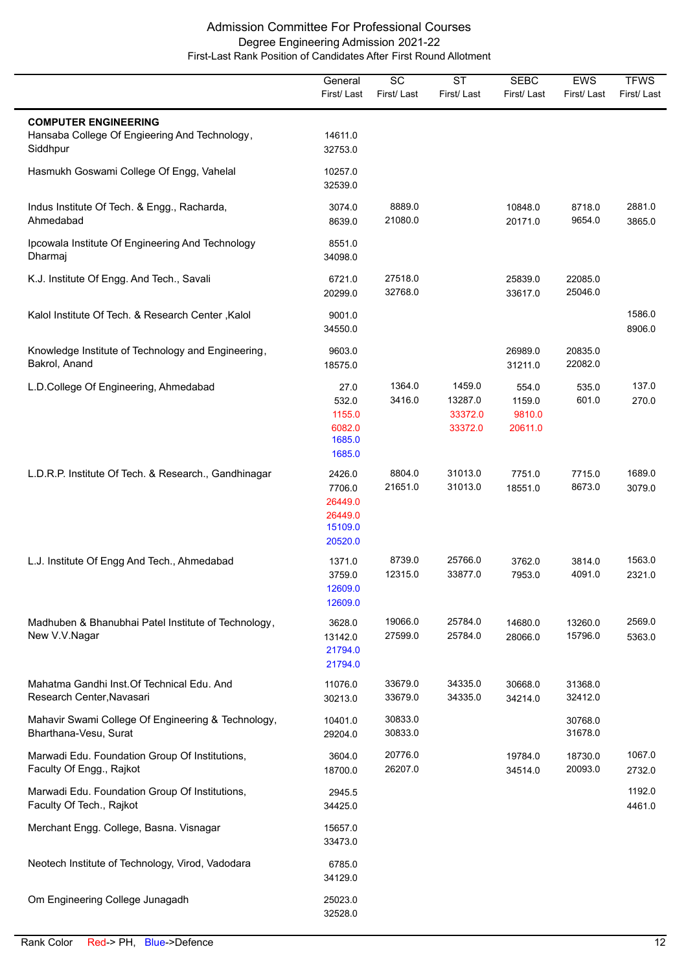|                                                                                          | General<br>First/Last                                        | $\overline{SC}$<br>First/Last | $\overline{\text{ST}}$<br>First/Last    | <b>SEBC</b><br>First/Last            | <b>EWS</b><br>First/Last | <b>TFWS</b><br>First/Last |
|------------------------------------------------------------------------------------------|--------------------------------------------------------------|-------------------------------|-----------------------------------------|--------------------------------------|--------------------------|---------------------------|
| <b>COMPUTER ENGINEERING</b><br>Hansaba College Of Engieering And Technology,<br>Siddhpur | 14611.0<br>32753.0                                           |                               |                                         |                                      |                          |                           |
| Hasmukh Goswami College Of Engg, Vahelal                                                 | 10257.0<br>32539.0                                           |                               |                                         |                                      |                          |                           |
| Indus Institute Of Tech. & Engg., Racharda,<br>Ahmedabad                                 | 3074.0<br>8639.0                                             | 8889.0<br>21080.0             |                                         | 10848.0<br>20171.0                   | 8718.0<br>9654.0         | 2881.0<br>3865.0          |
| Ipcowala Institute Of Engineering And Technology<br>Dharmaj                              | 8551.0<br>34098.0                                            |                               |                                         |                                      |                          |                           |
| K.J. Institute Of Engg. And Tech., Savali                                                | 6721.0<br>20299.0                                            | 27518.0<br>32768.0            |                                         | 25839.0<br>33617.0                   | 22085.0<br>25046.0       |                           |
| Kalol Institute Of Tech. & Research Center, Kalol                                        | 9001.0<br>34550.0                                            |                               |                                         |                                      |                          | 1586.0<br>8906.0          |
| Knowledge Institute of Technology and Engineering,<br>Bakrol, Anand                      | 9603.0<br>18575.0                                            |                               |                                         | 26989.0<br>31211.0                   | 20835.0<br>22082.0       |                           |
| L.D.College Of Engineering, Ahmedabad                                                    | 27.0<br>532.0<br>1155.0<br>6082.0<br>1685.0<br>1685.0        | 1364.0<br>3416.0              | 1459.0<br>13287.0<br>33372.0<br>33372.0 | 554.0<br>1159.0<br>9810.0<br>20611.0 | 535.0<br>601.0           | 137.0<br>270.0            |
| L.D.R.P. Institute Of Tech. & Research., Gandhinagar                                     | 2426.0<br>7706.0<br>26449.0<br>26449.0<br>15109.0<br>20520.0 | 8804.0<br>21651.0             | 31013.0<br>31013.0                      | 7751.0<br>18551.0                    | 7715.0<br>8673.0         | 1689.0<br>3079.0          |
| L.J. Institute Of Engg And Tech., Ahmedabad                                              | 1371.0<br>3759.0<br>12609.0<br>12609.0                       | 8739.0<br>12315.0             | 25766.0<br>33877.0                      | 3762.0<br>7953.0                     | 3814.0<br>4091.0         | 1563.0<br>2321.0          |
| Madhuben & Bhanubhai Patel Institute of Technology,<br>New V.V.Nagar                     | 3628.0<br>13142.0<br>21794.0<br>21794.0                      | 19066.0<br>27599.0            | 25784.0<br>25784.0                      | 14680.0<br>28066.0                   | 13260.0<br>15796.0       | 2569.0<br>5363.0          |
| Mahatma Gandhi Inst. Of Technical Edu. And<br>Research Center, Navasari                  | 11076.0<br>30213.0                                           | 33679.0<br>33679.0            | 34335.0<br>34335.0                      | 30668.0<br>34214.0                   | 31368.0<br>32412.0       |                           |
| Mahavir Swami College Of Engineering & Technology,<br>Bharthana-Vesu, Surat              | 10401.0<br>29204.0                                           | 30833.0<br>30833.0            |                                         |                                      | 30768.0<br>31678.0       |                           |
| Marwadi Edu. Foundation Group Of Institutions,<br>Faculty Of Engg., Rajkot               | 3604.0<br>18700.0                                            | 20776.0<br>26207.0            |                                         | 19784.0<br>34514.0                   | 18730.0<br>20093.0       | 1067.0<br>2732.0          |
| Marwadi Edu. Foundation Group Of Institutions,<br>Faculty Of Tech., Rajkot               | 2945.5<br>34425.0                                            |                               |                                         |                                      |                          | 1192.0<br>4461.0          |
| Merchant Engg. College, Basna. Visnagar                                                  | 15657.0<br>33473.0                                           |                               |                                         |                                      |                          |                           |
| Neotech Institute of Technology, Virod, Vadodara                                         | 6785.0<br>34129.0                                            |                               |                                         |                                      |                          |                           |
| Om Engineering College Junagadh                                                          | 25023.0<br>32528.0                                           |                               |                                         |                                      |                          |                           |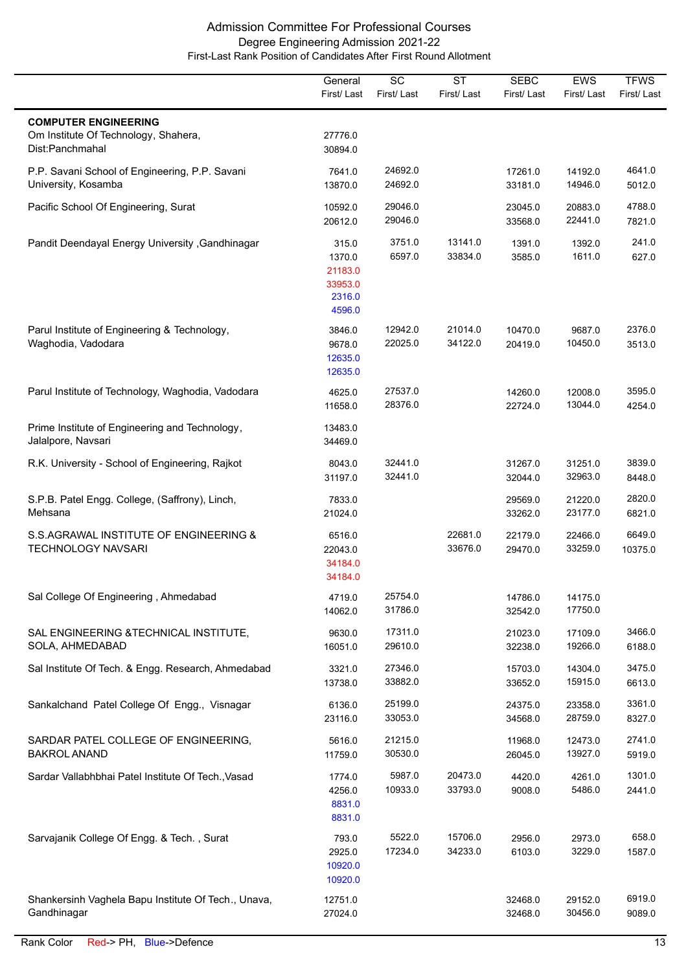|                                                                                        | General<br>First/Last                                     | $\overline{SC}$<br>First/Last | <b>ST</b><br>First/Last | <b>SEBC</b><br>First/Last | <b>EWS</b><br>First/Last | <b>TFWS</b><br>First/Last |
|----------------------------------------------------------------------------------------|-----------------------------------------------------------|-------------------------------|-------------------------|---------------------------|--------------------------|---------------------------|
| <b>COMPUTER ENGINEERING</b><br>Om Institute Of Technology, Shahera,<br>Dist:Panchmahal | 27776.0<br>30894.0                                        |                               |                         |                           |                          |                           |
| P.P. Savani School of Engineering, P.P. Savani<br>University, Kosamba                  | 7641.0<br>13870.0                                         | 24692.0<br>24692.0            |                         | 17261.0<br>33181.0        | 14192.0<br>14946.0       | 4641.0<br>5012.0          |
| Pacific School Of Engineering, Surat                                                   | 10592.0<br>20612.0                                        | 29046.0<br>29046.0            |                         | 23045.0<br>33568.0        | 20883.0<br>22441.0       | 4788.0<br>7821.0          |
| Pandit Deendayal Energy University , Gandhinagar                                       | 315.0<br>1370.0<br>21183.0<br>33953.0<br>2316.0<br>4596.0 | 3751.0<br>6597.0              | 13141.0<br>33834.0      | 1391.0<br>3585.0          | 1392.0<br>1611.0         | 241.0<br>627.0            |
| Parul Institute of Engineering & Technology,<br>Waghodia, Vadodara                     | 3846.0<br>9678.0<br>12635.0<br>12635.0                    | 12942.0<br>22025.0            | 21014.0<br>34122.0      | 10470.0<br>20419.0        | 9687.0<br>10450.0        | 2376.0<br>3513.0          |
| Parul Institute of Technology, Waghodia, Vadodara                                      | 4625.0<br>11658.0                                         | 27537.0<br>28376.0            |                         | 14260.0<br>22724.0        | 12008.0<br>13044.0       | 3595.0<br>4254.0          |
| Prime Institute of Engineering and Technology,<br>Jalalpore, Navsari                   | 13483.0<br>34469.0                                        |                               |                         |                           |                          |                           |
| R.K. University - School of Engineering, Rajkot                                        | 8043.0<br>31197.0                                         | 32441.0<br>32441.0            |                         | 31267.0<br>32044.0        | 31251.0<br>32963.0       | 3839.0<br>8448.0          |
| S.P.B. Patel Engg. College, (Saffrony), Linch,<br>Mehsana                              | 7833.0<br>21024.0                                         |                               |                         | 29569.0<br>33262.0        | 21220.0<br>23177.0       | 2820.0<br>6821.0          |
| S.S.AGRAWAL INSTITUTE OF ENGINEERING &<br><b>TECHNOLOGY NAVSARI</b>                    | 6516.0<br>22043.0<br>34184.0<br>34184.0                   |                               | 22681.0<br>33676.0      | 22179.0<br>29470.0        | 22466.0<br>33259.0       | 6649.0<br>10375.0         |
| Sal College Of Engineering, Ahmedabad                                                  | 4719.0<br>14062.0                                         | 25754.0<br>31786.0            |                         | 14786.0<br>32542.0        | 14175.0<br>17750.0       |                           |
| SAL ENGINEERING & TECHNICAL INSTITUTE,<br>SOLA, AHMEDABAD                              | 9630.0<br>16051.0                                         | 17311.0<br>29610.0            |                         | 21023.0<br>32238.0        | 17109.0<br>19266.0       | 3466.0<br>6188.0          |
| Sal Institute Of Tech. & Engg. Research, Ahmedabad                                     | 3321.0<br>13738.0                                         | 27346.0<br>33882.0            |                         | 15703.0<br>33652.0        | 14304.0<br>15915.0       | 3475.0<br>6613.0          |
| Sankalchand Patel College Of Engg., Visnagar                                           | 6136.0<br>23116.0                                         | 25199.0<br>33053.0            |                         | 24375.0<br>34568.0        | 23358.0<br>28759.0       | 3361.0<br>8327.0          |
| SARDAR PATEL COLLEGE OF ENGINEERING,<br><b>BAKROL ANAND</b>                            | 5616.0<br>11759.0                                         | 21215.0<br>30530.0            |                         | 11968.0<br>26045.0        | 12473.0<br>13927.0       | 2741.0<br>5919.0          |
| Sardar Vallabhbhai Patel Institute Of Tech., Vasad                                     | 1774.0<br>4256.0<br>8831.0<br>8831.0                      | 5987.0<br>10933.0             | 20473.0<br>33793.0      | 4420.0<br>9008.0          | 4261.0<br>5486.0         | 1301.0<br>2441.0          |
| Sarvajanik College Of Engg. & Tech., Surat                                             | 793.0<br>2925.0<br>10920.0<br>10920.0                     | 5522.0<br>17234.0             | 15706.0<br>34233.0      | 2956.0<br>6103.0          | 2973.0<br>3229.0         | 658.0<br>1587.0           |
| Shankersinh Vaghela Bapu Institute Of Tech., Unava,<br>Gandhinagar                     | 12751.0<br>27024.0                                        |                               |                         | 32468.0<br>32468.0        | 29152.0<br>30456.0       | 6919.0<br>9089.0          |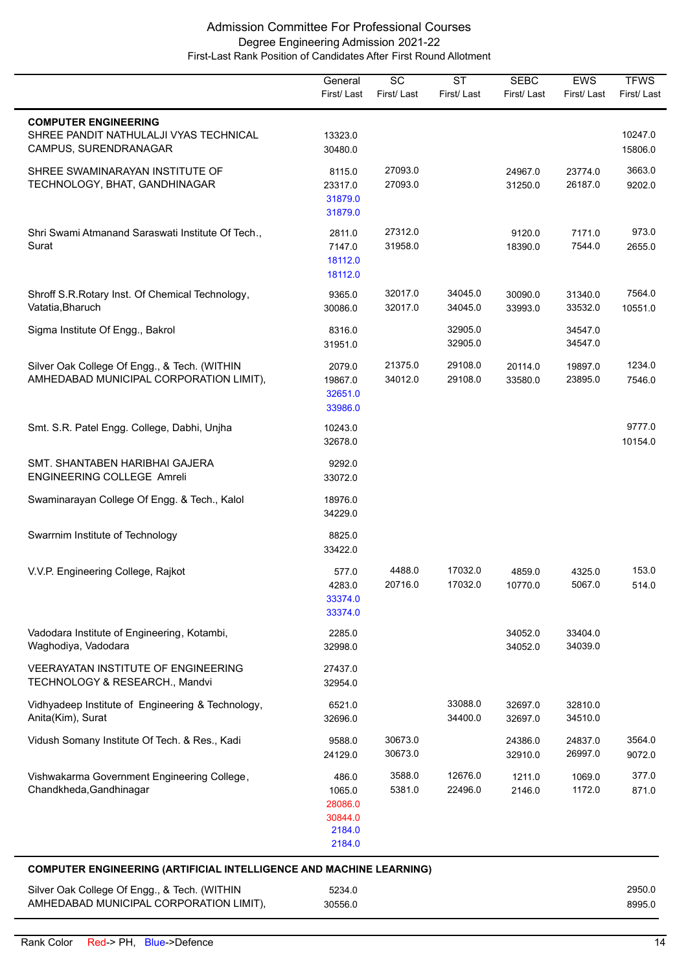|                                                                                                | General<br>First/Last                                     | SC<br>First/Last   | <b>ST</b><br>First/Last | <b>SEBC</b><br>First/Last | <b>EWS</b><br>First/Last | <b>TFWS</b><br>First/Last |
|------------------------------------------------------------------------------------------------|-----------------------------------------------------------|--------------------|-------------------------|---------------------------|--------------------------|---------------------------|
| <b>COMPUTER ENGINEERING</b><br>SHREE PANDIT NATHULALJI VYAS TECHNICAL<br>CAMPUS, SURENDRANAGAR | 13323.0<br>30480.0                                        |                    |                         |                           |                          | 10247.0<br>15806.0        |
| SHREE SWAMINARAYAN INSTITUTE OF<br>TECHNOLOGY, BHAT, GANDHINAGAR                               | 8115.0<br>23317.0<br>31879.0<br>31879.0                   | 27093.0<br>27093.0 |                         | 24967.0<br>31250.0        | 23774.0<br>26187.0       | 3663.0<br>9202.0          |
| Shri Swami Atmanand Saraswati Institute Of Tech.,<br>Surat                                     | 2811.0<br>7147.0<br>18112.0<br>18112.0                    | 27312.0<br>31958.0 |                         | 9120.0<br>18390.0         | 7171.0<br>7544.0         | 973.0<br>2655.0           |
| Shroff S.R. Rotary Inst. Of Chemical Technology,<br>Vatatia, Bharuch                           | 9365.0<br>30086.0                                         | 32017.0<br>32017.0 | 34045.0<br>34045.0      | 30090.0<br>33993.0        | 31340.0<br>33532.0       | 7564.0<br>10551.0         |
| Sigma Institute Of Engg., Bakrol                                                               | 8316.0<br>31951.0                                         |                    | 32905.0<br>32905.0      |                           | 34547.0<br>34547.0       |                           |
| Silver Oak College Of Engg., & Tech. (WITHIN<br>AMHEDABAD MUNICIPAL CORPORATION LIMIT),        | 2079.0<br>19867.0<br>32651.0<br>33986.0                   | 21375.0<br>34012.0 | 29108.0<br>29108.0      | 20114.0<br>33580.0        | 19897.0<br>23895.0       | 1234.0<br>7546.0          |
| Smt. S.R. Patel Engg. College, Dabhi, Unjha                                                    | 10243.0<br>32678.0                                        |                    |                         |                           |                          | 9777.0<br>10154.0         |
| SMT. SHANTABEN HARIBHAI GAJERA<br><b>ENGINEERING COLLEGE Amreli</b>                            | 9292.0<br>33072.0                                         |                    |                         |                           |                          |                           |
| Swaminarayan College Of Engg. & Tech., Kalol                                                   | 18976.0<br>34229.0                                        |                    |                         |                           |                          |                           |
| Swarrnim Institute of Technology                                                               | 8825.0<br>33422.0                                         |                    |                         |                           |                          |                           |
| V.V.P. Engineering College, Rajkot                                                             | 577.0<br>4283.0<br>33374.0<br>33374.0                     | 4488.0<br>20716.0  | 17032.0<br>17032.0      | 4859.0<br>10770.0         | 4325.0<br>5067.0         | 153.0<br>514.0            |
| Vadodara Institute of Engineering, Kotambi,<br>Waghodiya, Vadodara                             | 2285.0<br>32998.0                                         |                    |                         | 34052.0<br>34052.0        | 33404.0<br>34039.0       |                           |
| VEERAYATAN INSTITUTE OF ENGINEERING<br>TECHNOLOGY & RESEARCH., Mandvi                          | 27437.0<br>32954.0                                        |                    |                         |                           |                          |                           |
| Vidhyadeep Institute of Engineering & Technology,<br>Anita(Kim), Surat                         | 6521.0<br>32696.0                                         |                    | 33088.0<br>34400.0      | 32697.0<br>32697.0        | 32810.0<br>34510.0       |                           |
| Vidush Somany Institute Of Tech. & Res., Kadi                                                  | 9588.0<br>24129.0                                         | 30673.0<br>30673.0 |                         | 24386.0<br>32910.0        | 24837.0<br>26997.0       | 3564.0<br>9072.0          |
| Vishwakarma Government Engineering College,<br>Chandkheda, Gandhinagar                         | 486.0<br>1065.0<br>28086.0<br>30844.0<br>2184.0<br>2184.0 | 3588.0<br>5381.0   | 12676.0<br>22496.0      | 1211.0<br>2146.0          | 1069.0<br>1172.0         | 377.0<br>871.0            |
| <b>COMPUTER ENGINEERING (ARTIFICIAL INTELLIGENCE AND MACHINE LEARNING)</b>                     |                                                           |                    |                         |                           |                          |                           |

| Silver Oak College Of Engg., & Tech. (WITHIN | 5234.0  | 2950.0 |
|----------------------------------------------|---------|--------|
| AMHEDABAD MUNICIPAL CORPORATION LIMIT),      | 30556.0 | 8995.0 |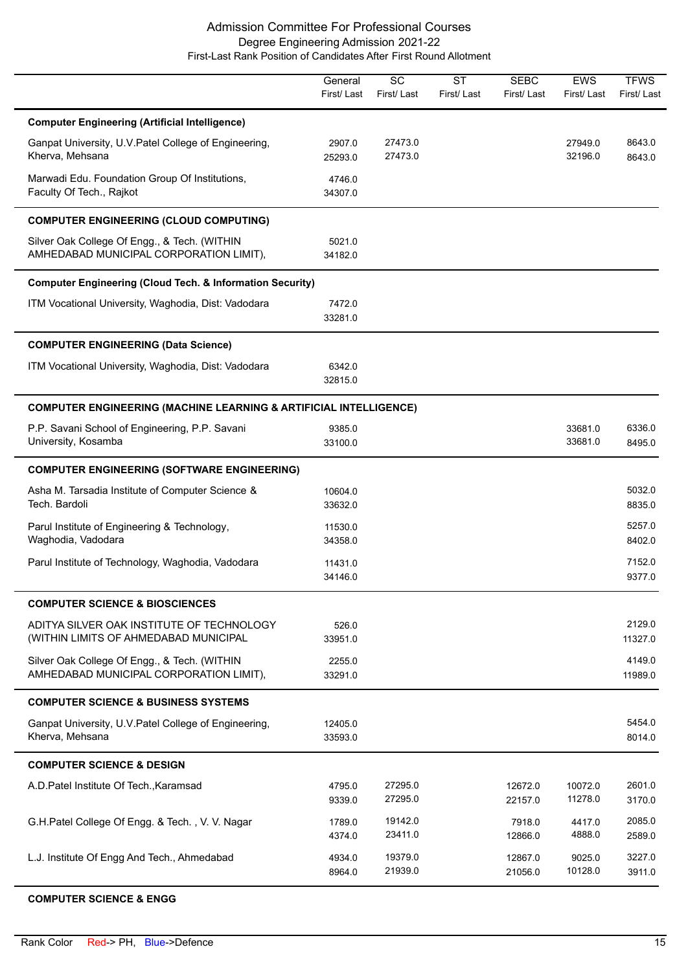|                                                                                         | General<br>First/Last | $\overline{SC}$<br>First/Last | <b>ST</b><br>First/Last | <b>SEBC</b><br>First/Last | <b>EWS</b><br>First/Last | <b>TFWS</b><br>First/Last |
|-----------------------------------------------------------------------------------------|-----------------------|-------------------------------|-------------------------|---------------------------|--------------------------|---------------------------|
| <b>Computer Engineering (Artificial Intelligence)</b>                                   |                       |                               |                         |                           |                          |                           |
| Ganpat University, U.V. Patel College of Engineering,<br>Kherva, Mehsana                | 2907.0<br>25293.0     | 27473.0<br>27473.0            |                         |                           | 27949.0<br>32196.0       | 8643.0<br>8643.0          |
| Marwadi Edu. Foundation Group Of Institutions,<br>Faculty Of Tech., Rajkot              | 4746.0<br>34307.0     |                               |                         |                           |                          |                           |
| <b>COMPUTER ENGINEERING (CLOUD COMPUTING)</b>                                           |                       |                               |                         |                           |                          |                           |
| Silver Oak College Of Engg., & Tech. (WITHIN<br>AMHEDABAD MUNICIPAL CORPORATION LIMIT), | 5021.0<br>34182.0     |                               |                         |                           |                          |                           |
| <b>Computer Engineering (Cloud Tech. &amp; Information Security)</b>                    |                       |                               |                         |                           |                          |                           |
| ITM Vocational University, Waghodia, Dist: Vadodara                                     | 7472.0<br>33281.0     |                               |                         |                           |                          |                           |
| <b>COMPUTER ENGINEERING (Data Science)</b>                                              |                       |                               |                         |                           |                          |                           |
| ITM Vocational University, Waghodia, Dist: Vadodara                                     | 6342.0<br>32815.0     |                               |                         |                           |                          |                           |
| <b>COMPUTER ENGINEERING (MACHINE LEARNING &amp; ARTIFICIAL INTELLIGENCE)</b>            |                       |                               |                         |                           |                          |                           |
| P.P. Savani School of Engineering, P.P. Savani<br>University, Kosamba                   | 9385.0<br>33100.0     |                               |                         |                           | 33681.0<br>33681.0       | 6336.0<br>8495.0          |
| <b>COMPUTER ENGINEERING (SOFTWARE ENGINEERING)</b>                                      |                       |                               |                         |                           |                          |                           |
| Asha M. Tarsadia Institute of Computer Science &<br>Tech. Bardoli                       | 10604.0<br>33632.0    |                               |                         |                           |                          | 5032.0<br>8835.0          |
| Parul Institute of Engineering & Technology,<br>Waghodia, Vadodara                      | 11530.0<br>34358.0    |                               |                         |                           |                          | 5257.0<br>8402.0          |
| Parul Institute of Technology, Waghodia, Vadodara                                       | 11431.0<br>34146.0    |                               |                         |                           |                          | 7152.0<br>9377.0          |
| <b>COMPUTER SCIENCE &amp; BIOSCIENCES</b>                                               |                       |                               |                         |                           |                          |                           |
| ADITYA SILVER OAK INSTITUTE OF TECHNOLOGY<br>(WITHIN LIMITS OF AHMEDABAD MUNICIPAL      | 526.0<br>33951.0      |                               |                         |                           |                          | 2129.0<br>11327.0         |
| Silver Oak College Of Engg., & Tech. (WITHIN<br>AMHEDABAD MUNICIPAL CORPORATION LIMIT), | 2255.0<br>33291.0     |                               |                         |                           |                          | 4149.0<br>11989.0         |
| <b>COMPUTER SCIENCE &amp; BUSINESS SYSTEMS</b>                                          |                       |                               |                         |                           |                          |                           |
| Ganpat University, U.V. Patel College of Engineering,<br>Kherva, Mehsana                | 12405.0<br>33593.0    |                               |                         |                           |                          | 5454.0<br>8014.0          |
| <b>COMPUTER SCIENCE &amp; DESIGN</b>                                                    |                       |                               |                         |                           |                          |                           |
| A.D. Patel Institute Of Tech., Karamsad                                                 | 4795.0<br>9339.0      | 27295.0<br>27295.0            |                         | 12672.0<br>22157.0        | 10072.0<br>11278.0       | 2601.0<br>3170.0          |
| G.H.Patel College Of Engg. & Tech., V. V. Nagar                                         | 1789.0<br>4374.0      | 19142.0<br>23411.0            |                         | 7918.0<br>12866.0         | 4417.0<br>4888.0         | 2085.0<br>2589.0          |
| L.J. Institute Of Engg And Tech., Ahmedabad                                             | 4934.0<br>8964.0      | 19379.0<br>21939.0            |                         | 12867.0<br>21056.0        | 9025.0<br>10128.0        | 3227.0<br>3911.0          |

#### **COMPUTER SCIENCE & ENGG**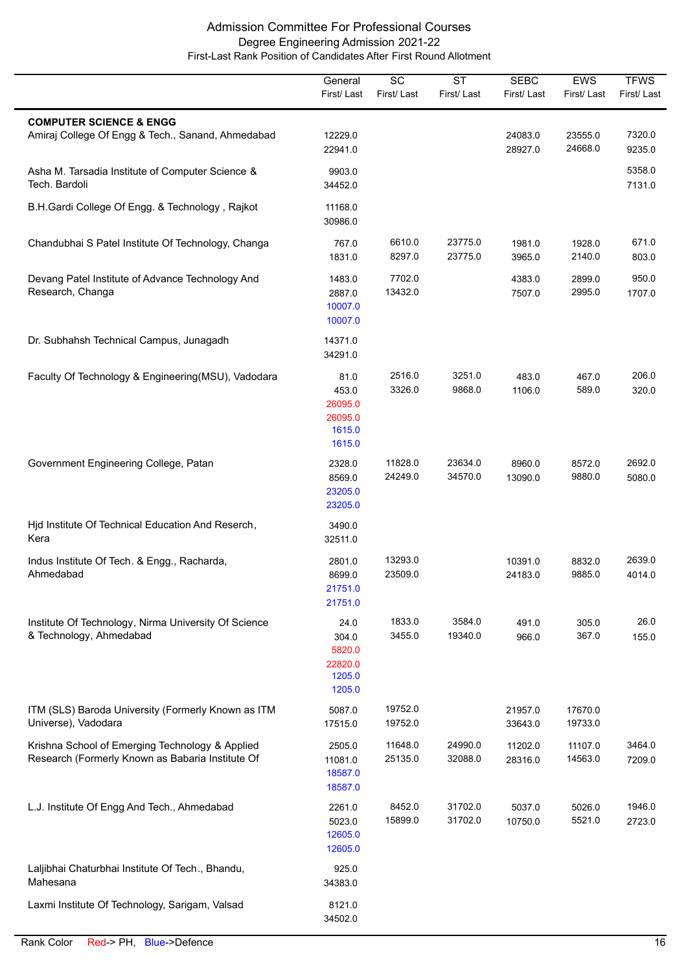|                                                                                                     | General<br>First/Last                                   | SC<br>First/Last   | $\overline{\text{ST}}$<br>First/Last | <b>SEBC</b><br>First/Last | EWS<br>First/Last  | <b>TFWS</b><br>First/Last |
|-----------------------------------------------------------------------------------------------------|---------------------------------------------------------|--------------------|--------------------------------------|---------------------------|--------------------|---------------------------|
| <b>COMPUTER SCIENCE &amp; ENGG</b><br>Amiraj College Of Engg & Tech., Sanand, Ahmedabad             | 12229.0<br>22941.0                                      |                    |                                      | 24083.0<br>28927.0        | 23555.0<br>24668.0 | 7320.0<br>9235.0          |
| Asha M. Tarsadia Institute of Computer Science &<br>Tech. Bardoli                                   | 9903.0<br>34452.0                                       |                    |                                      |                           |                    | 5358.0<br>7131.0          |
| B.H.Gardi College Of Engg. & Technology, Rajkot                                                     | 11168.0<br>30986.0                                      |                    |                                      |                           |                    |                           |
| Chandubhai S Patel Institute Of Technology, Changa                                                  | 767.0<br>1831.0                                         | 6610.0<br>8297.0   | 23775.0<br>23775.0                   | 1981.0<br>3965.0          | 1928.0<br>2140.0   | 671.0<br>803.0            |
| Devang Patel Institute of Advance Technology And<br>Research, Changa                                | 1483.0<br>2887.0<br>10007.0<br>10007.0                  | 7702.0<br>13432.0  |                                      | 4383.0<br>7507.0          | 2899.0<br>2995.0   | 950.0<br>1707.0           |
| Dr. Subhahsh Technical Campus, Junagadh                                                             | 14371.0<br>34291.0                                      |                    |                                      |                           |                    |                           |
| Faculty Of Technology & Engineering(MSU), Vadodara                                                  | 81.0<br>453.0<br>26095.0<br>26095.0<br>1615.0<br>1615.0 | 2516.0<br>3326.0   | 3251.0<br>9868.0                     | 483.0<br>1106.0           | 467.0<br>589.0     | 206.0<br>320.0            |
| Government Engineering College, Patan                                                               | 2328.0<br>8569.0<br>23205.0<br>23205.0                  | 11828.0<br>24249.0 | 23634.0<br>34570.0                   | 8960.0<br>13090.0         | 8572.0<br>9880.0   | 2692.0<br>5080.0          |
| Hjd Institute Of Technical Education And Reserch,<br>Kera                                           | 3490.0<br>32511.0                                       |                    |                                      |                           |                    |                           |
| Indus Institute Of Tech. & Engg., Racharda,<br>Ahmedabad                                            | 2801.0<br>8699.0<br>21751.0<br>21751.0                  | 13293.0<br>23509.0 |                                      | 10391.0<br>24183.0        | 8832.0<br>9885.0   | 2639.0<br>4014.0          |
| Institute Of Technology, Nirma University Of Science<br>& Technology, Ahmedabad                     | 24.0<br>304.0<br>5820.0<br>22820.0<br>1205.0<br>1205.0  | 1833.0<br>3455.0   | 3584.0<br>19340.0                    | 491.0<br>966.0            | 305.0<br>367.0     | 26.0<br>155.0             |
| ITM (SLS) Baroda University (Formerly Known as ITM<br>Universe), Vadodara                           | 5087.0<br>17515.0                                       | 19752.0<br>19752.0 |                                      | 21957.0<br>33643.0        | 17670.0<br>19733.0 |                           |
| Krishna School of Emerging Technology & Applied<br>Research (Formerly Known as Babaria Institute Of | 2505.0<br>11081.0<br>18587.0<br>18587.0                 | 11648.0<br>25135.0 | 24990.0<br>32088.0                   | 11202.0<br>28316.0        | 11107.0<br>14563.0 | 3464.0<br>7209.0          |
| L.J. Institute Of Engg And Tech., Ahmedabad                                                         | 2261.0<br>5023.0<br>12605.0<br>12605.0                  | 8452.0<br>15899.0  | 31702.0<br>31702.0                   | 5037.0<br>10750.0         | 5026.0<br>5521.0   | 1946.0<br>2723.0          |
| Laljibhai Chaturbhai Institute Of Tech., Bhandu,<br>Mahesana                                        | 925.0<br>34383.0                                        |                    |                                      |                           |                    |                           |
| Laxmi Institute Of Technology, Sarigam, Valsad                                                      | 8121.0<br>34502.0                                       |                    |                                      |                           |                    |                           |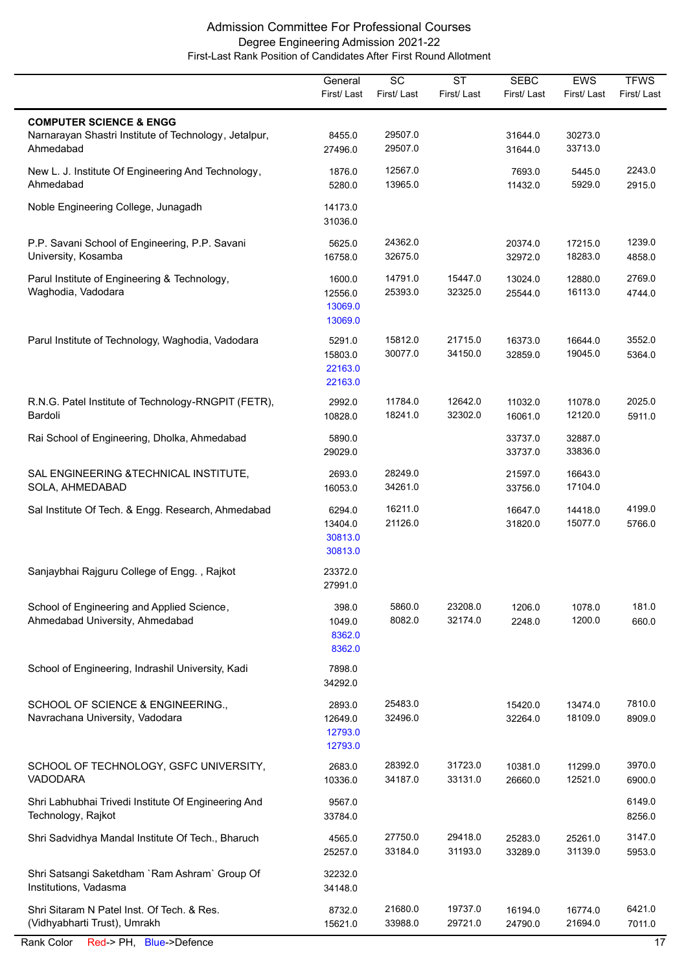|                                                                                                          | General<br>First/Last                   | SC<br>First/Last   | <b>ST</b><br>First/Last | <b>SEBC</b><br>First/Last | <b>EWS</b><br>First/Last | <b>TFWS</b><br>First/Last |
|----------------------------------------------------------------------------------------------------------|-----------------------------------------|--------------------|-------------------------|---------------------------|--------------------------|---------------------------|
| <b>COMPUTER SCIENCE &amp; ENGG</b><br>Narnarayan Shastri Institute of Technology, Jetalpur,<br>Ahmedabad | 8455.0<br>27496.0                       | 29507.0<br>29507.0 |                         | 31644.0<br>31644.0        | 30273.0<br>33713.0       |                           |
| New L. J. Institute Of Engineering And Technology,<br>Ahmedabad                                          | 1876.0<br>5280.0                        | 12567.0<br>13965.0 |                         | 7693.0<br>11432.0         | 5445.0<br>5929.0         | 2243.0<br>2915.0          |
| Noble Engineering College, Junagadh                                                                      | 14173.0<br>31036.0                      |                    |                         |                           |                          |                           |
| P.P. Savani School of Engineering, P.P. Savani<br>University, Kosamba                                    | 5625.0<br>16758.0                       | 24362.0<br>32675.0 |                         | 20374.0<br>32972.0        | 17215.0<br>18283.0       | 1239.0<br>4858.0          |
| Parul Institute of Engineering & Technology,<br>Waghodia, Vadodara                                       | 1600.0<br>12556.0<br>13069.0<br>13069.0 | 14791.0<br>25393.0 | 15447.0<br>32325.0      | 13024.0<br>25544.0        | 12880.0<br>16113.0       | 2769.0<br>4744.0          |
| Parul Institute of Technology, Waghodia, Vadodara                                                        | 5291.0<br>15803.0<br>22163.0<br>22163.0 | 15812.0<br>30077.0 | 21715.0<br>34150.0      | 16373.0<br>32859.0        | 16644.0<br>19045.0       | 3552.0<br>5364.0          |
| R.N.G. Patel Institute of Technology-RNGPIT (FETR),<br>Bardoli                                           | 2992.0<br>10828.0                       | 11784.0<br>18241.0 | 12642.0<br>32302.0      | 11032.0<br>16061.0        | 11078.0<br>12120.0       | 2025.0<br>5911.0          |
| Rai School of Engineering, Dholka, Ahmedabad                                                             | 5890.0<br>29029.0                       |                    |                         | 33737.0<br>33737.0        | 32887.0<br>33836.0       |                           |
| SAL ENGINEERING & TECHNICAL INSTITUTE,<br>SOLA, AHMEDABAD                                                | 2693.0<br>16053.0                       | 28249.0<br>34261.0 |                         | 21597.0<br>33756.0        | 16643.0<br>17104.0       |                           |
| Sal Institute Of Tech. & Engg. Research, Ahmedabad                                                       | 6294.0<br>13404.0<br>30813.0<br>30813.0 | 16211.0<br>21126.0 |                         | 16647.0<br>31820.0        | 14418.0<br>15077.0       | 4199.0<br>5766.0          |
| Sanjaybhai Rajguru College of Engg., Rajkot                                                              | 23372.0<br>27991.0                      |                    |                         |                           |                          |                           |
| School of Engineering and Applied Science,<br>Ahmedabad University, Ahmedabad                            | 398.0<br>1049.0<br>8362.0<br>8362.0     | 5860.0<br>8082.0   | 23208.0<br>32174.0      | 1206.0<br>2248.0          | 1078.0<br>1200.0         | 181.0<br>660.0            |
| School of Engineering, Indrashil University, Kadi                                                        | 7898.0<br>34292.0                       |                    |                         |                           |                          |                           |
| SCHOOL OF SCIENCE & ENGINEERING.,<br>Navrachana University, Vadodara                                     | 2893.0<br>12649.0<br>12793.0<br>12793.0 | 25483.0<br>32496.0 |                         | 15420.0<br>32264.0        | 13474.0<br>18109.0       | 7810.0<br>8909.0          |
| SCHOOL OF TECHNOLOGY, GSFC UNIVERSITY,<br><b>VADODARA</b>                                                | 2683.0<br>10336.0                       | 28392.0<br>34187.0 | 31723.0<br>33131.0      | 10381.0<br>26660.0        | 11299.0<br>12521.0       | 3970.0<br>6900.0          |
| Shri Labhubhai Trivedi Institute Of Engineering And<br>Technology, Rajkot                                | 9567.0<br>33784.0                       |                    |                         |                           |                          | 6149.0<br>8256.0          |
| Shri Sadvidhya Mandal Institute Of Tech., Bharuch                                                        | 4565.0<br>25257.0                       | 27750.0<br>33184.0 | 29418.0<br>31193.0      | 25283.0<br>33289.0        | 25261.0<br>31139.0       | 3147.0<br>5953.0          |
| Shri Satsangi Saketdham `Ram Ashram` Group Of<br>Institutions, Vadasma                                   | 32232.0<br>34148.0                      |                    |                         |                           |                          |                           |
| Shri Sitaram N Patel Inst. Of Tech. & Res.<br>(Vidhyabharti Trust), Umrakh                               | 8732.0<br>15621.0                       | 21680.0<br>33988.0 | 19737.0<br>29721.0      | 16194.0<br>24790.0        | 16774.0<br>21694.0       | 6421.0<br>7011.0          |
| Rank Color<br>Red-> PH, Blue->Defence                                                                    |                                         |                    |                         |                           |                          | 17                        |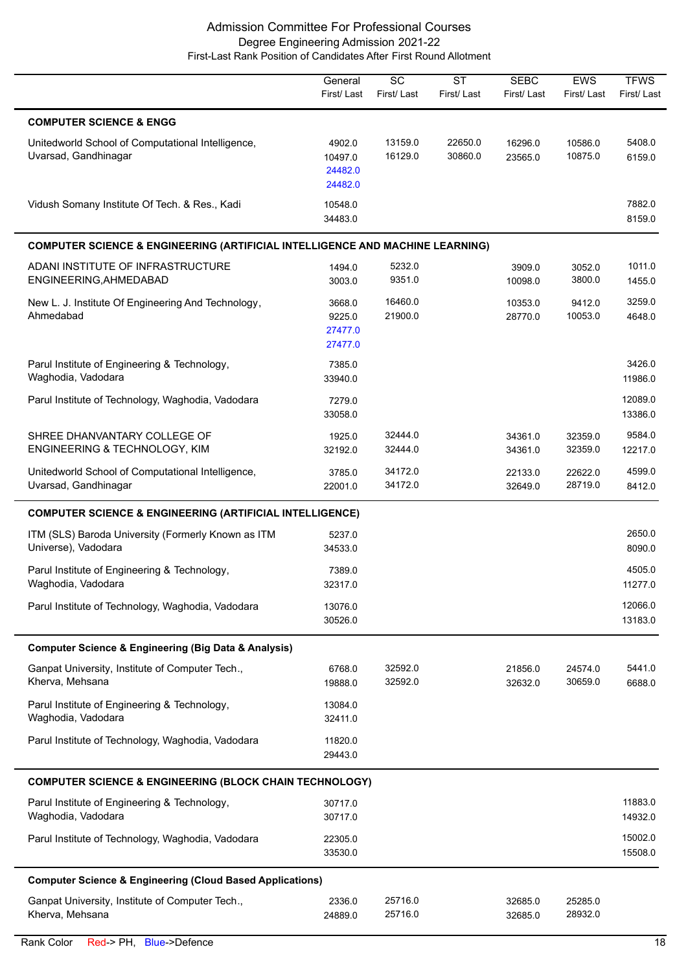|                                                                                          | General<br>First/Last                   | SC<br>First/Last   | <b>ST</b><br>First/Last | <b>SEBC</b><br>First/ Last | <b>EWS</b><br>First/Last | <b>TFWS</b><br>First/Last |
|------------------------------------------------------------------------------------------|-----------------------------------------|--------------------|-------------------------|----------------------------|--------------------------|---------------------------|
| <b>COMPUTER SCIENCE &amp; ENGG</b>                                                       |                                         |                    |                         |                            |                          |                           |
| Unitedworld School of Computational Intelligence,<br>Uvarsad, Gandhinagar                | 4902.0<br>10497.0<br>24482.0<br>24482.0 | 13159.0<br>16129.0 | 22650.0<br>30860.0      | 16296.0<br>23565.0         | 10586.0<br>10875.0       | 5408.0<br>6159.0          |
| Vidush Somany Institute Of Tech. & Res., Kadi                                            | 10548.0<br>34483.0                      |                    |                         |                            |                          | 7882.0<br>8159.0          |
| <b>COMPUTER SCIENCE &amp; ENGINEERING (ARTIFICIAL INTELLIGENCE AND MACHINE LEARNING)</b> |                                         |                    |                         |                            |                          |                           |
| ADANI INSTITUTE OF INFRASTRUCTURE<br>ENGINEERING, AHMEDABAD                              | 1494.0<br>3003.0                        | 5232.0<br>9351.0   |                         | 3909.0<br>10098.0          | 3052.0<br>3800.0         | 1011.0<br>1455.0          |
| New L. J. Institute Of Engineering And Technology,<br>Ahmedabad                          | 3668.0<br>9225.0<br>27477.0<br>27477.0  | 16460.0<br>21900.0 |                         | 10353.0<br>28770.0         | 9412.0<br>10053.0        | 3259.0<br>4648.0          |
| Parul Institute of Engineering & Technology,<br>Waghodia, Vadodara                       | 7385.0<br>33940.0                       |                    |                         |                            |                          | 3426.0<br>11986.0         |
| Parul Institute of Technology, Waghodia, Vadodara                                        | 7279.0<br>33058.0                       |                    |                         |                            |                          | 12089.0<br>13386.0        |
| SHREE DHANVANTARY COLLEGE OF<br>ENGINEERING & TECHNOLOGY, KIM                            | 1925.0<br>32192.0                       | 32444.0<br>32444.0 |                         | 34361.0<br>34361.0         | 32359.0<br>32359.0       | 9584.0<br>12217.0         |
| Unitedworld School of Computational Intelligence,<br>Uvarsad, Gandhinagar                | 3785.0<br>22001.0                       | 34172.0<br>34172.0 |                         | 22133.0<br>32649.0         | 22622.0<br>28719.0       | 4599.0<br>8412.0          |
| <b>COMPUTER SCIENCE &amp; ENGINEERING (ARTIFICIAL INTELLIGENCE)</b>                      |                                         |                    |                         |                            |                          |                           |
| ITM (SLS) Baroda University (Formerly Known as ITM<br>Universe), Vadodara                | 5237.0<br>34533.0                       |                    |                         |                            |                          | 2650.0<br>8090.0          |
| Parul Institute of Engineering & Technology,<br>Waghodia, Vadodara                       | 7389.0<br>32317.0                       |                    |                         |                            |                          | 4505.0<br>11277.0         |
| Parul Institute of Technology, Waghodia, Vadodara                                        | 13076.0<br>30526.0                      |                    |                         |                            |                          | 12066.0<br>13183.0        |
| <b>Computer Science &amp; Engineering (Big Data &amp; Analysis)</b>                      |                                         |                    |                         |                            |                          |                           |
| Ganpat University, Institute of Computer Tech.,<br>Kherva, Mehsana                       | 6768.0<br>19888.0                       | 32592.0<br>32592.0 |                         | 21856.0<br>32632.0         | 24574.0<br>30659.0       | 5441.0<br>6688.0          |
| Parul Institute of Engineering & Technology,<br>Waghodia, Vadodara                       | 13084.0<br>32411.0                      |                    |                         |                            |                          |                           |
| Parul Institute of Technology, Waghodia, Vadodara                                        | 11820.0<br>29443.0                      |                    |                         |                            |                          |                           |
| <b>COMPUTER SCIENCE &amp; ENGINEERING (BLOCK CHAIN TECHNOLOGY)</b>                       |                                         |                    |                         |                            |                          |                           |
| Parul Institute of Engineering & Technology,<br>Waghodia, Vadodara                       | 30717.0<br>30717.0                      |                    |                         |                            |                          | 11883.0<br>14932.0        |
| Parul Institute of Technology, Waghodia, Vadodara                                        | 22305.0<br>33530.0                      |                    |                         |                            |                          | 15002.0<br>15508.0        |
| <b>Computer Science &amp; Engineering (Cloud Based Applications)</b>                     |                                         |                    |                         |                            |                          |                           |
| Ganpat University, Institute of Computer Tech.,<br>Kherva, Mehsana                       | 2336.0<br>24889.0                       | 25716.0<br>25716.0 |                         | 32685.0<br>32685.0         | 25285.0<br>28932.0       |                           |

L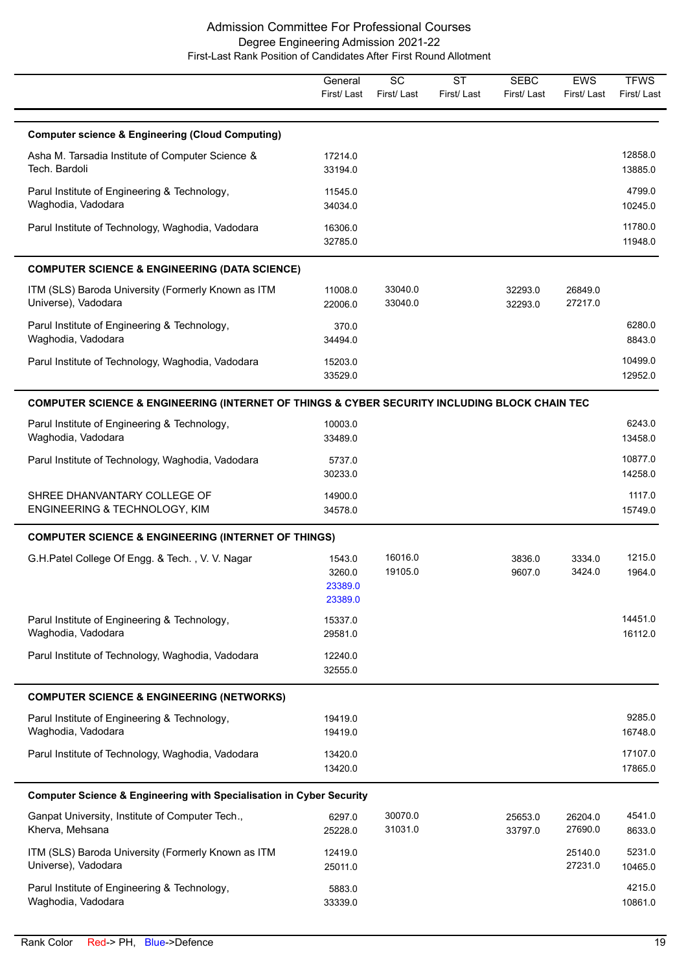|                                                                                               | General<br>First/Last                  | $\overline{SC}$<br>First/Last | $\overline{\text{ST}}$<br>First/Last | <b>SEBC</b><br>First/Last | <b>EWS</b><br>First/Last | <b>TFWS</b><br>First/Last |
|-----------------------------------------------------------------------------------------------|----------------------------------------|-------------------------------|--------------------------------------|---------------------------|--------------------------|---------------------------|
| <b>Computer science &amp; Engineering (Cloud Computing)</b>                                   |                                        |                               |                                      |                           |                          |                           |
| Asha M. Tarsadia Institute of Computer Science &<br>Tech. Bardoli                             | 17214.0<br>33194.0                     |                               |                                      |                           |                          | 12858.0<br>13885.0        |
| Parul Institute of Engineering & Technology,<br>Waghodia, Vadodara                            | 11545.0<br>34034.0                     |                               |                                      |                           |                          | 4799.0<br>10245.0         |
| Parul Institute of Technology, Waghodia, Vadodara                                             | 16306.0<br>32785.0                     |                               |                                      |                           |                          | 11780.0<br>11948.0        |
| <b>COMPUTER SCIENCE &amp; ENGINEERING (DATA SCIENCE)</b>                                      |                                        |                               |                                      |                           |                          |                           |
| ITM (SLS) Baroda University (Formerly Known as ITM<br>Universe), Vadodara                     | 11008.0<br>22006.0                     | 33040.0<br>33040.0            |                                      | 32293.0<br>32293.0        | 26849.0<br>27217.0       |                           |
| Parul Institute of Engineering & Technology,<br>Waghodia, Vadodara                            | 370.0<br>34494.0                       |                               |                                      |                           |                          | 6280.0<br>8843.0          |
| Parul Institute of Technology, Waghodia, Vadodara                                             | 15203.0<br>33529.0                     |                               |                                      |                           |                          | 10499.0<br>12952.0        |
| COMPUTER SCIENCE & ENGINEERING (INTERNET OF THINGS & CYBER SECURITY INCLUDING BLOCK CHAIN TEC |                                        |                               |                                      |                           |                          |                           |
| Parul Institute of Engineering & Technology,<br>Waghodia, Vadodara                            | 10003.0<br>33489.0                     |                               |                                      |                           |                          | 6243.0<br>13458.0         |
| Parul Institute of Technology, Waghodia, Vadodara                                             | 5737.0<br>30233.0                      |                               |                                      |                           |                          | 10877.0<br>14258.0        |
| SHREE DHANVANTARY COLLEGE OF<br>ENGINEERING & TECHNOLOGY, KIM                                 | 14900.0<br>34578.0                     |                               |                                      |                           |                          | 1117.0<br>15749.0         |
| <b>COMPUTER SCIENCE &amp; ENGINEERING (INTERNET OF THINGS)</b>                                |                                        |                               |                                      |                           |                          |                           |
| G.H.Patel College Of Engg. & Tech., V. V. Nagar                                               | 1543.0<br>3260.0<br>23389.0<br>23389.0 | 16016.0<br>19105.0            |                                      | 3836.0<br>9607.0          | 3334.0<br>3424.0         | 1215.0<br>1964.0          |
| Parul Institute of Engineering & Technology,<br>Waghodia, Vadodara                            | 15337.0<br>29581.0                     |                               |                                      |                           |                          | 14451.0<br>16112.0        |
| Parul Institute of Technology, Waghodia, Vadodara                                             | 12240.0<br>32555.0                     |                               |                                      |                           |                          |                           |
| <b>COMPUTER SCIENCE &amp; ENGINEERING (NETWORKS)</b>                                          |                                        |                               |                                      |                           |                          |                           |
| Parul Institute of Engineering & Technology,<br>Waghodia, Vadodara                            | 19419.0<br>19419.0                     |                               |                                      |                           |                          | 9285.0<br>16748.0         |
| Parul Institute of Technology, Waghodia, Vadodara                                             | 13420.0<br>13420.0                     |                               |                                      |                           |                          | 17107.0<br>17865.0        |
| <b>Computer Science &amp; Engineering with Specialisation in Cyber Security</b>               |                                        |                               |                                      |                           |                          |                           |
| Ganpat University, Institute of Computer Tech.,<br>Kherva, Mehsana                            | 6297.0<br>25228.0                      | 30070.0<br>31031.0            |                                      | 25653.0<br>33797.0        | 26204.0<br>27690.0       | 4541.0<br>8633.0          |
| ITM (SLS) Baroda University (Formerly Known as ITM<br>Universe), Vadodara                     | 12419.0<br>25011.0                     |                               |                                      |                           | 25140.0<br>27231.0       | 5231.0<br>10465.0         |
| Parul Institute of Engineering & Technology,<br>Waghodia, Vadodara                            | 5883.0<br>33339.0                      |                               |                                      |                           |                          | 4215.0<br>10861.0         |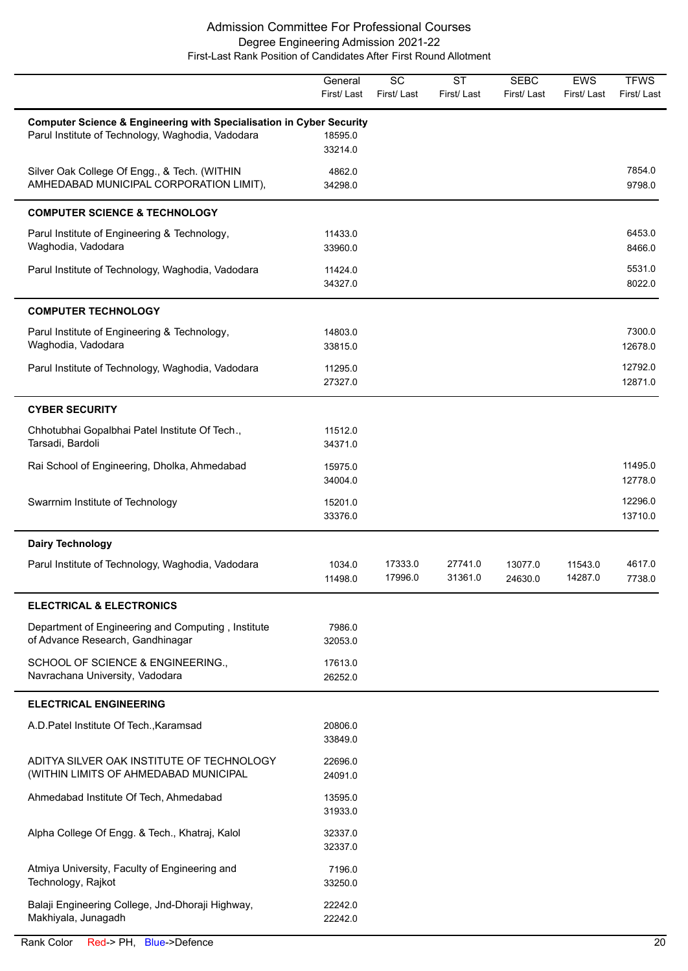|                                                                                                                                      | General<br>First/Last | $\overline{SC}$<br>First/Last | <b>ST</b><br>First/Last | <b>SEBC</b><br>First/Last | <b>EWS</b><br>First/Last | <b>TFWS</b><br>First/Last |
|--------------------------------------------------------------------------------------------------------------------------------------|-----------------------|-------------------------------|-------------------------|---------------------------|--------------------------|---------------------------|
| <b>Computer Science &amp; Engineering with Specialisation in Cyber Security</b><br>Parul Institute of Technology, Waghodia, Vadodara | 18595.0<br>33214.0    |                               |                         |                           |                          |                           |
| Silver Oak College Of Engg., & Tech. (WITHIN<br>AMHEDABAD MUNICIPAL CORPORATION LIMIT),                                              | 4862.0<br>34298.0     |                               |                         |                           |                          | 7854.0<br>9798.0          |
| <b>COMPUTER SCIENCE &amp; TECHNOLOGY</b>                                                                                             |                       |                               |                         |                           |                          |                           |
| Parul Institute of Engineering & Technology,<br>Waghodia, Vadodara                                                                   | 11433.0<br>33960.0    |                               |                         |                           |                          | 6453.0<br>8466.0          |
| Parul Institute of Technology, Waghodia, Vadodara                                                                                    | 11424.0<br>34327.0    |                               |                         |                           |                          | 5531.0<br>8022.0          |
| <b>COMPUTER TECHNOLOGY</b>                                                                                                           |                       |                               |                         |                           |                          |                           |
| Parul Institute of Engineering & Technology,<br>Waghodia, Vadodara                                                                   | 14803.0<br>33815.0    |                               |                         |                           |                          | 7300.0<br>12678.0         |
| Parul Institute of Technology, Waghodia, Vadodara                                                                                    | 11295.0<br>27327.0    |                               |                         |                           |                          | 12792.0<br>12871.0        |
| <b>CYBER SECURITY</b>                                                                                                                |                       |                               |                         |                           |                          |                           |
| Chhotubhai Gopalbhai Patel Institute Of Tech.,<br>Tarsadi, Bardoli                                                                   | 11512.0<br>34371.0    |                               |                         |                           |                          |                           |
| Rai School of Engineering, Dholka, Ahmedabad                                                                                         | 15975.0<br>34004.0    |                               |                         |                           |                          | 11495.0<br>12778.0        |
| Swarrnim Institute of Technology                                                                                                     | 15201.0<br>33376.0    |                               |                         |                           |                          | 12296.0<br>13710.0        |
| <b>Dairy Technology</b>                                                                                                              |                       |                               |                         |                           |                          |                           |
| Parul Institute of Technology, Waghodia, Vadodara                                                                                    | 1034.0<br>11498.0     | 17333.0<br>17996.0            | 27741.0<br>31361.0      | 13077.0<br>24630.0        | 11543.0<br>14287.0       | 4617.0<br>7738.0          |
| <b>ELECTRICAL &amp; ELECTRONICS</b>                                                                                                  |                       |                               |                         |                           |                          |                           |
| Department of Engineering and Computing, Institute<br>of Advance Research, Gandhinagar                                               | 7986.0<br>32053.0     |                               |                         |                           |                          |                           |
| SCHOOL OF SCIENCE & ENGINEERING.,<br>Navrachana University, Vadodara                                                                 | 17613.0<br>26252.0    |                               |                         |                           |                          |                           |
| <b>ELECTRICAL ENGINEERING</b>                                                                                                        |                       |                               |                         |                           |                          |                           |
| A.D.Patel Institute Of Tech., Karamsad                                                                                               | 20806.0<br>33849.0    |                               |                         |                           |                          |                           |
| ADITYA SILVER OAK INSTITUTE OF TECHNOLOGY<br>(WITHIN LIMITS OF AHMEDABAD MUNICIPAL                                                   | 22696.0<br>24091.0    |                               |                         |                           |                          |                           |
| Ahmedabad Institute Of Tech, Ahmedabad                                                                                               | 13595.0<br>31933.0    |                               |                         |                           |                          |                           |
| Alpha College Of Engg. & Tech., Khatraj, Kalol                                                                                       | 32337.0<br>32337.0    |                               |                         |                           |                          |                           |
| Atmiya University, Faculty of Engineering and<br>Technology, Rajkot                                                                  | 7196.0<br>33250.0     |                               |                         |                           |                          |                           |
| Balaji Engineering College, Jnd-Dhoraji Highway,<br>Makhiyala, Junagadh                                                              | 22242.0<br>22242.0    |                               |                         |                           |                          |                           |

 $\overline{\phantom{0}}$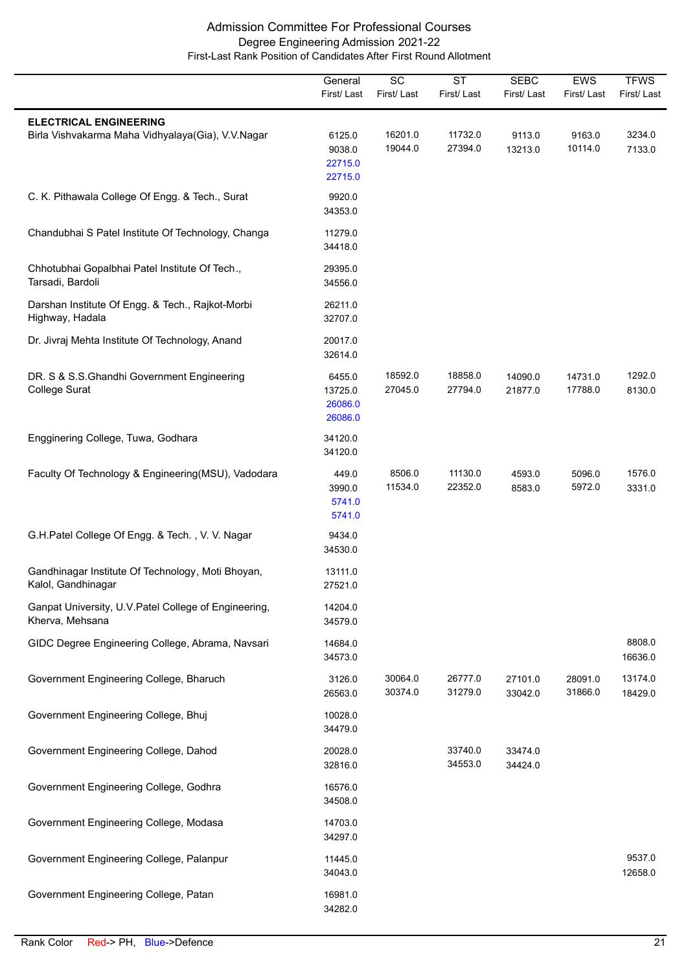|                                                                                    | General<br>First/Last                   | $\overline{SC}$<br>First/Last | $\overline{\text{ST}}$<br>First/Last | <b>SEBC</b><br>First/Last | EWS<br>First/Last  | <b>TFWS</b><br>First/Last |
|------------------------------------------------------------------------------------|-----------------------------------------|-------------------------------|--------------------------------------|---------------------------|--------------------|---------------------------|
| <b>ELECTRICAL ENGINEERING</b><br>Birla Vishvakarma Maha Vidhyalaya(Gia), V.V.Nagar | 6125.0<br>9038.0<br>22715.0<br>22715.0  | 16201.0<br>19044.0            | 11732.0<br>27394.0                   | 9113.0<br>13213.0         | 9163.0<br>10114.0  | 3234.0<br>7133.0          |
| C. K. Pithawala College Of Engg. & Tech., Surat                                    | 9920.0<br>34353.0                       |                               |                                      |                           |                    |                           |
| Chandubhai S Patel Institute Of Technology, Changa                                 | 11279.0<br>34418.0                      |                               |                                      |                           |                    |                           |
| Chhotubhai Gopalbhai Patel Institute Of Tech.,<br>Tarsadi, Bardoli                 | 29395.0<br>34556.0                      |                               |                                      |                           |                    |                           |
| Darshan Institute Of Engg. & Tech., Rajkot-Morbi<br>Highway, Hadala                | 26211.0<br>32707.0                      |                               |                                      |                           |                    |                           |
| Dr. Jivraj Mehta Institute Of Technology, Anand                                    | 20017.0<br>32614.0                      |                               |                                      |                           |                    |                           |
| DR. S & S.S.Ghandhi Government Engineering<br>College Surat                        | 6455.0<br>13725.0<br>26086.0<br>26086.0 | 18592.0<br>27045.0            | 18858.0<br>27794.0                   | 14090.0<br>21877.0        | 14731.0<br>17788.0 | 1292.0<br>8130.0          |
| Engginering College, Tuwa, Godhara                                                 | 34120.0<br>34120.0                      |                               |                                      |                           |                    |                           |
| Faculty Of Technology & Engineering(MSU), Vadodara                                 | 449.0<br>3990.0<br>5741.0<br>5741.0     | 8506.0<br>11534.0             | 11130.0<br>22352.0                   | 4593.0<br>8583.0          | 5096.0<br>5972.0   | 1576.0<br>3331.0          |
| G.H.Patel College Of Engg. & Tech., V. V. Nagar                                    | 9434.0<br>34530.0                       |                               |                                      |                           |                    |                           |
| Gandhinagar Institute Of Technology, Moti Bhoyan,<br>Kalol, Gandhinagar            | 13111.0<br>27521.0                      |                               |                                      |                           |                    |                           |
| Ganpat University, U.V. Patel College of Engineering,<br>Kherva, Mehsana           | 14204.0<br>34579.0                      |                               |                                      |                           |                    |                           |
| GIDC Degree Engineering College, Abrama, Navsari                                   | 14684.0<br>34573.0                      |                               |                                      |                           |                    | 8808.0<br>16636.0         |
| Government Engineering College, Bharuch                                            | 3126.0<br>26563.0                       | 30064.0<br>30374.0            | 26777.0<br>31279.0                   | 27101.0<br>33042.0        | 28091.0<br>31866.0 | 13174.0<br>18429.0        |
| Government Engineering College, Bhuj                                               | 10028.0<br>34479.0                      |                               |                                      |                           |                    |                           |
| Government Engineering College, Dahod                                              | 20028.0<br>32816.0                      |                               | 33740.0<br>34553.0                   | 33474.0<br>34424.0        |                    |                           |
| Government Engineering College, Godhra                                             | 16576.0<br>34508.0                      |                               |                                      |                           |                    |                           |
| Government Engineering College, Modasa                                             | 14703.0<br>34297.0                      |                               |                                      |                           |                    |                           |
| Government Engineering College, Palanpur                                           | 11445.0<br>34043.0                      |                               |                                      |                           |                    | 9537.0<br>12658.0         |
| Government Engineering College, Patan                                              | 16981.0<br>34282.0                      |                               |                                      |                           |                    |                           |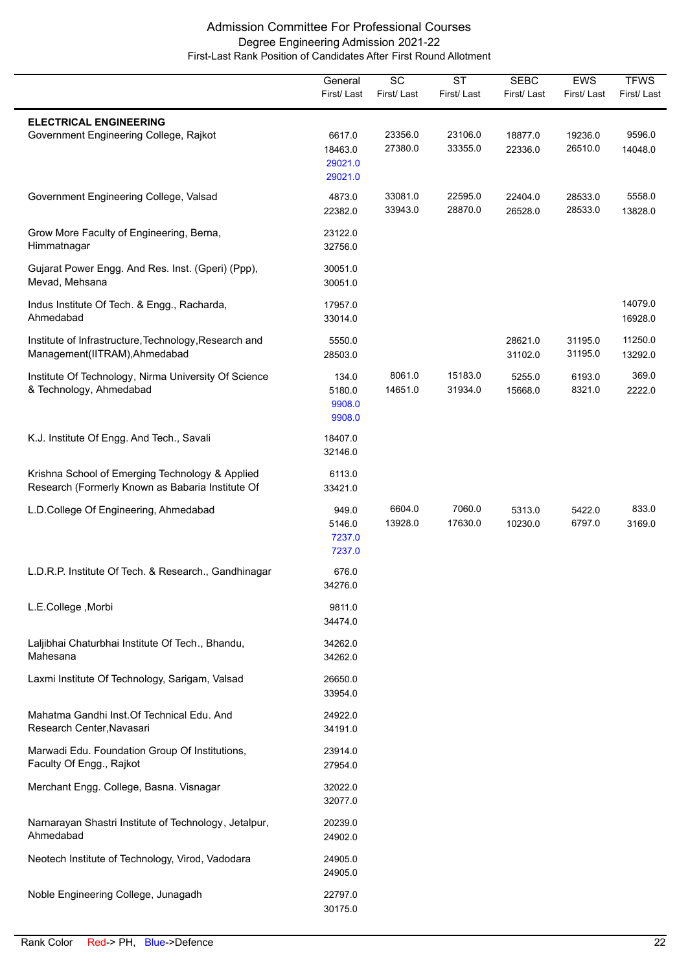|                                                                                                     | General<br>First/Last                   | $\overline{SC}$<br>First/Last | $\overline{\text{ST}}$<br>First/Last | <b>SEBC</b><br>First/Last | EWS<br>First/Last  | <b>TFWS</b><br>First/Last |
|-----------------------------------------------------------------------------------------------------|-----------------------------------------|-------------------------------|--------------------------------------|---------------------------|--------------------|---------------------------|
| <b>ELECTRICAL ENGINEERING</b><br>Government Engineering College, Rajkot                             | 6617.0<br>18463.0<br>29021.0<br>29021.0 | 23356.0<br>27380.0            | 23106.0<br>33355.0                   | 18877.0<br>22336.0        | 19236.0<br>26510.0 | 9596.0<br>14048.0         |
| Government Engineering College, Valsad                                                              | 4873.0<br>22382.0                       | 33081.0<br>33943.0            | 22595.0<br>28870.0                   | 22404.0<br>26528.0        | 28533.0<br>28533.0 | 5558.0<br>13828.0         |
| Grow More Faculty of Engineering, Berna,<br>Himmatnagar                                             | 23122.0<br>32756.0                      |                               |                                      |                           |                    |                           |
| Gujarat Power Engg. And Res. Inst. (Gperi) (Ppp),<br>Mevad, Mehsana                                 | 30051.0<br>30051.0                      |                               |                                      |                           |                    |                           |
| Indus Institute Of Tech. & Engg., Racharda,<br>Ahmedabad                                            | 17957.0<br>33014.0                      |                               |                                      |                           |                    | 14079.0<br>16928.0        |
| Institute of Infrastructure, Technology, Research and<br>Management(IITRAM), Ahmedabad              | 5550.0<br>28503.0                       |                               |                                      | 28621.0<br>31102.0        | 31195.0<br>31195.0 | 11250.0<br>13292.0        |
| Institute Of Technology, Nirma University Of Science<br>& Technology, Ahmedabad                     | 134.0<br>5180.0<br>9908.0<br>9908.0     | 8061.0<br>14651.0             | 15183.0<br>31934.0                   | 5255.0<br>15668.0         | 6193.0<br>8321.0   | 369.0<br>2222.0           |
| K.J. Institute Of Engg. And Tech., Savali                                                           | 18407.0<br>32146.0                      |                               |                                      |                           |                    |                           |
| Krishna School of Emerging Technology & Applied<br>Research (Formerly Known as Babaria Institute Of | 6113.0<br>33421.0                       |                               |                                      |                           |                    |                           |
| L.D.College Of Engineering, Ahmedabad                                                               | 949.0<br>5146.0<br>7237.0<br>7237.0     | 6604.0<br>13928.0             | 7060.0<br>17630.0                    | 5313.0<br>10230.0         | 5422.0<br>6797.0   | 833.0<br>3169.0           |
| L.D.R.P. Institute Of Tech. & Research., Gandhinagar                                                | 676.0<br>34276.0                        |                               |                                      |                           |                    |                           |
| L.E.College, Morbi                                                                                  | 9811.0<br>34474.0                       |                               |                                      |                           |                    |                           |
| Laljibhai Chaturbhai Institute Of Tech., Bhandu,<br>Mahesana                                        | 34262.0<br>34262.0                      |                               |                                      |                           |                    |                           |
| Laxmi Institute Of Technology, Sarigam, Valsad                                                      | 26650.0<br>33954.0                      |                               |                                      |                           |                    |                           |
| Mahatma Gandhi Inst. Of Technical Edu. And<br>Research Center, Navasari                             | 24922.0<br>34191.0                      |                               |                                      |                           |                    |                           |
| Marwadi Edu. Foundation Group Of Institutions,<br>Faculty Of Engg., Rajkot                          | 23914.0<br>27954.0                      |                               |                                      |                           |                    |                           |
| Merchant Engg. College, Basna. Visnagar                                                             | 32022.0<br>32077.0                      |                               |                                      |                           |                    |                           |
| Narnarayan Shastri Institute of Technology, Jetalpur,<br>Ahmedabad                                  | 20239.0<br>24902.0                      |                               |                                      |                           |                    |                           |
| Neotech Institute of Technology, Virod, Vadodara                                                    | 24905.0<br>24905.0                      |                               |                                      |                           |                    |                           |
| Noble Engineering College, Junagadh                                                                 | 22797.0<br>30175.0                      |                               |                                      |                           |                    |                           |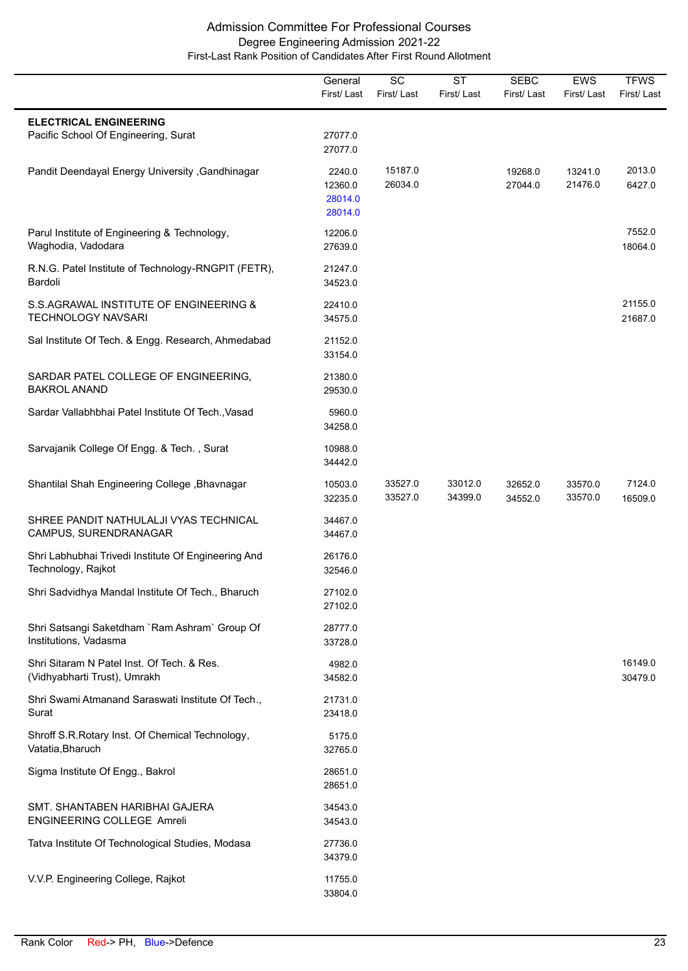|                                                                            | General<br>First/Last                   | $\overline{SC}$<br>First/Last | $\overline{\text{ST}}$<br>First/Last | <b>SEBC</b><br>First/Last | <b>EWS</b><br>First/Last | <b>TFWS</b><br>First/Last |
|----------------------------------------------------------------------------|-----------------------------------------|-------------------------------|--------------------------------------|---------------------------|--------------------------|---------------------------|
| <b>ELECTRICAL ENGINEERING</b><br>Pacific School Of Engineering, Surat      | 27077.0<br>27077.0                      |                               |                                      |                           |                          |                           |
| Pandit Deendayal Energy University , Gandhinagar                           | 2240.0<br>12360.0<br>28014.0<br>28014.0 | 15187.0<br>26034.0            |                                      | 19268.0<br>27044.0        | 13241.0<br>21476.0       | 2013.0<br>6427.0          |
| Parul Institute of Engineering & Technology,<br>Waghodia, Vadodara         | 12206.0<br>27639.0                      |                               |                                      |                           |                          | 7552.0<br>18064.0         |
| R.N.G. Patel Institute of Technology-RNGPIT (FETR),<br>Bardoli             | 21247.0<br>34523.0                      |                               |                                      |                           |                          |                           |
| S.S.AGRAWAL INSTITUTE OF ENGINEERING &<br><b>TECHNOLOGY NAVSARI</b>        | 22410.0<br>34575.0                      |                               |                                      |                           |                          | 21155.0<br>21687.0        |
| Sal Institute Of Tech. & Engg. Research, Ahmedabad                         | 21152.0<br>33154.0                      |                               |                                      |                           |                          |                           |
| SARDAR PATEL COLLEGE OF ENGINEERING,<br><b>BAKROL ANAND</b>                | 21380.0<br>29530.0                      |                               |                                      |                           |                          |                           |
| Sardar Vallabhbhai Patel Institute Of Tech., Vasad                         | 5960.0<br>34258.0                       |                               |                                      |                           |                          |                           |
| Sarvajanik College Of Engg. & Tech., Surat                                 | 10988.0<br>34442.0                      |                               |                                      |                           |                          |                           |
| Shantilal Shah Engineering College, Bhavnagar                              | 10503.0<br>32235.0                      | 33527.0<br>33527.0            | 33012.0<br>34399.0                   | 32652.0<br>34552.0        | 33570.0<br>33570.0       | 7124.0<br>16509.0         |
| SHREE PANDIT NATHULALJI VYAS TECHNICAL<br>CAMPUS, SURENDRANAGAR            | 34467.0<br>34467.0                      |                               |                                      |                           |                          |                           |
| Shri Labhubhai Trivedi Institute Of Engineering And<br>Technology, Rajkot  | 26176.0<br>32546.0                      |                               |                                      |                           |                          |                           |
| Shri Sadvidhya Mandal Institute Of Tech., Bharuch                          | 27102.0<br>27102.0                      |                               |                                      |                           |                          |                           |
| Shri Satsangi Saketdham `Ram Ashram` Group Of<br>Institutions, Vadasma     | 28777.0<br>33728.0                      |                               |                                      |                           |                          |                           |
| Shri Sitaram N Patel Inst. Of Tech. & Res.<br>(Vidhyabharti Trust), Umrakh | 4982.0<br>34582.0                       |                               |                                      |                           |                          | 16149.0<br>30479.0        |
| Shri Swami Atmanand Saraswati Institute Of Tech.,<br>Surat                 | 21731.0<br>23418.0                      |                               |                                      |                           |                          |                           |
| Shroff S.R.Rotary Inst. Of Chemical Technology,<br>Vatatia, Bharuch        | 5175.0<br>32765.0                       |                               |                                      |                           |                          |                           |
| Sigma Institute Of Engg., Bakrol                                           | 28651.0<br>28651.0                      |                               |                                      |                           |                          |                           |
| SMT. SHANTABEN HARIBHAI GAJERA<br><b>ENGINEERING COLLEGE Amreli</b>        | 34543.0<br>34543.0                      |                               |                                      |                           |                          |                           |
| Tatva Institute Of Technological Studies, Modasa                           | 27736.0<br>34379.0                      |                               |                                      |                           |                          |                           |
| V.V.P. Engineering College, Rajkot                                         | 11755.0<br>33804.0                      |                               |                                      |                           |                          |                           |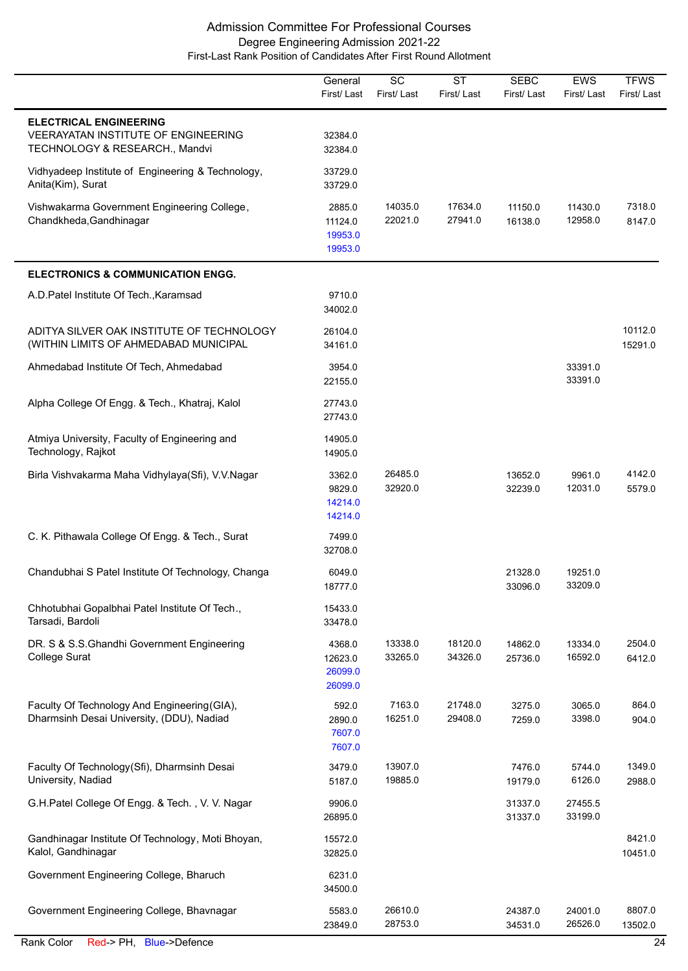|                                                                                                        | General<br>First/Last                   | $\overline{SC}$<br>First/Last | $\overline{\text{ST}}$<br>First/Last | <b>SEBC</b><br>First/Last | <b>EWS</b><br>First/Last | <b>TFWS</b><br>First/Last |
|--------------------------------------------------------------------------------------------------------|-----------------------------------------|-------------------------------|--------------------------------------|---------------------------|--------------------------|---------------------------|
| <b>ELECTRICAL ENGINEERING</b><br>VEERAYATAN INSTITUTE OF ENGINEERING<br>TECHNOLOGY & RESEARCH., Mandvi | 32384.0<br>32384.0                      |                               |                                      |                           |                          |                           |
| Vidhyadeep Institute of Engineering & Technology,<br>Anita(Kim), Surat                                 | 33729.0<br>33729.0                      |                               |                                      |                           |                          |                           |
| Vishwakarma Government Engineering College,<br>Chandkheda, Gandhinagar                                 | 2885.0<br>11124.0<br>19953.0<br>19953.0 | 14035.0<br>22021.0            | 17634.0<br>27941.0                   | 11150.0<br>16138.0        | 11430.0<br>12958.0       | 7318.0<br>8147.0          |
| <b>ELECTRONICS &amp; COMMUNICATION ENGG.</b>                                                           |                                         |                               |                                      |                           |                          |                           |
| A.D. Patel Institute Of Tech., Karamsad                                                                | 9710.0<br>34002.0                       |                               |                                      |                           |                          |                           |
| ADITYA SILVER OAK INSTITUTE OF TECHNOLOGY<br>(WITHIN LIMITS OF AHMEDABAD MUNICIPAL                     | 26104.0<br>34161.0                      |                               |                                      |                           |                          | 10112.0<br>15291.0        |
| Ahmedabad Institute Of Tech, Ahmedabad                                                                 | 3954.0<br>22155.0                       |                               |                                      |                           | 33391.0<br>33391.0       |                           |
| Alpha College Of Engg. & Tech., Khatraj, Kalol                                                         | 27743.0<br>27743.0                      |                               |                                      |                           |                          |                           |
| Atmiya University, Faculty of Engineering and<br>Technology, Rajkot                                    | 14905.0<br>14905.0                      |                               |                                      |                           |                          |                           |
| Birla Vishvakarma Maha Vidhylaya(Sfi), V.V.Nagar                                                       | 3362.0<br>9829.0<br>14214.0<br>14214.0  | 26485.0<br>32920.0            |                                      | 13652.0<br>32239.0        | 9961.0<br>12031.0        | 4142.0<br>5579.0          |
| C. K. Pithawala College Of Engg. & Tech., Surat                                                        | 7499.0<br>32708.0                       |                               |                                      |                           |                          |                           |
| Chandubhai S Patel Institute Of Technology, Changa                                                     | 6049.0<br>18777.0                       |                               |                                      | 21328.0<br>33096.0        | 19251.0<br>33209.0       |                           |
| Chhotubhai Gopalbhai Patel Institute Of Tech.,<br>Tarsadi, Bardoli                                     | 15433.0<br>33478.0                      |                               |                                      |                           |                          |                           |
| DR. S & S.S.Ghandhi Government Engineering<br>College Surat                                            | 4368.0<br>12623.0<br>26099.0<br>26099.0 | 13338.0<br>33265.0            | 18120.0<br>34326.0                   | 14862.0<br>25736.0        | 13334.0<br>16592.0       | 2504.0<br>6412.0          |
| Faculty Of Technology And Engineering (GIA),<br>Dharmsinh Desai University, (DDU), Nadiad              | 592.0<br>2890.0<br>7607.0<br>7607.0     | 7163.0<br>16251.0             | 21748.0<br>29408.0                   | 3275.0<br>7259.0          | 3065.0<br>3398.0         | 864.0<br>904.0            |
| Faculty Of Technology(Sfi), Dharmsinh Desai<br>University, Nadiad                                      | 3479.0<br>5187.0                        | 13907.0<br>19885.0            |                                      | 7476.0<br>19179.0         | 5744.0<br>6126.0         | 1349.0<br>2988.0          |
| G.H.Patel College Of Engg. & Tech., V. V. Nagar                                                        | 9906.0<br>26895.0                       |                               |                                      | 31337.0<br>31337.0        | 27455.5<br>33199.0       |                           |
| Gandhinagar Institute Of Technology, Moti Bhoyan,<br>Kalol, Gandhinagar                                | 15572.0<br>32825.0                      |                               |                                      |                           |                          | 8421.0<br>10451.0         |
| Government Engineering College, Bharuch                                                                | 6231.0<br>34500.0                       |                               |                                      |                           |                          |                           |
| Government Engineering College, Bhavnagar                                                              | 5583.0<br>23849.0                       | 26610.0<br>28753.0            |                                      | 24387.0<br>34531.0        | 24001.0<br>26526.0       | 8807.0<br>13502.0         |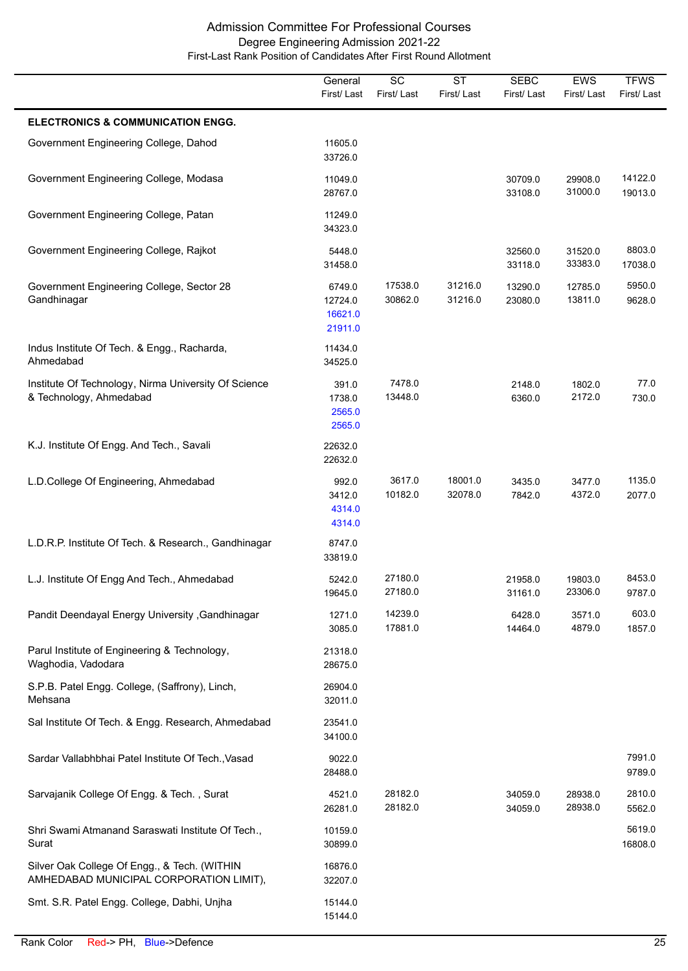|                                                                                         | General<br>First/Last                   | $\overline{SC}$<br>First/Last | $\overline{\text{ST}}$<br>First/Last | <b>SEBC</b><br>First/Last | EWS<br>First/Last  | <b>TFWS</b><br>First/Last |
|-----------------------------------------------------------------------------------------|-----------------------------------------|-------------------------------|--------------------------------------|---------------------------|--------------------|---------------------------|
| <b>ELECTRONICS &amp; COMMUNICATION ENGG.</b>                                            |                                         |                               |                                      |                           |                    |                           |
| Government Engineering College, Dahod                                                   | 11605.0<br>33726.0                      |                               |                                      |                           |                    |                           |
| Government Engineering College, Modasa                                                  | 11049.0<br>28767.0                      |                               |                                      | 30709.0<br>33108.0        | 29908.0<br>31000.0 | 14122.0<br>19013.0        |
| Government Engineering College, Patan                                                   | 11249.0<br>34323.0                      |                               |                                      |                           |                    |                           |
| Government Engineering College, Rajkot                                                  | 5448.0<br>31458.0                       |                               |                                      | 32560.0<br>33118.0        | 31520.0<br>33383.0 | 8803.0<br>17038.0         |
| Government Engineering College, Sector 28<br>Gandhinagar                                | 6749.0<br>12724.0<br>16621.0<br>21911.0 | 17538.0<br>30862.0            | 31216.0<br>31216.0                   | 13290.0<br>23080.0        | 12785.0<br>13811.0 | 5950.0<br>9628.0          |
| Indus Institute Of Tech. & Engg., Racharda,<br>Ahmedabad                                | 11434.0<br>34525.0                      |                               |                                      |                           |                    |                           |
| Institute Of Technology, Nirma University Of Science<br>& Technology, Ahmedabad         | 391.0<br>1738.0<br>2565.0<br>2565.0     | 7478.0<br>13448.0             |                                      | 2148.0<br>6360.0          | 1802.0<br>2172.0   | 77.0<br>730.0             |
| K.J. Institute Of Engg. And Tech., Savali                                               | 22632.0<br>22632.0                      |                               |                                      |                           |                    |                           |
| L.D.College Of Engineering, Ahmedabad                                                   | 992.0<br>3412.0<br>4314.0<br>4314.0     | 3617.0<br>10182.0             | 18001.0<br>32078.0                   | 3435.0<br>7842.0          | 3477.0<br>4372.0   | 1135.0<br>2077.0          |
| L.D.R.P. Institute Of Tech. & Research., Gandhinagar                                    | 8747.0<br>33819.0                       |                               |                                      |                           |                    |                           |
| L.J. Institute Of Engg And Tech., Ahmedabad                                             | 5242.0<br>19645.0                       | 27180.0<br>27180.0            |                                      | 21958.0<br>31161.0        | 19803.0<br>23306.0 | 8453.0<br>9787.0          |
| Pandit Deendayal Energy University , Gandhinagar                                        | 1271.0<br>3085.0                        | 14239.0<br>17881.0            |                                      | 6428.0<br>14464.0         | 3571.0<br>4879.0   | 603.0<br>1857.0           |
| Parul Institute of Engineering & Technology,<br>Waghodia, Vadodara                      | 21318.0<br>28675.0                      |                               |                                      |                           |                    |                           |
| S.P.B. Patel Engg. College, (Saffrony), Linch,<br>Mehsana                               | 26904.0<br>32011.0                      |                               |                                      |                           |                    |                           |
| Sal Institute Of Tech. & Engg. Research, Ahmedabad                                      | 23541.0<br>34100.0                      |                               |                                      |                           |                    |                           |
| Sardar Vallabhbhai Patel Institute Of Tech., Vasad                                      | 9022.0<br>28488.0                       |                               |                                      |                           |                    | 7991.0<br>9789.0          |
| Sarvajanik College Of Engg. & Tech., Surat                                              | 4521.0<br>26281.0                       | 28182.0<br>28182.0            |                                      | 34059.0<br>34059.0        | 28938.0<br>28938.0 | 2810.0<br>5562.0          |
| Shri Swami Atmanand Saraswati Institute Of Tech.,<br>Surat                              | 10159.0<br>30899.0                      |                               |                                      |                           |                    | 5619.0<br>16808.0         |
| Silver Oak College Of Engg., & Tech. (WITHIN<br>AMHEDABAD MUNICIPAL CORPORATION LIMIT), | 16876.0<br>32207.0                      |                               |                                      |                           |                    |                           |
| Smt. S.R. Patel Engg. College, Dabhi, Unjha                                             | 15144.0<br>15144.0                      |                               |                                      |                           |                    |                           |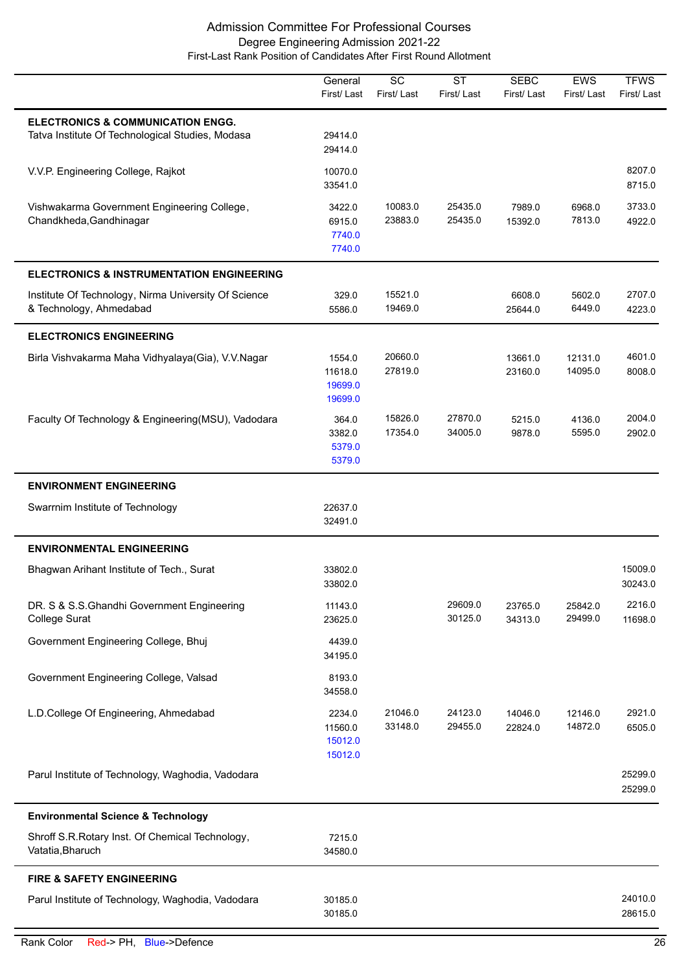|                                                                                                  | General<br>First/Last                   | $\overline{SC}$<br>First/Last | $\overline{\text{ST}}$<br>First/Last | <b>SEBC</b><br>First/Last | EWS<br>First/Last  | <b>TFWS</b><br>First/Last |
|--------------------------------------------------------------------------------------------------|-----------------------------------------|-------------------------------|--------------------------------------|---------------------------|--------------------|---------------------------|
| <b>ELECTRONICS &amp; COMMUNICATION ENGG.</b><br>Tatva Institute Of Technological Studies, Modasa | 29414.0<br>29414.0                      |                               |                                      |                           |                    |                           |
| V.V.P. Engineering College, Rajkot                                                               | 10070.0<br>33541.0                      |                               |                                      |                           |                    | 8207.0<br>8715.0          |
| Vishwakarma Government Engineering College,<br>Chandkheda, Gandhinagar                           | 3422.0<br>6915.0<br>7740.0<br>7740.0    | 10083.0<br>23883.0            | 25435.0<br>25435.0                   | 7989.0<br>15392.0         | 6968.0<br>7813.0   | 3733.0<br>4922.0          |
| <b>ELECTRONICS &amp; INSTRUMENTATION ENGINEERING</b>                                             |                                         |                               |                                      |                           |                    |                           |
| Institute Of Technology, Nirma University Of Science<br>& Technology, Ahmedabad                  | 329.0<br>5586.0                         | 15521.0<br>19469.0            |                                      | 6608.0<br>25644.0         | 5602.0<br>6449.0   | 2707.0<br>4223.0          |
| <b>ELECTRONICS ENGINEERING</b>                                                                   |                                         |                               |                                      |                           |                    |                           |
| Birla Vishvakarma Maha Vidhyalaya(Gia), V.V.Nagar                                                | 1554.0<br>11618.0<br>19699.0<br>19699.0 | 20660.0<br>27819.0            |                                      | 13661.0<br>23160.0        | 12131.0<br>14095.0 | 4601.0<br>8008.0          |
| Faculty Of Technology & Engineering(MSU), Vadodara                                               | 364.0<br>3382.0<br>5379.0<br>5379.0     | 15826.0<br>17354.0            | 27870.0<br>34005.0                   | 5215.0<br>9878.0          | 4136.0<br>5595.0   | 2004.0<br>2902.0          |
| <b>ENVIRONMENT ENGINEERING</b>                                                                   |                                         |                               |                                      |                           |                    |                           |
| Swarrnim Institute of Technology                                                                 | 22637.0<br>32491.0                      |                               |                                      |                           |                    |                           |
| <b>ENVIRONMENTAL ENGINEERING</b>                                                                 |                                         |                               |                                      |                           |                    |                           |
| Bhagwan Arihant Institute of Tech., Surat                                                        | 33802.0<br>33802.0                      |                               |                                      |                           |                    | 15009.0<br>30243.0        |
| DR. S & S.S.Ghandhi Government Engineering<br><b>College Surat</b>                               | 11143.0<br>23625.0                      |                               | 29609.0<br>30125.0                   | 23765.0<br>34313.0        | 25842.0<br>29499.0 | 2216.0<br>11698.0         |
| Government Engineering College, Bhuj                                                             | 4439.0<br>34195.0                       |                               |                                      |                           |                    |                           |
| Government Engineering College, Valsad                                                           | 8193.0<br>34558.0                       |                               |                                      |                           |                    |                           |
| L.D.College Of Engineering, Ahmedabad                                                            | 2234.0<br>11560.0<br>15012.0<br>15012.0 | 21046.0<br>33148.0            | 24123.0<br>29455.0                   | 14046.0<br>22824.0        | 12146.0<br>14872.0 | 2921.0<br>6505.0          |
| Parul Institute of Technology, Waghodia, Vadodara                                                |                                         |                               |                                      |                           |                    | 25299.0<br>25299.0        |
| <b>Environmental Science &amp; Technology</b>                                                    |                                         |                               |                                      |                           |                    |                           |
| Shroff S.R.Rotary Inst. Of Chemical Technology,<br>Vatatia, Bharuch                              | 7215.0<br>34580.0                       |                               |                                      |                           |                    |                           |
| <b>FIRE &amp; SAFETY ENGINEERING</b>                                                             |                                         |                               |                                      |                           |                    |                           |
| Parul Institute of Technology, Waghodia, Vadodara                                                | 30185.0<br>30185.0                      |                               |                                      |                           |                    | 24010.0<br>28615.0        |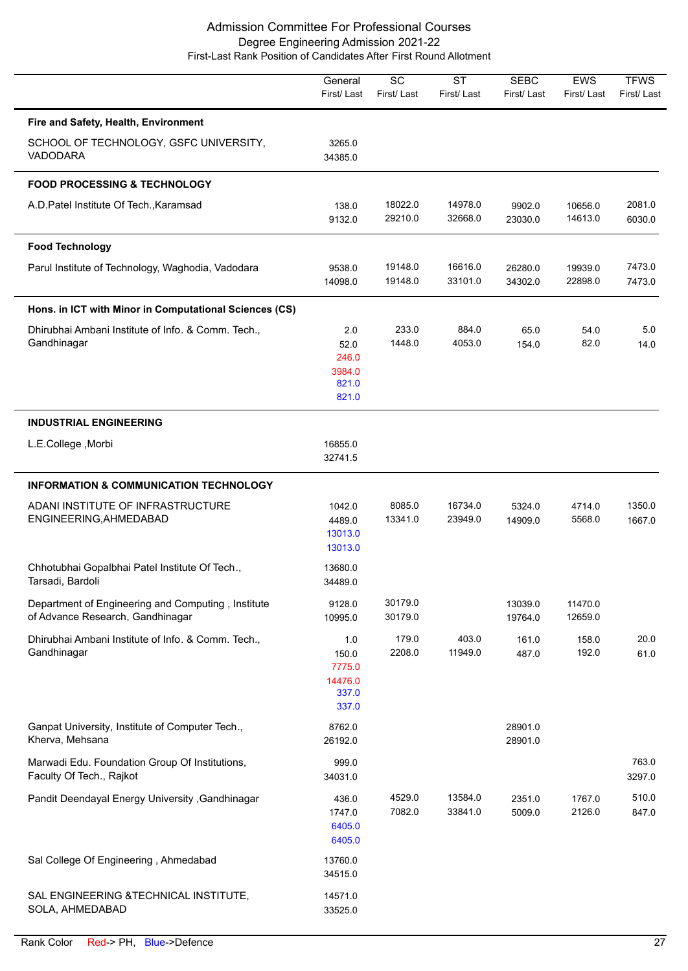|                                                                                        | General<br>First/Last                               | $\overline{SC}$<br>First/Last | $\overline{\text{ST}}$<br>First/Last | <b>SEBC</b><br>First/Last | <b>EWS</b><br>First/Last | <b>TFWS</b><br>First/Last |
|----------------------------------------------------------------------------------------|-----------------------------------------------------|-------------------------------|--------------------------------------|---------------------------|--------------------------|---------------------------|
| Fire and Safety, Health, Environment                                                   |                                                     |                               |                                      |                           |                          |                           |
| SCHOOL OF TECHNOLOGY, GSFC UNIVERSITY,<br><b>VADODARA</b>                              | 3265.0<br>34385.0                                   |                               |                                      |                           |                          |                           |
| <b>FOOD PROCESSING &amp; TECHNOLOGY</b>                                                |                                                     |                               |                                      |                           |                          |                           |
| A.D. Patel Institute Of Tech., Karamsad                                                | 138.0<br>9132.0                                     | 18022.0<br>29210.0            | 14978.0<br>32668.0                   | 9902.0<br>23030.0         | 10656.0<br>14613.0       | 2081.0<br>6030.0          |
| <b>Food Technology</b>                                                                 |                                                     |                               |                                      |                           |                          |                           |
| Parul Institute of Technology, Waghodia, Vadodara                                      | 9538.0<br>14098.0                                   | 19148.0<br>19148.0            | 16616.0<br>33101.0                   | 26280.0<br>34302.0        | 19939.0<br>22898.0       | 7473.0<br>7473.0          |
| Hons. in ICT with Minor in Computational Sciences (CS)                                 |                                                     |                               |                                      |                           |                          |                           |
| Dhirubhai Ambani Institute of Info. & Comm. Tech.,<br>Gandhinagar                      | 2.0<br>52.0<br>246.0<br>3984.0<br>821.0<br>821.0    | 233.0<br>1448.0               | 884.0<br>4053.0                      | 65.0<br>154.0             | 54.0<br>82.0             | 5.0<br>14.0               |
| <b>INDUSTRIAL ENGINEERING</b>                                                          |                                                     |                               |                                      |                           |                          |                           |
| L.E.College, Morbi                                                                     | 16855.0<br>32741.5                                  |                               |                                      |                           |                          |                           |
| <b>INFORMATION &amp; COMMUNICATION TECHNOLOGY</b>                                      |                                                     |                               |                                      |                           |                          |                           |
| ADANI INSTITUTE OF INFRASTRUCTURE<br>ENGINEERING, AHMEDABAD                            | 1042.0<br>4489.0<br>13013.0<br>13013.0              | 8085.0<br>13341.0             | 16734.0<br>23949.0                   | 5324.0<br>14909.0         | 4714.0<br>5568.0         | 1350.0<br>1667.0          |
| Chhotubhai Gopalbhai Patel Institute Of Tech.,<br>Tarsadi, Bardoli                     | 13680.0<br>34489.0                                  |                               |                                      |                           |                          |                           |
| Department of Engineering and Computing, Institute<br>of Advance Research, Gandhinagar | 9128.0<br>10995.0                                   | 30179.0<br>30179.0            |                                      | 13039.0<br>19764.0        | 11470.0<br>12659.0       |                           |
| Dhirubhai Ambani Institute of Info. & Comm. Tech.,<br>Gandhinagar                      | 1.0<br>150.0<br>7775.0<br>14476.0<br>337.0<br>337.0 | 179.0<br>2208.0               | 403.0<br>11949.0                     | 161.0<br>487.0            | 158.0<br>192.0           | 20.0<br>61.0              |
| Ganpat University, Institute of Computer Tech.,<br>Kherva, Mehsana                     | 8762.0<br>26192.0                                   |                               |                                      | 28901.0<br>28901.0        |                          |                           |
| Marwadi Edu. Foundation Group Of Institutions,<br>Faculty Of Tech., Rajkot             | 999.0<br>34031.0                                    |                               |                                      |                           |                          | 763.0<br>3297.0           |
| Pandit Deendayal Energy University , Gandhinagar                                       | 436.0<br>1747.0<br>6405.0<br>6405.0                 | 4529.0<br>7082.0              | 13584.0<br>33841.0                   | 2351.0<br>5009.0          | 1767.0<br>2126.0         | 510.0<br>847.0            |
| Sal College Of Engineering, Ahmedabad                                                  | 13760.0<br>34515.0                                  |                               |                                      |                           |                          |                           |
| SAL ENGINEERING & TECHNICAL INSTITUTE,<br>SOLA, AHMEDABAD                              | 14571.0<br>33525.0                                  |                               |                                      |                           |                          |                           |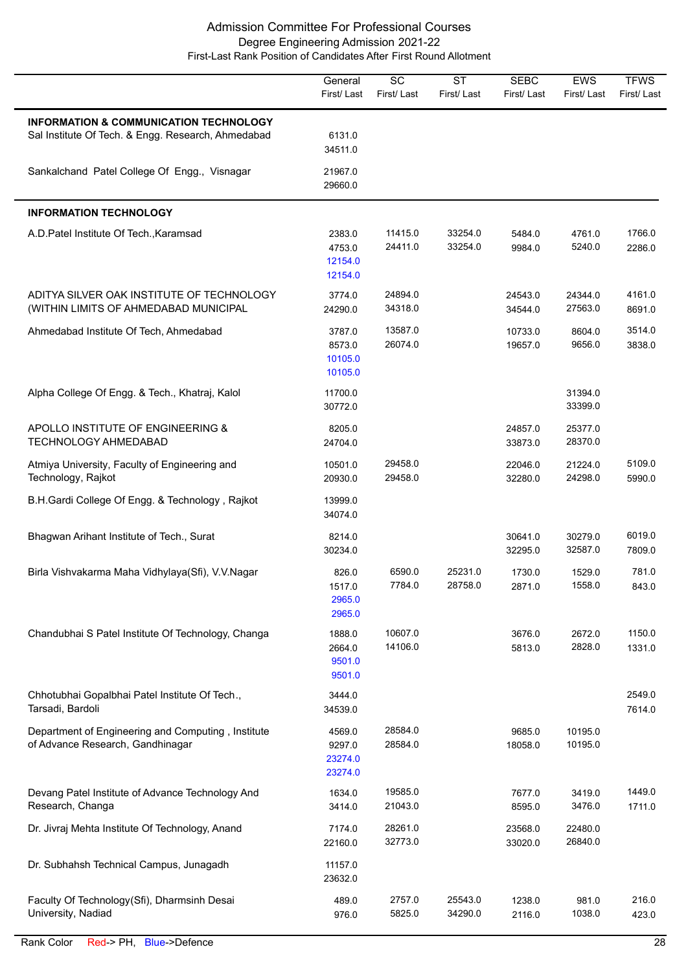|                                                                                              | General<br>First/Last                  | SC<br>First/Last   | <b>ST</b><br>First/Last | <b>SEBC</b><br>First/Last | <b>EWS</b><br>First/Last | <b>TFWS</b><br>First/Last |
|----------------------------------------------------------------------------------------------|----------------------------------------|--------------------|-------------------------|---------------------------|--------------------------|---------------------------|
| INFORMATION & COMMUNICATION TECHNOLOGY<br>Sal Institute Of Tech. & Engg. Research, Ahmedabad | 6131.0<br>34511.0                      |                    |                         |                           |                          |                           |
| Sankalchand Patel College Of Engg., Visnagar                                                 | 21967.0<br>29660.0                     |                    |                         |                           |                          |                           |
| <b>INFORMATION TECHNOLOGY</b>                                                                |                                        |                    |                         |                           |                          |                           |
| A.D. Patel Institute Of Tech., Karamsad                                                      | 2383.0<br>4753.0<br>12154.0<br>12154.0 | 11415.0<br>24411.0 | 33254.0<br>33254.0      | 5484.0<br>9984.0          | 4761.0<br>5240.0         | 1766.0<br>2286.0          |
| ADITYA SILVER OAK INSTITUTE OF TECHNOLOGY<br>(WITHIN LIMITS OF AHMEDABAD MUNICIPAL           | 3774.0<br>24290.0                      | 24894.0<br>34318.0 |                         | 24543.0<br>34544.0        | 24344.0<br>27563.0       | 4161.0<br>8691.0          |
| Ahmedabad Institute Of Tech, Ahmedabad                                                       | 3787.0<br>8573.0<br>10105.0<br>10105.0 | 13587.0<br>26074.0 |                         | 10733.0<br>19657.0        | 8604.0<br>9656.0         | 3514.0<br>3838.0          |
| Alpha College Of Engg. & Tech., Khatraj, Kalol                                               | 11700.0<br>30772.0                     |                    |                         |                           | 31394.0<br>33399.0       |                           |
| APOLLO INSTITUTE OF ENGINEERING &<br><b>TECHNOLOGY AHMEDABAD</b>                             | 8205.0<br>24704.0                      |                    |                         | 24857.0<br>33873.0        | 25377.0<br>28370.0       |                           |
| Atmiya University, Faculty of Engineering and<br>Technology, Rajkot                          | 10501.0<br>20930.0                     | 29458.0<br>29458.0 |                         | 22046.0<br>32280.0        | 21224.0<br>24298.0       | 5109.0<br>5990.0          |
| B.H.Gardi College Of Engg. & Technology, Rajkot                                              | 13999.0<br>34074.0                     |                    |                         |                           |                          |                           |
| Bhagwan Arihant Institute of Tech., Surat                                                    | 8214.0<br>30234.0                      |                    |                         | 30641.0<br>32295.0        | 30279.0<br>32587.0       | 6019.0<br>7809.0          |
| Birla Vishvakarma Maha Vidhylaya(Sfi), V.V.Nagar                                             | 826.0<br>1517.0<br>2965.0<br>2965.0    | 6590.0<br>7784.0   | 25231.0<br>28758.0      | 1730.0<br>2871.0          | 1529.0<br>1558.0         | 781.0<br>843.0            |
| Chandubhai S Patel Institute Of Technology, Changa                                           | 1888.0<br>2664.0<br>9501.0<br>9501.0   | 10607.0<br>14106.0 |                         | 3676.0<br>5813.0          | 2672.0<br>2828.0         | 1150.0<br>1331.0          |
| Chhotubhai Gopalbhai Patel Institute Of Tech.,<br>Tarsadi, Bardoli                           | 3444.0<br>34539.0                      |                    |                         |                           |                          | 2549.0<br>7614.0          |
| Department of Engineering and Computing, Institute<br>of Advance Research, Gandhinagar       | 4569.0<br>9297.0<br>23274.0<br>23274.0 | 28584.0<br>28584.0 |                         | 9685.0<br>18058.0         | 10195.0<br>10195.0       |                           |
| Devang Patel Institute of Advance Technology And<br>Research, Changa                         | 1634.0<br>3414.0                       | 19585.0<br>21043.0 |                         | 7677.0<br>8595.0          | 3419.0<br>3476.0         | 1449.0<br>1711.0          |
| Dr. Jivraj Mehta Institute Of Technology, Anand                                              | 7174.0<br>22160.0                      | 28261.0<br>32773.0 |                         | 23568.0<br>33020.0        | 22480.0<br>26840.0       |                           |
| Dr. Subhahsh Technical Campus, Junagadh                                                      | 11157.0<br>23632.0                     |                    |                         |                           |                          |                           |
| Faculty Of Technology(Sfi), Dharmsinh Desai<br>University, Nadiad                            | 489.0<br>976.0                         | 2757.0<br>5825.0   | 25543.0<br>34290.0      | 1238.0<br>2116.0          | 981.0<br>1038.0          | 216.0<br>423.0            |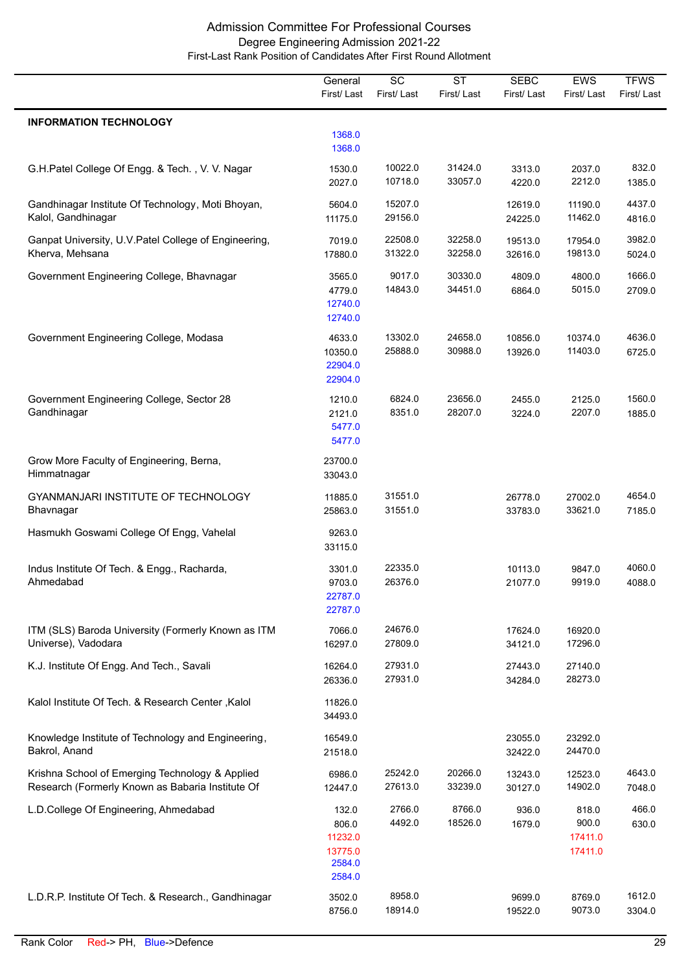|                                                                                                     | General<br>First/Last                                    | $\overline{SC}$<br>First/Last | $\overline{\text{ST}}$<br>First/Last | <b>SEBC</b><br>First/Last | EWS<br>First/Last                    | <b>TFWS</b><br>First/Last |
|-----------------------------------------------------------------------------------------------------|----------------------------------------------------------|-------------------------------|--------------------------------------|---------------------------|--------------------------------------|---------------------------|
| <b>INFORMATION TECHNOLOGY</b>                                                                       |                                                          |                               |                                      |                           |                                      |                           |
|                                                                                                     | 1368.0<br>1368.0                                         |                               |                                      |                           |                                      |                           |
| G.H.Patel College Of Engg. & Tech., V. V. Nagar                                                     | 1530.0<br>2027.0                                         | 10022.0<br>10718.0            | 31424.0<br>33057.0                   | 3313.0<br>4220.0          | 2037.0<br>2212.0                     | 832.0<br>1385.0           |
| Gandhinagar Institute Of Technology, Moti Bhoyan,<br>Kalol, Gandhinagar                             | 5604.0<br>11175.0                                        | 15207.0<br>29156.0            |                                      | 12619.0<br>24225.0        | 11190.0<br>11462.0                   | 4437.0<br>4816.0          |
| Ganpat University, U.V. Patel College of Engineering,<br>Kherva, Mehsana                            | 7019.0<br>17880.0                                        | 22508.0<br>31322.0            | 32258.0<br>32258.0                   | 19513.0<br>32616.0        | 17954.0<br>19813.0                   | 3982.0<br>5024.0          |
| Government Engineering College, Bhavnagar                                                           | 3565.0<br>4779.0<br>12740.0<br>12740.0                   | 9017.0<br>14843.0             | 30330.0<br>34451.0                   | 4809.0<br>6864.0          | 4800.0<br>5015.0                     | 1666.0<br>2709.0          |
| Government Engineering College, Modasa                                                              | 4633.0<br>10350.0<br>22904.0<br>22904.0                  | 13302.0<br>25888.0            | 24658.0<br>30988.0                   | 10856.0<br>13926.0        | 10374.0<br>11403.0                   | 4636.0<br>6725.0          |
| Government Engineering College, Sector 28<br>Gandhinagar                                            | 1210.0<br>2121.0<br>5477.0<br>5477.0                     | 6824.0<br>8351.0              | 23656.0<br>28207.0                   | 2455.0<br>3224.0          | 2125.0<br>2207.0                     | 1560.0<br>1885.0          |
| Grow More Faculty of Engineering, Berna,<br>Himmatnagar                                             | 23700.0<br>33043.0                                       |                               |                                      |                           |                                      |                           |
| GYANMANJARI INSTITUTE OF TECHNOLOGY<br>Bhavnagar                                                    | 11885.0<br>25863.0                                       | 31551.0<br>31551.0            |                                      | 26778.0<br>33783.0        | 27002.0<br>33621.0                   | 4654.0<br>7185.0          |
| Hasmukh Goswami College Of Engg, Vahelal                                                            | 9263.0<br>33115.0                                        |                               |                                      |                           |                                      |                           |
| Indus Institute Of Tech. & Engg., Racharda,<br>Ahmedabad                                            | 3301.0<br>9703.0<br>22787.0<br>22787.0                   | 22335.0<br>26376.0            |                                      | 10113.0<br>21077.0        | 9847.0<br>9919.0                     | 4060.0<br>4088.0          |
| ITM (SLS) Baroda University (Formerly Known as ITM<br>Universe), Vadodara                           | 7066.0<br>16297.0                                        | 24676.0<br>27809.0            |                                      | 17624.0<br>34121.0        | 16920.0<br>17296.0                   |                           |
| K.J. Institute Of Engg. And Tech., Savali                                                           | 16264.0<br>26336.0                                       | 27931.0<br>27931.0            |                                      | 27443.0<br>34284.0        | 27140.0<br>28273.0                   |                           |
| Kalol Institute Of Tech. & Research Center, Kalol                                                   | 11826.0<br>34493.0                                       |                               |                                      |                           |                                      |                           |
| Knowledge Institute of Technology and Engineering,<br>Bakrol, Anand                                 | 16549.0<br>21518.0                                       |                               |                                      | 23055.0<br>32422.0        | 23292.0<br>24470.0                   |                           |
| Krishna School of Emerging Technology & Applied<br>Research (Formerly Known as Babaria Institute Of | 6986.0<br>12447.0                                        | 25242.0<br>27613.0            | 20266.0<br>33239.0                   | 13243.0<br>30127.0        | 12523.0<br>14902.0                   | 4643.0<br>7048.0          |
| L.D.College Of Engineering, Ahmedabad                                                               | 132.0<br>806.0<br>11232.0<br>13775.0<br>2584.0<br>2584.0 | 2766.0<br>4492.0              | 8766.0<br>18526.0                    | 936.0<br>1679.0           | 818.0<br>900.0<br>17411.0<br>17411.0 | 466.0<br>630.0            |
| L.D.R.P. Institute Of Tech. & Research., Gandhinagar                                                | 3502.0<br>8756.0                                         | 8958.0<br>18914.0             |                                      | 9699.0<br>19522.0         | 8769.0<br>9073.0                     | 1612.0<br>3304.0          |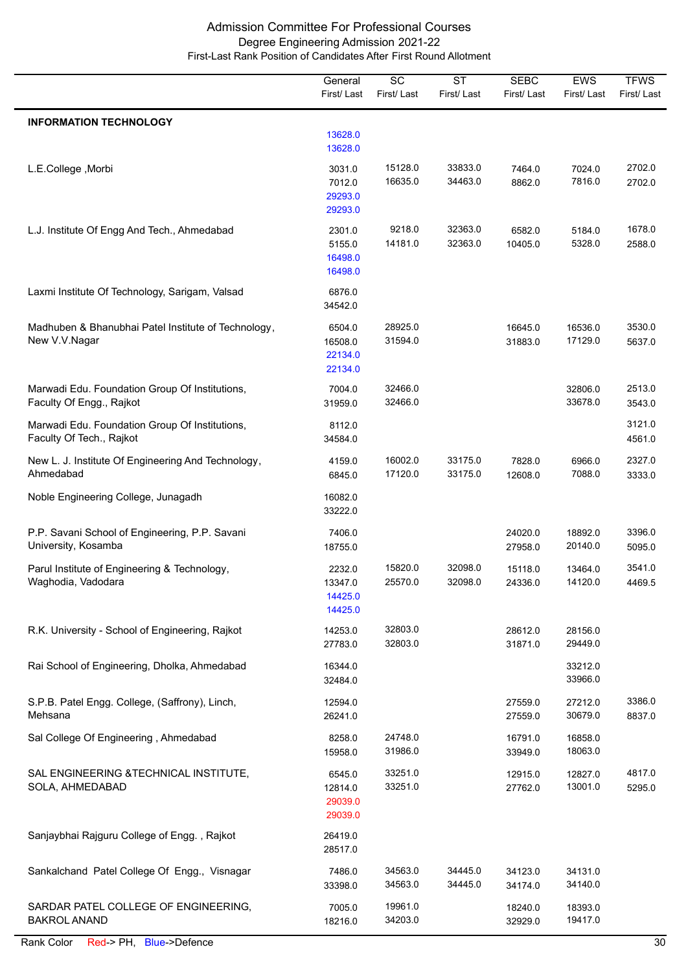|                                                                            | General<br>First/Last                   | $\overline{SC}$<br>First/Last | $\overline{\text{ST}}$<br>First/Last | <b>SEBC</b><br>First/Last | <b>EWS</b><br>First/Last | <b>TFWS</b><br>First/Last |
|----------------------------------------------------------------------------|-----------------------------------------|-------------------------------|--------------------------------------|---------------------------|--------------------------|---------------------------|
| <b>INFORMATION TECHNOLOGY</b>                                              |                                         |                               |                                      |                           |                          |                           |
|                                                                            | 13628.0<br>13628.0                      |                               |                                      |                           |                          |                           |
| L.E.College, Morbi                                                         | 3031.0<br>7012.0<br>29293.0<br>29293.0  | 15128.0<br>16635.0            | 33833.0<br>34463.0                   | 7464.0<br>8862.0          | 7024.0<br>7816.0         | 2702.0<br>2702.0          |
| L.J. Institute Of Engg And Tech., Ahmedabad                                | 2301.0<br>5155.0<br>16498.0<br>16498.0  | 9218.0<br>14181.0             | 32363.0<br>32363.0                   | 6582.0<br>10405.0         | 5184.0<br>5328.0         | 1678.0<br>2588.0          |
| Laxmi Institute Of Technology, Sarigam, Valsad                             | 6876.0<br>34542.0                       |                               |                                      |                           |                          |                           |
| Madhuben & Bhanubhai Patel Institute of Technology,<br>New V.V.Nagar       | 6504.0<br>16508.0<br>22134.0<br>22134.0 | 28925.0<br>31594.0            |                                      | 16645.0<br>31883.0        | 16536.0<br>17129.0       | 3530.0<br>5637.0          |
| Marwadi Edu. Foundation Group Of Institutions,<br>Faculty Of Engg., Rajkot | 7004.0<br>31959.0                       | 32466.0<br>32466.0            |                                      |                           | 32806.0<br>33678.0       | 2513.0<br>3543.0          |
| Marwadi Edu. Foundation Group Of Institutions,<br>Faculty Of Tech., Rajkot | 8112.0<br>34584.0                       |                               |                                      |                           |                          | 3121.0<br>4561.0          |
| New L. J. Institute Of Engineering And Technology,<br>Ahmedabad            | 4159.0<br>6845.0                        | 16002.0<br>17120.0            | 33175.0<br>33175.0                   | 7828.0<br>12608.0         | 6966.0<br>7088.0         | 2327.0<br>3333.0          |
| Noble Engineering College, Junagadh                                        | 16082.0<br>33222.0                      |                               |                                      |                           |                          |                           |
| P.P. Savani School of Engineering, P.P. Savani<br>University, Kosamba      | 7406.0<br>18755.0                       |                               |                                      | 24020.0<br>27958.0        | 18892.0<br>20140.0       | 3396.0<br>5095.0          |
| Parul Institute of Engineering & Technology,<br>Waghodia, Vadodara         | 2232.0<br>13347.0<br>14425.0<br>14425.0 | 15820.0<br>25570.0            | 32098.0<br>32098.0                   | 15118.0<br>24336.0        | 13464.0<br>14120.0       | 3541.0<br>4469.5          |
| R.K. University - School of Engineering, Rajkot                            | 14253.0<br>27783.0                      | 32803.0<br>32803.0            |                                      | 28612.0<br>31871.0        | 28156.0<br>29449.0       |                           |
| Rai School of Engineering, Dholka, Ahmedabad                               | 16344.0<br>32484.0                      |                               |                                      |                           | 33212.0<br>33966.0       |                           |
| S.P.B. Patel Engg. College, (Saffrony), Linch,<br>Mehsana                  | 12594.0<br>26241.0                      |                               |                                      | 27559.0<br>27559.0        | 27212.0<br>30679.0       | 3386.0<br>8837.0          |
| Sal College Of Engineering, Ahmedabad                                      | 8258.0<br>15958.0                       | 24748.0<br>31986.0            |                                      | 16791.0<br>33949.0        | 16858.0<br>18063.0       |                           |
| SAL ENGINEERING & TECHNICAL INSTITUTE,<br>SOLA, AHMEDABAD                  | 6545.0<br>12814.0<br>29039.0<br>29039.0 | 33251.0<br>33251.0            |                                      | 12915.0<br>27762.0        | 12827.0<br>13001.0       | 4817.0<br>5295.0          |
| Sanjaybhai Rajguru College of Engg., Rajkot                                | 26419.0<br>28517.0                      |                               |                                      |                           |                          |                           |
| Sankalchand Patel College Of Engg., Visnagar                               | 7486.0<br>33398.0                       | 34563.0<br>34563.0            | 34445.0<br>34445.0                   | 34123.0<br>34174.0        | 34131.0<br>34140.0       |                           |
| SARDAR PATEL COLLEGE OF ENGINEERING,<br><b>BAKROL ANAND</b>                | 7005.0<br>18216.0                       | 19961.0<br>34203.0            |                                      | 18240.0<br>32929.0        | 18393.0<br>19417.0       |                           |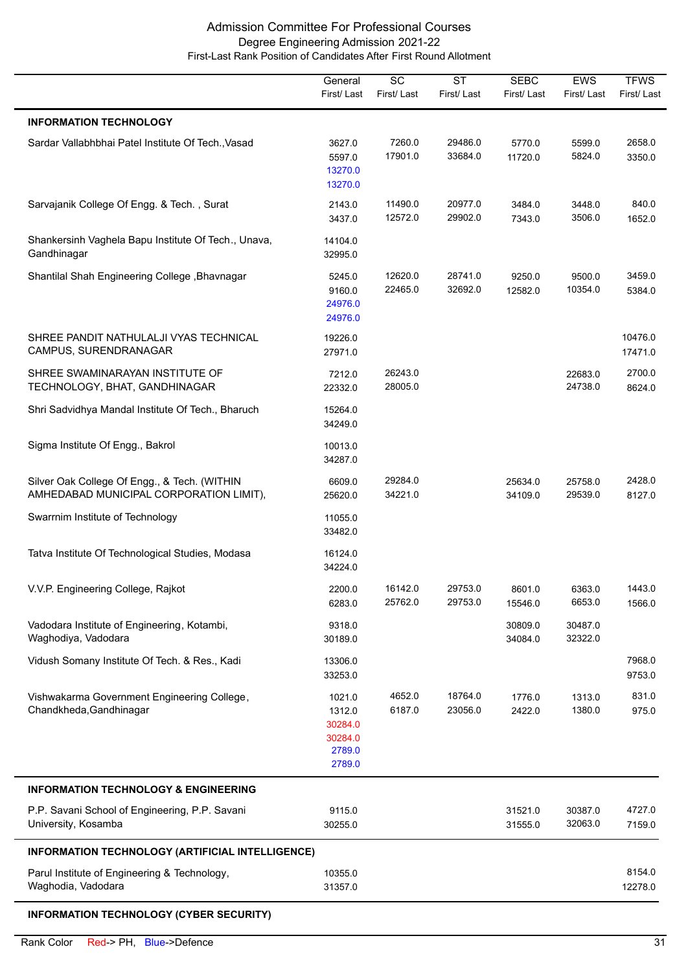|                                                                                         | General<br>First/Last                                      | $\overline{SC}$<br>First/Last | $\overline{\text{ST}}$<br>First/Last | <b>SEBC</b><br>First/Last | <b>EWS</b><br>First/Last | <b>TFWS</b><br>First/Last |
|-----------------------------------------------------------------------------------------|------------------------------------------------------------|-------------------------------|--------------------------------------|---------------------------|--------------------------|---------------------------|
| <b>INFORMATION TECHNOLOGY</b>                                                           |                                                            |                               |                                      |                           |                          |                           |
| Sardar Vallabhbhai Patel Institute Of Tech., Vasad                                      | 3627.0<br>5597.0<br>13270.0<br>13270.0                     | 7260.0<br>17901.0             | 29486.0<br>33684.0                   | 5770.0<br>11720.0         | 5599.0<br>5824.0         | 2658.0<br>3350.0          |
| Sarvajanik College Of Engg. & Tech., Surat                                              | 2143.0<br>3437.0                                           | 11490.0<br>12572.0            | 20977.0<br>29902.0                   | 3484.0<br>7343.0          | 3448.0<br>3506.0         | 840.0<br>1652.0           |
| Shankersinh Vaghela Bapu Institute Of Tech., Unava,<br>Gandhinagar                      | 14104.0<br>32995.0                                         |                               |                                      |                           |                          |                           |
| Shantilal Shah Engineering College, Bhavnagar                                           | 5245.0<br>9160.0<br>24976.0<br>24976.0                     | 12620.0<br>22465.0            | 28741.0<br>32692.0                   | 9250.0<br>12582.0         | 9500.0<br>10354.0        | 3459.0<br>5384.0          |
| SHREE PANDIT NATHULALJI VYAS TECHNICAL<br>CAMPUS, SURENDRANAGAR                         | 19226.0<br>27971.0                                         |                               |                                      |                           |                          | 10476.0<br>17471.0        |
| SHREE SWAMINARAYAN INSTITUTE OF<br>TECHNOLOGY, BHAT, GANDHINAGAR                        | 7212.0<br>22332.0                                          | 26243.0<br>28005.0            |                                      |                           | 22683.0<br>24738.0       | 2700.0<br>8624.0          |
| Shri Sadvidhya Mandal Institute Of Tech., Bharuch                                       | 15264.0<br>34249.0                                         |                               |                                      |                           |                          |                           |
| Sigma Institute Of Engg., Bakrol                                                        | 10013.0<br>34287.0                                         |                               |                                      |                           |                          |                           |
| Silver Oak College Of Engg., & Tech. (WITHIN<br>AMHEDABAD MUNICIPAL CORPORATION LIMIT), | 6609.0<br>25620.0                                          | 29284.0<br>34221.0            |                                      | 25634.0<br>34109.0        | 25758.0<br>29539.0       | 2428.0<br>8127.0          |
| Swarrnim Institute of Technology                                                        | 11055.0<br>33482.0                                         |                               |                                      |                           |                          |                           |
| Tatva Institute Of Technological Studies, Modasa                                        | 16124.0<br>34224.0                                         |                               |                                      |                           |                          |                           |
| V.V.P. Engineering College, Rajkot                                                      | 2200.0<br>6283.0                                           | 16142.0<br>25762.0            | 29753.0<br>29753.0                   | 8601.0<br>15546.0         | 6363.0<br>6653.0         | 1443.0<br>1566.0          |
| Vadodara Institute of Engineering, Kotambi,<br>Waghodiya, Vadodara                      | 9318.0<br>30189.0                                          |                               |                                      | 30809.0<br>34084.0        | 30487.0<br>32322.0       |                           |
| Vidush Somany Institute Of Tech. & Res., Kadi                                           | 13306.0<br>33253.0                                         |                               |                                      |                           |                          | 7968.0<br>9753.0          |
| Vishwakarma Government Engineering College,<br>Chandkheda, Gandhinagar                  | 1021.0<br>1312.0<br>30284.0<br>30284.0<br>2789.0<br>2789.0 | 4652.0<br>6187.0              | 18764.0<br>23056.0                   | 1776.0<br>2422.0          | 1313.0<br>1380.0         | 831.0<br>975.0            |
| <b>INFORMATION TECHNOLOGY &amp; ENGINEERING</b>                                         |                                                            |                               |                                      |                           |                          |                           |
| P.P. Savani School of Engineering, P.P. Savani<br>University, Kosamba                   | 9115.0<br>30255.0                                          |                               |                                      | 31521.0<br>31555.0        | 30387.0<br>32063.0       | 4727.0<br>7159.0          |
| INFORMATION TECHNOLOGY (ARTIFICIAL INTELLIGENCE)                                        |                                                            |                               |                                      |                           |                          |                           |
| Parul Institute of Engineering & Technology,<br>Waghodia, Vadodara                      | 10355.0<br>31357.0                                         |                               |                                      |                           |                          | 8154.0<br>12278.0         |
| <b>INFORMATION TECHNOLOGY (CYBER SECURITY)</b>                                          |                                                            |                               |                                      |                           |                          |                           |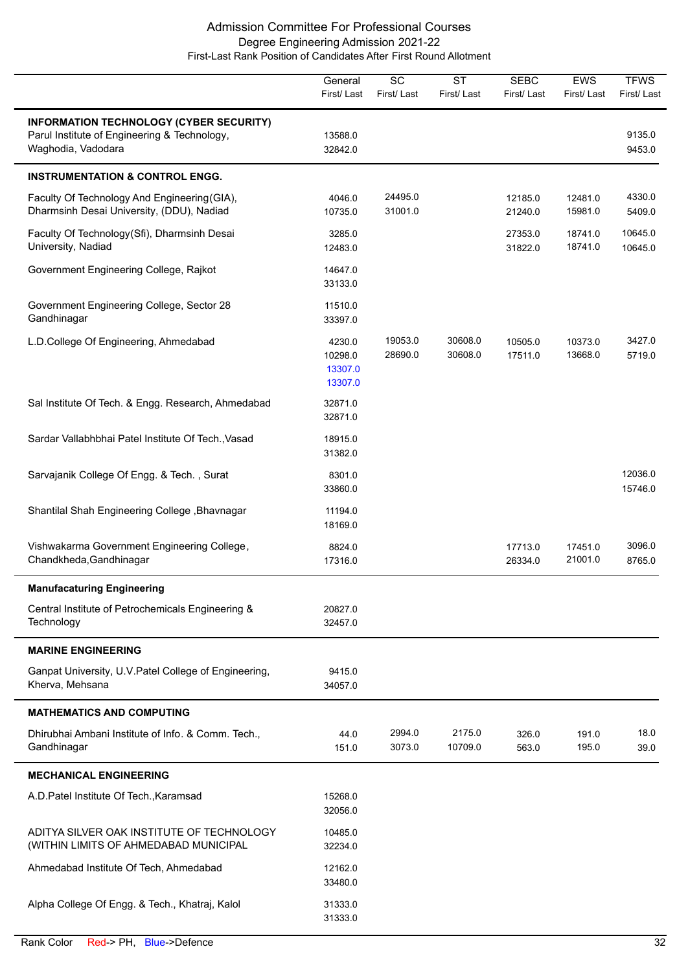|                                                                                                                      | General<br>First/Last                   | $\overline{SC}$<br>First/Last | <b>ST</b><br>First/Last | <b>SEBC</b><br>First/Last | EWS<br>First/Last  | <b>TFWS</b><br>First/Last |
|----------------------------------------------------------------------------------------------------------------------|-----------------------------------------|-------------------------------|-------------------------|---------------------------|--------------------|---------------------------|
| <b>INFORMATION TECHNOLOGY (CYBER SECURITY)</b><br>Parul Institute of Engineering & Technology,<br>Waghodia, Vadodara | 13588.0<br>32842.0                      |                               |                         |                           |                    | 9135.0<br>9453.0          |
| <b>INSTRUMENTATION &amp; CONTROL ENGG.</b>                                                                           |                                         |                               |                         |                           |                    |                           |
| Faculty Of Technology And Engineering (GIA),<br>Dharmsinh Desai University, (DDU), Nadiad                            | 4046.0<br>10735.0                       | 24495.0<br>31001.0            |                         | 12185.0<br>21240.0        | 12481.0<br>15981.0 | 4330.0<br>5409.0          |
| Faculty Of Technology(Sfi), Dharmsinh Desai<br>University, Nadiad                                                    | 3285.0<br>12483.0                       |                               |                         | 27353.0<br>31822.0        | 18741.0<br>18741.0 | 10645.0<br>10645.0        |
| Government Engineering College, Rajkot                                                                               | 14647.0<br>33133.0                      |                               |                         |                           |                    |                           |
| Government Engineering College, Sector 28<br>Gandhinagar                                                             | 11510.0<br>33397.0                      |                               |                         |                           |                    |                           |
| L.D.College Of Engineering, Ahmedabad                                                                                | 4230.0<br>10298.0<br>13307.0<br>13307.0 | 19053.0<br>28690.0            | 30608.0<br>30608.0      | 10505.0<br>17511.0        | 10373.0<br>13668.0 | 3427.0<br>5719.0          |
| Sal Institute Of Tech. & Engg. Research, Ahmedabad                                                                   | 32871.0<br>32871.0                      |                               |                         |                           |                    |                           |
| Sardar Vallabhbhai Patel Institute Of Tech., Vasad                                                                   | 18915.0<br>31382.0                      |                               |                         |                           |                    |                           |
| Sarvajanik College Of Engg. & Tech., Surat                                                                           | 8301.0<br>33860.0                       |                               |                         |                           |                    | 12036.0<br>15746.0        |
| Shantilal Shah Engineering College, Bhavnagar                                                                        | 11194.0<br>18169.0                      |                               |                         |                           |                    |                           |
| Vishwakarma Government Engineering College,<br>Chandkheda, Gandhinagar                                               | 8824.0<br>17316.0                       |                               |                         | 17713.0<br>26334.0        | 17451.0<br>21001.0 | 3096.0<br>8765.0          |
| <b>Manufacaturing Engineering</b>                                                                                    |                                         |                               |                         |                           |                    |                           |
| Central Institute of Petrochemicals Engineering &<br>Technology                                                      | 20827.0<br>32457.0                      |                               |                         |                           |                    |                           |
| <b>MARINE ENGINEERING</b>                                                                                            |                                         |                               |                         |                           |                    |                           |
| Ganpat University, U.V. Patel College of Engineering,<br>Kherva, Mehsana                                             | 9415.0<br>34057.0                       |                               |                         |                           |                    |                           |
| <b>MATHEMATICS AND COMPUTING</b>                                                                                     |                                         |                               |                         |                           |                    |                           |
| Dhirubhai Ambani Institute of Info. & Comm. Tech.,<br>Gandhinagar                                                    | 44.0<br>151.0                           | 2994.0<br>3073.0              | 2175.0<br>10709.0       | 326.0<br>563.0            | 191.0<br>195.0     | 18.0<br>39.0              |
| <b>MECHANICAL ENGINEERING</b>                                                                                        |                                         |                               |                         |                           |                    |                           |
| A.D. Patel Institute Of Tech., Karamsad                                                                              | 15268.0<br>32056.0                      |                               |                         |                           |                    |                           |
| ADITYA SILVER OAK INSTITUTE OF TECHNOLOGY<br>(WITHIN LIMITS OF AHMEDABAD MUNICIPAL                                   | 10485.0<br>32234.0                      |                               |                         |                           |                    |                           |
| Ahmedabad Institute Of Tech, Ahmedabad                                                                               | 12162.0<br>33480.0                      |                               |                         |                           |                    |                           |
| Alpha College Of Engg. & Tech., Khatraj, Kalol                                                                       | 31333.0<br>31333.0                      |                               |                         |                           |                    |                           |

 $\overline{\phantom{0}}$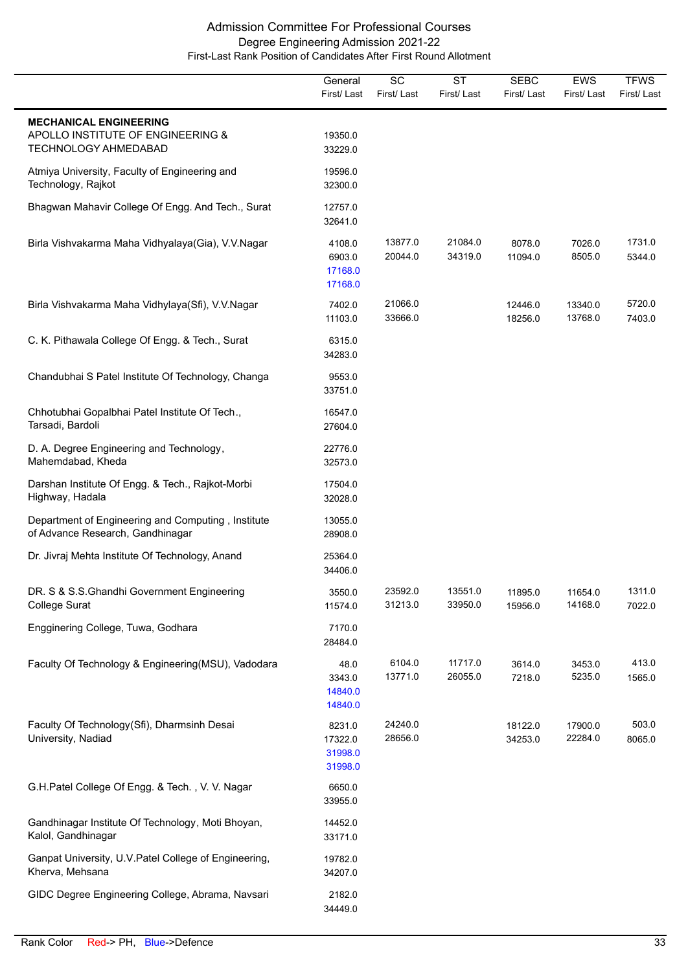|                                                                                                   | General<br>First/Last                   | SC<br>First/Last   | $\overline{\text{ST}}$<br>First/Last | <b>SEBC</b><br>First/Last | <b>EWS</b><br>First/Last | <b>TFWS</b><br>First/Last |
|---------------------------------------------------------------------------------------------------|-----------------------------------------|--------------------|--------------------------------------|---------------------------|--------------------------|---------------------------|
| <b>MECHANICAL ENGINEERING</b><br>APOLLO INSTITUTE OF ENGINEERING &<br><b>TECHNOLOGY AHMEDABAD</b> | 19350.0<br>33229.0                      |                    |                                      |                           |                          |                           |
| Atmiya University, Faculty of Engineering and<br>Technology, Rajkot                               | 19596.0<br>32300.0                      |                    |                                      |                           |                          |                           |
| Bhagwan Mahavir College Of Engg. And Tech., Surat                                                 | 12757.0<br>32641.0                      |                    |                                      |                           |                          |                           |
| Birla Vishvakarma Maha Vidhyalaya(Gia), V.V.Nagar                                                 | 4108.0<br>6903.0<br>17168.0<br>17168.0  | 13877.0<br>20044.0 | 21084.0<br>34319.0                   | 8078.0<br>11094.0         | 7026.0<br>8505.0         | 1731.0<br>5344.0          |
| Birla Vishvakarma Maha Vidhylaya(Sfi), V.V.Nagar                                                  | 7402.0<br>11103.0                       | 21066.0<br>33666.0 |                                      | 12446.0<br>18256.0        | 13340.0<br>13768.0       | 5720.0<br>7403.0          |
| C. K. Pithawala College Of Engg. & Tech., Surat                                                   | 6315.0<br>34283.0                       |                    |                                      |                           |                          |                           |
| Chandubhai S Patel Institute Of Technology, Changa                                                | 9553.0<br>33751.0                       |                    |                                      |                           |                          |                           |
| Chhotubhai Gopalbhai Patel Institute Of Tech.,<br>Tarsadi, Bardoli                                | 16547.0<br>27604.0                      |                    |                                      |                           |                          |                           |
| D. A. Degree Engineering and Technology,<br>Mahemdabad, Kheda                                     | 22776.0<br>32573.0                      |                    |                                      |                           |                          |                           |
| Darshan Institute Of Engg. & Tech., Rajkot-Morbi<br>Highway, Hadala                               | 17504.0<br>32028.0                      |                    |                                      |                           |                          |                           |
| Department of Engineering and Computing, Institute<br>of Advance Research, Gandhinagar            | 13055.0<br>28908.0                      |                    |                                      |                           |                          |                           |
| Dr. Jivraj Mehta Institute Of Technology, Anand                                                   | 25364.0<br>34406.0                      |                    |                                      |                           |                          |                           |
| DR. S & S.S.Ghandhi Government Engineering<br>College Surat                                       | 3550.0<br>11574.0                       | 23592.0<br>31213.0 | 13551.0<br>33950.0                   | 11895.0<br>15956.0        | 11654.0<br>14168.0       | 1311.0<br>7022.0          |
| Engginering College, Tuwa, Godhara                                                                | 7170.0<br>28484.0                       |                    |                                      |                           |                          |                           |
| Faculty Of Technology & Engineering(MSU), Vadodara                                                | 48.0<br>3343.0<br>14840.0<br>14840.0    | 6104.0<br>13771.0  | 11717.0<br>26055.0                   | 3614.0<br>7218.0          | 3453.0<br>5235.0         | 413.0<br>1565.0           |
| Faculty Of Technology(Sfi), Dharmsinh Desai<br>University, Nadiad                                 | 8231.0<br>17322.0<br>31998.0<br>31998.0 | 24240.0<br>28656.0 |                                      | 18122.0<br>34253.0        | 17900.0<br>22284.0       | 503.0<br>8065.0           |
| G.H.Patel College Of Engg. & Tech., V. V. Nagar                                                   | 6650.0<br>33955.0                       |                    |                                      |                           |                          |                           |
| Gandhinagar Institute Of Technology, Moti Bhoyan,<br>Kalol, Gandhinagar                           | 14452.0<br>33171.0                      |                    |                                      |                           |                          |                           |
| Ganpat University, U.V. Patel College of Engineering,<br>Kherva, Mehsana                          | 19782.0<br>34207.0                      |                    |                                      |                           |                          |                           |
| GIDC Degree Engineering College, Abrama, Navsari                                                  | 2182.0<br>34449.0                       |                    |                                      |                           |                          |                           |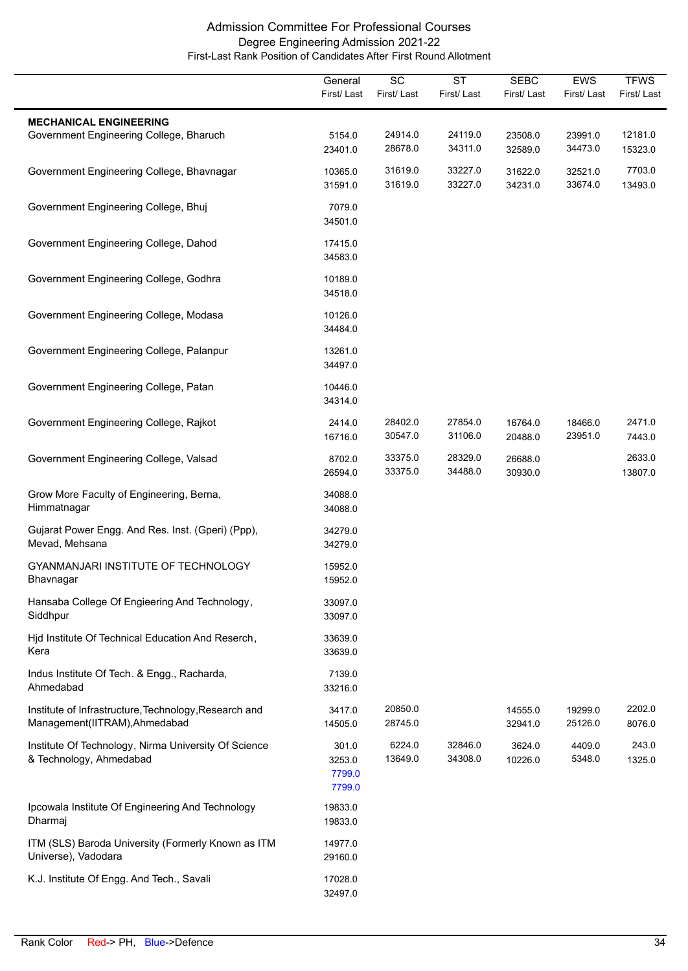|                                                                                        | General<br>First/Last               | SC<br>First/Last   | $\overline{\text{ST}}$<br>First/Last | <b>SEBC</b><br>First/Last | EWS<br>First/Last  | <b>TFWS</b><br>First/Last |
|----------------------------------------------------------------------------------------|-------------------------------------|--------------------|--------------------------------------|---------------------------|--------------------|---------------------------|
| <b>MECHANICAL ENGINEERING</b><br>Government Engineering College, Bharuch               | 5154.0<br>23401.0                   | 24914.0<br>28678.0 | 24119.0<br>34311.0                   | 23508.0<br>32589.0        | 23991.0<br>34473.0 | 12181.0<br>15323.0        |
| Government Engineering College, Bhavnagar                                              | 10365.0<br>31591.0                  | 31619.0<br>31619.0 | 33227.0<br>33227.0                   | 31622.0<br>34231.0        | 32521.0<br>33674.0 | 7703.0<br>13493.0         |
| Government Engineering College, Bhuj                                                   | 7079.0<br>34501.0                   |                    |                                      |                           |                    |                           |
| Government Engineering College, Dahod                                                  | 17415.0<br>34583.0                  |                    |                                      |                           |                    |                           |
| Government Engineering College, Godhra                                                 | 10189.0<br>34518.0                  |                    |                                      |                           |                    |                           |
| Government Engineering College, Modasa                                                 | 10126.0<br>34484.0                  |                    |                                      |                           |                    |                           |
| Government Engineering College, Palanpur                                               | 13261.0<br>34497.0                  |                    |                                      |                           |                    |                           |
| Government Engineering College, Patan                                                  | 10446.0<br>34314.0                  |                    |                                      |                           |                    |                           |
| Government Engineering College, Rajkot                                                 | 2414.0<br>16716.0                   | 28402.0<br>30547.0 | 27854.0<br>31106.0                   | 16764.0<br>20488.0        | 18466.0<br>23951.0 | 2471.0<br>7443.0          |
| Government Engineering College, Valsad                                                 | 8702.0<br>26594.0                   | 33375.0<br>33375.0 | 28329.0<br>34488.0                   | 26688.0<br>30930.0        |                    | 2633.0<br>13807.0         |
| Grow More Faculty of Engineering, Berna,<br>Himmatnagar                                | 34088.0<br>34088.0                  |                    |                                      |                           |                    |                           |
| Gujarat Power Engg. And Res. Inst. (Gperi) (Ppp),<br>Mevad, Mehsana                    | 34279.0<br>34279.0                  |                    |                                      |                           |                    |                           |
| GYANMANJARI INSTITUTE OF TECHNOLOGY<br>Bhavnagar                                       | 15952.0<br>15952.0                  |                    |                                      |                           |                    |                           |
| Hansaba College Of Engieering And Technology,<br>Siddhpur                              | 33097.0<br>33097.0                  |                    |                                      |                           |                    |                           |
| Hjd Institute Of Technical Education And Reserch,<br>Kera                              | 33639.0<br>33639.0                  |                    |                                      |                           |                    |                           |
| Indus Institute Of Tech. & Engg., Racharda,<br>Ahmedabad                               | 7139.0<br>33216.0                   |                    |                                      |                           |                    |                           |
| Institute of Infrastructure, Technology, Research and<br>Management(IITRAM), Ahmedabad | 3417.0<br>14505.0                   | 20850.0<br>28745.0 |                                      | 14555.0<br>32941.0        | 19299.0<br>25126.0 | 2202.0<br>8076.0          |
| Institute Of Technology, Nirma University Of Science<br>& Technology, Ahmedabad        | 301.0<br>3253.0<br>7799.0<br>7799.0 | 6224.0<br>13649.0  | 32846.0<br>34308.0                   | 3624.0<br>10226.0         | 4409.0<br>5348.0   | 243.0<br>1325.0           |
| Ipcowala Institute Of Engineering And Technology<br>Dharmaj                            | 19833.0<br>19833.0                  |                    |                                      |                           |                    |                           |
| ITM (SLS) Baroda University (Formerly Known as ITM<br>Universe), Vadodara              | 14977.0<br>29160.0                  |                    |                                      |                           |                    |                           |
| K.J. Institute Of Engg. And Tech., Savali                                              | 17028.0<br>32497.0                  |                    |                                      |                           |                    |                           |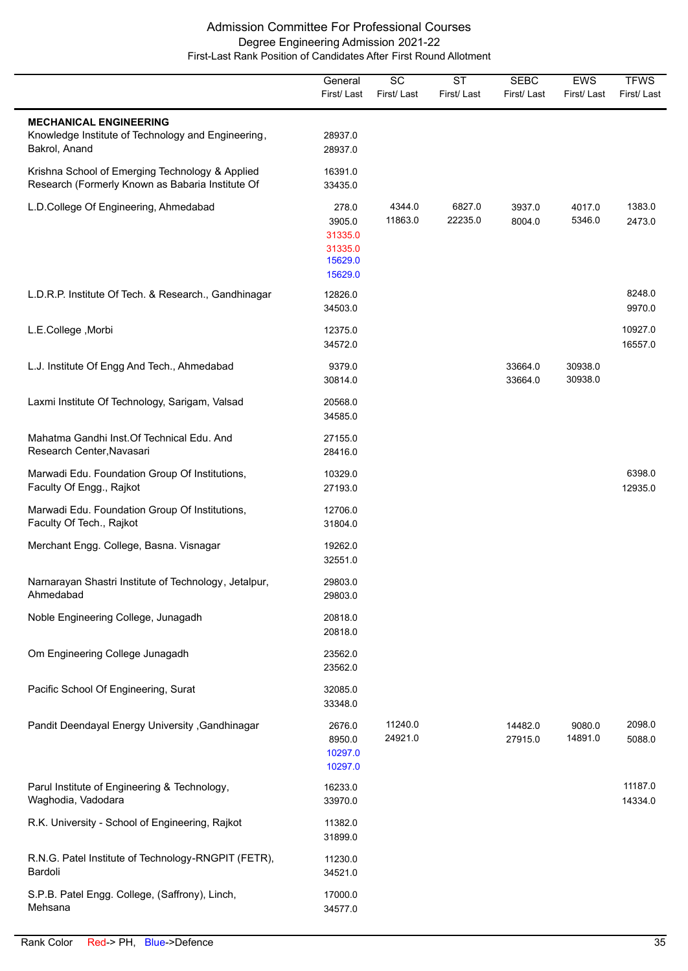|                                                                                                      | General<br>First/Last                                       | $\overline{SC}$<br>First/Last | $\overline{\text{ST}}$<br>First/Last | <b>SEBC</b><br>First/Last | EWS<br>First/Last  | <b>TFWS</b><br>First/Last |
|------------------------------------------------------------------------------------------------------|-------------------------------------------------------------|-------------------------------|--------------------------------------|---------------------------|--------------------|---------------------------|
| <b>MECHANICAL ENGINEERING</b><br>Knowledge Institute of Technology and Engineering,<br>Bakrol, Anand | 28937.0<br>28937.0                                          |                               |                                      |                           |                    |                           |
| Krishna School of Emerging Technology & Applied<br>Research (Formerly Known as Babaria Institute Of  | 16391.0<br>33435.0                                          |                               |                                      |                           |                    |                           |
| L.D.College Of Engineering, Ahmedabad                                                                | 278.0<br>3905.0<br>31335.0<br>31335.0<br>15629.0<br>15629.0 | 4344.0<br>11863.0             | 6827.0<br>22235.0                    | 3937.0<br>8004.0          | 4017.0<br>5346.0   | 1383.0<br>2473.0          |
| L.D.R.P. Institute Of Tech. & Research., Gandhinagar                                                 | 12826.0<br>34503.0                                          |                               |                                      |                           |                    | 8248.0<br>9970.0          |
| L.E.College, Morbi                                                                                   | 12375.0<br>34572.0                                          |                               |                                      |                           |                    | 10927.0<br>16557.0        |
| L.J. Institute Of Engg And Tech., Ahmedabad                                                          | 9379.0<br>30814.0                                           |                               |                                      | 33664.0<br>33664.0        | 30938.0<br>30938.0 |                           |
| Laxmi Institute Of Technology, Sarigam, Valsad                                                       | 20568.0<br>34585.0                                          |                               |                                      |                           |                    |                           |
| Mahatma Gandhi Inst. Of Technical Edu. And<br>Research Center, Navasari                              | 27155.0<br>28416.0                                          |                               |                                      |                           |                    |                           |
| Marwadi Edu. Foundation Group Of Institutions,<br>Faculty Of Engg., Rajkot                           | 10329.0<br>27193.0                                          |                               |                                      |                           |                    | 6398.0<br>12935.0         |
| Marwadi Edu. Foundation Group Of Institutions,<br>Faculty Of Tech., Rajkot                           | 12706.0<br>31804.0                                          |                               |                                      |                           |                    |                           |
| Merchant Engg. College, Basna. Visnagar                                                              | 19262.0<br>32551.0                                          |                               |                                      |                           |                    |                           |
| Narnarayan Shastri Institute of Technology, Jetalpur,<br>Ahmedabad                                   | 29803.0<br>29803.0                                          |                               |                                      |                           |                    |                           |
| Noble Engineering College, Junagadh                                                                  | 20818.0<br>20818.0                                          |                               |                                      |                           |                    |                           |
| Om Engineering College Junagadh                                                                      | 23562.0<br>23562.0                                          |                               |                                      |                           |                    |                           |
| Pacific School Of Engineering, Surat                                                                 | 32085.0<br>33348.0                                          |                               |                                      |                           |                    |                           |
| Pandit Deendayal Energy University , Gandhinagar                                                     | 2676.0<br>8950.0<br>10297.0<br>10297.0                      | 11240.0<br>24921.0            |                                      | 14482.0<br>27915.0        | 9080.0<br>14891.0  | 2098.0<br>5088.0          |
| Parul Institute of Engineering & Technology,<br>Waghodia, Vadodara                                   | 16233.0<br>33970.0                                          |                               |                                      |                           |                    | 11187.0<br>14334.0        |
| R.K. University - School of Engineering, Rajkot                                                      | 11382.0<br>31899.0                                          |                               |                                      |                           |                    |                           |
| R.N.G. Patel Institute of Technology-RNGPIT (FETR),<br>Bardoli                                       | 11230.0<br>34521.0                                          |                               |                                      |                           |                    |                           |
| S.P.B. Patel Engg. College, (Saffrony), Linch,<br>Mehsana                                            | 17000.0<br>34577.0                                          |                               |                                      |                           |                    |                           |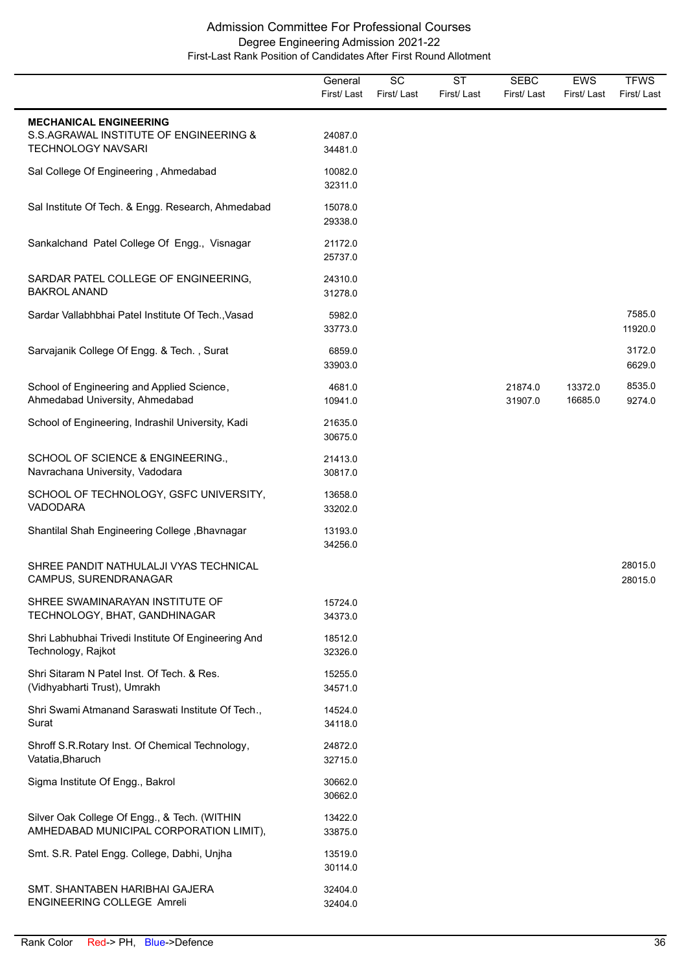|                                                                                         | General<br>First/Last | SC<br>First/Last | <b>ST</b><br>First/Last | <b>SEBC</b><br>First/Last | <b>EWS</b><br>First/Last | <b>TFWS</b><br>First/Last |
|-----------------------------------------------------------------------------------------|-----------------------|------------------|-------------------------|---------------------------|--------------------------|---------------------------|
| <b>MECHANICAL ENGINEERING</b>                                                           |                       |                  |                         |                           |                          |                           |
| S.S.AGRAWAL INSTITUTE OF ENGINEERING &<br><b>TECHNOLOGY NAVSARI</b>                     | 24087.0<br>34481.0    |                  |                         |                           |                          |                           |
| Sal College Of Engineering, Ahmedabad                                                   | 10082.0<br>32311.0    |                  |                         |                           |                          |                           |
| Sal Institute Of Tech. & Engg. Research, Ahmedabad                                      | 15078.0<br>29338.0    |                  |                         |                           |                          |                           |
| Sankalchand Patel College Of Engg., Visnagar                                            | 21172.0<br>25737.0    |                  |                         |                           |                          |                           |
| SARDAR PATEL COLLEGE OF ENGINEERING,<br><b>BAKROL ANAND</b>                             | 24310.0<br>31278.0    |                  |                         |                           |                          |                           |
| Sardar Vallabhbhai Patel Institute Of Tech., Vasad                                      | 5982.0<br>33773.0     |                  |                         |                           |                          | 7585.0<br>11920.0         |
| Sarvajanik College Of Engg. & Tech., Surat                                              | 6859.0<br>33903.0     |                  |                         |                           |                          | 3172.0<br>6629.0          |
| School of Engineering and Applied Science,<br>Ahmedabad University, Ahmedabad           | 4681.0<br>10941.0     |                  |                         | 21874.0<br>31907.0        | 13372.0<br>16685.0       | 8535.0<br>9274.0          |
| School of Engineering, Indrashil University, Kadi                                       | 21635.0<br>30675.0    |                  |                         |                           |                          |                           |
| SCHOOL OF SCIENCE & ENGINEERING.,<br>Navrachana University, Vadodara                    | 21413.0<br>30817.0    |                  |                         |                           |                          |                           |
| SCHOOL OF TECHNOLOGY, GSFC UNIVERSITY,<br><b>VADODARA</b>                               | 13658.0<br>33202.0    |                  |                         |                           |                          |                           |
| Shantilal Shah Engineering College, Bhavnagar                                           | 13193.0<br>34256.0    |                  |                         |                           |                          |                           |
| SHREE PANDIT NATHULALJI VYAS TECHNICAL<br>CAMPUS, SURENDRANAGAR                         |                       |                  |                         |                           |                          | 28015.0<br>28015.0        |
| SHREE SWAMINARAYAN INSTITUTE OF<br>TECHNOLOGY, BHAT, GANDHINAGAR                        | 15724.0<br>34373.0    |                  |                         |                           |                          |                           |
| Shri Labhubhai Trivedi Institute Of Engineering And<br>Technology, Rajkot               | 18512.0<br>32326.0    |                  |                         |                           |                          |                           |
| Shri Sitaram N Patel Inst. Of Tech. & Res.<br>(Vidhyabharti Trust), Umrakh              | 15255.0<br>34571.0    |                  |                         |                           |                          |                           |
| Shri Swami Atmanand Saraswati Institute Of Tech.,<br>Surat                              | 14524.0<br>34118.0    |                  |                         |                           |                          |                           |
| Shroff S.R.Rotary Inst. Of Chemical Technology,<br>Vatatia, Bharuch                     | 24872.0<br>32715.0    |                  |                         |                           |                          |                           |
| Sigma Institute Of Engg., Bakrol                                                        | 30662.0<br>30662.0    |                  |                         |                           |                          |                           |
| Silver Oak College Of Engg., & Tech. (WITHIN<br>AMHEDABAD MUNICIPAL CORPORATION LIMIT), | 13422.0<br>33875.0    |                  |                         |                           |                          |                           |
| Smt. S.R. Patel Engg. College, Dabhi, Unjha                                             | 13519.0<br>30114.0    |                  |                         |                           |                          |                           |
| SMT. SHANTABEN HARIBHAI GAJERA<br>ENGINEERING COLLEGE Amreli                            | 32404.0<br>32404.0    |                  |                         |                           |                          |                           |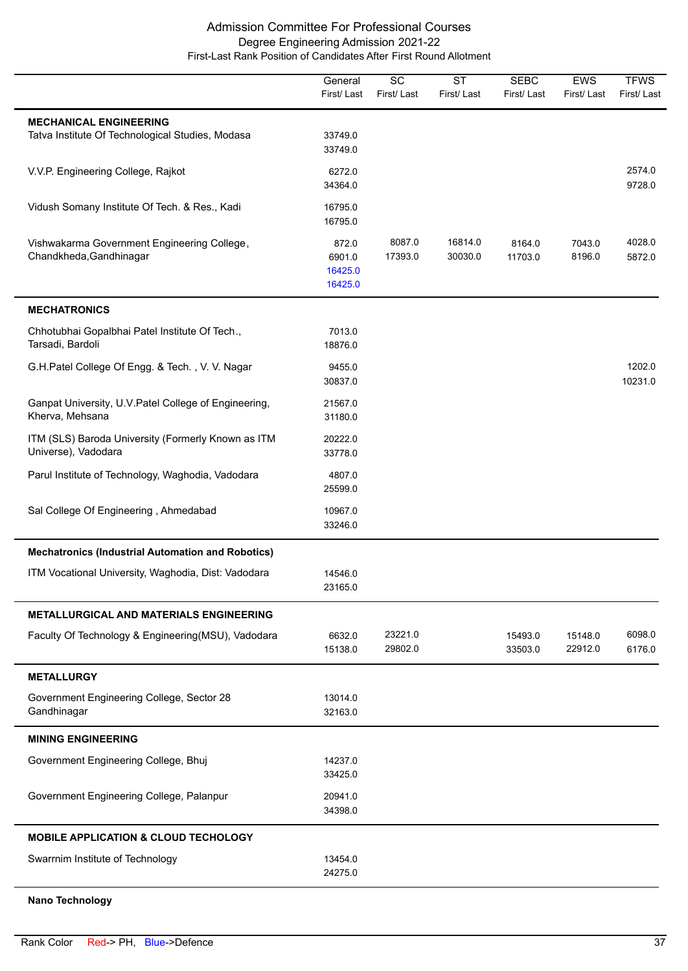|                                                                                   | General<br>First/Last                 | $\overline{SC}$<br>First/Last | $\overline{\text{ST}}$<br>First/Last | <b>SEBC</b><br>First/Last | <b>EWS</b><br>First/Last | <b>TFWS</b><br>First/Last |
|-----------------------------------------------------------------------------------|---------------------------------------|-------------------------------|--------------------------------------|---------------------------|--------------------------|---------------------------|
| <b>MECHANICAL ENGINEERING</b><br>Tatva Institute Of Technological Studies, Modasa | 33749.0<br>33749.0                    |                               |                                      |                           |                          |                           |
| V.V.P. Engineering College, Rajkot                                                | 6272.0<br>34364.0                     |                               |                                      |                           |                          | 2574.0<br>9728.0          |
| Vidush Somany Institute Of Tech. & Res., Kadi                                     | 16795.0<br>16795.0                    |                               |                                      |                           |                          |                           |
| Vishwakarma Government Engineering College,<br>Chandkheda, Gandhinagar            | 872.0<br>6901.0<br>16425.0<br>16425.0 | 8087.0<br>17393.0             | 16814.0<br>30030.0                   | 8164.0<br>11703.0         | 7043.0<br>8196.0         | 4028.0<br>5872.0          |
| <b>MECHATRONICS</b>                                                               |                                       |                               |                                      |                           |                          |                           |
| Chhotubhai Gopalbhai Patel Institute Of Tech.,<br>Tarsadi, Bardoli                | 7013.0<br>18876.0                     |                               |                                      |                           |                          |                           |
| G.H.Patel College Of Engg. & Tech., V. V. Nagar                                   | 9455.0<br>30837.0                     |                               |                                      |                           |                          | 1202.0<br>10231.0         |
| Ganpat University, U.V. Patel College of Engineering,<br>Kherva, Mehsana          | 21567.0<br>31180.0                    |                               |                                      |                           |                          |                           |
| ITM (SLS) Baroda University (Formerly Known as ITM<br>Universe), Vadodara         | 20222.0<br>33778.0                    |                               |                                      |                           |                          |                           |
| Parul Institute of Technology, Waghodia, Vadodara                                 | 4807.0<br>25599.0                     |                               |                                      |                           |                          |                           |
| Sal College Of Engineering, Ahmedabad                                             | 10967.0<br>33246.0                    |                               |                                      |                           |                          |                           |
| <b>Mechatronics (Industrial Automation and Robotics)</b>                          |                                       |                               |                                      |                           |                          |                           |
| ITM Vocational University, Waghodia, Dist: Vadodara                               | 14546.0<br>23165.0                    |                               |                                      |                           |                          |                           |
| METALLURGICAL AND MATERIALS ENGINEERING                                           |                                       |                               |                                      |                           |                          |                           |
| Faculty Of Technology & Engineering(MSU), Vadodara                                | 6632.0<br>15138.0                     | 23221.0<br>29802.0            |                                      | 15493.0<br>33503.0        | 15148.0<br>22912.0       | 6098.0<br>6176.0          |
| <b>METALLURGY</b>                                                                 |                                       |                               |                                      |                           |                          |                           |
| Government Engineering College, Sector 28<br>Gandhinagar                          | 13014.0<br>32163.0                    |                               |                                      |                           |                          |                           |
| <b>MINING ENGINEERING</b>                                                         |                                       |                               |                                      |                           |                          |                           |
| Government Engineering College, Bhuj                                              | 14237.0<br>33425.0                    |                               |                                      |                           |                          |                           |
| Government Engineering College, Palanpur                                          | 20941.0<br>34398.0                    |                               |                                      |                           |                          |                           |
| <b>MOBILE APPLICATION &amp; CLOUD TECHOLOGY</b>                                   |                                       |                               |                                      |                           |                          |                           |
| Swarrnim Institute of Technology                                                  | 13454.0<br>24275.0                    |                               |                                      |                           |                          |                           |
| <b>Nano Technology</b>                                                            |                                       |                               |                                      |                           |                          |                           |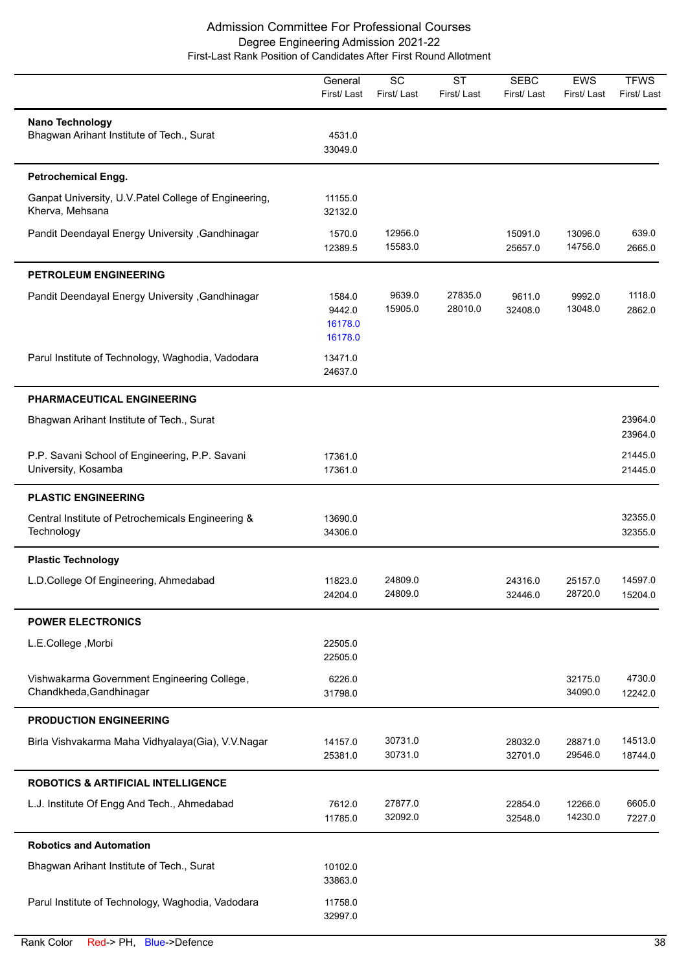|                                                                          | General<br>First/Last                  | $\overline{SC}$<br>First/Last | $\overline{\text{ST}}$<br>First/Last | <b>SEBC</b><br>First/Last | EWS<br>First/Last  | <b>TFWS</b><br>First/Last |
|--------------------------------------------------------------------------|----------------------------------------|-------------------------------|--------------------------------------|---------------------------|--------------------|---------------------------|
| Nano Technology<br>Bhagwan Arihant Institute of Tech., Surat             | 4531.0<br>33049.0                      |                               |                                      |                           |                    |                           |
| <b>Petrochemical Engg.</b>                                               |                                        |                               |                                      |                           |                    |                           |
| Ganpat University, U.V. Patel College of Engineering,<br>Kherva, Mehsana | 11155.0<br>32132.0                     |                               |                                      |                           |                    |                           |
| Pandit Deendayal Energy University , Gandhinagar                         | 1570.0<br>12389.5                      | 12956.0<br>15583.0            |                                      | 15091.0<br>25657.0        | 13096.0<br>14756.0 | 639.0<br>2665.0           |
| <b>PETROLEUM ENGINEERING</b>                                             |                                        |                               |                                      |                           |                    |                           |
| Pandit Deendayal Energy University, Gandhinagar                          | 1584.0<br>9442.0<br>16178.0<br>16178.0 | 9639.0<br>15905.0             | 27835.0<br>28010.0                   | 9611.0<br>32408.0         | 9992.0<br>13048.0  | 1118.0<br>2862.0          |
| Parul Institute of Technology, Waghodia, Vadodara                        | 13471.0<br>24637.0                     |                               |                                      |                           |                    |                           |
| PHARMACEUTICAL ENGINEERING                                               |                                        |                               |                                      |                           |                    |                           |
| Bhagwan Arihant Institute of Tech., Surat                                |                                        |                               |                                      |                           |                    | 23964.0<br>23964.0        |
| P.P. Savani School of Engineering, P.P. Savani<br>University, Kosamba    | 17361.0<br>17361.0                     |                               |                                      |                           |                    | 21445.0<br>21445.0        |
| <b>PLASTIC ENGINEERING</b>                                               |                                        |                               |                                      |                           |                    |                           |
| Central Institute of Petrochemicals Engineering &<br>Technology          | 13690.0<br>34306.0                     |                               |                                      |                           |                    | 32355.0<br>32355.0        |
| <b>Plastic Technology</b>                                                |                                        |                               |                                      |                           |                    |                           |
| L.D.College Of Engineering, Ahmedabad                                    | 11823.0<br>24204.0                     | 24809.0<br>24809.0            |                                      | 24316.0<br>32446.0        | 25157.0<br>28720.0 | 14597.0<br>15204.0        |
| <b>POWER ELECTRONICS</b>                                                 |                                        |                               |                                      |                           |                    |                           |
| L.E.College, Morbi                                                       | 22505.0<br>22505.0                     |                               |                                      |                           |                    |                           |
| Vishwakarma Government Engineering College,<br>Chandkheda, Gandhinagar   | 6226.0<br>31798.0                      |                               |                                      |                           | 32175.0<br>34090.0 | 4730.0<br>12242.0         |
| <b>PRODUCTION ENGINEERING</b>                                            |                                        |                               |                                      |                           |                    |                           |
| Birla Vishvakarma Maha Vidhyalaya(Gia), V.V.Nagar                        | 14157.0<br>25381.0                     | 30731.0<br>30731.0            |                                      | 28032.0<br>32701.0        | 28871.0<br>29546.0 | 14513.0<br>18744.0        |
| <b>ROBOTICS &amp; ARTIFICIAL INTELLIGENCE</b>                            |                                        |                               |                                      |                           |                    |                           |
| L.J. Institute Of Engg And Tech., Ahmedabad                              | 7612.0<br>11785.0                      | 27877.0<br>32092.0            |                                      | 22854.0<br>32548.0        | 12266.0<br>14230.0 | 6605.0<br>7227.0          |
| <b>Robotics and Automation</b>                                           |                                        |                               |                                      |                           |                    |                           |
| Bhagwan Arihant Institute of Tech., Surat                                | 10102.0<br>33863.0                     |                               |                                      |                           |                    |                           |
| Parul Institute of Technology, Waghodia, Vadodara                        | 11758.0<br>32997.0                     |                               |                                      |                           |                    |                           |